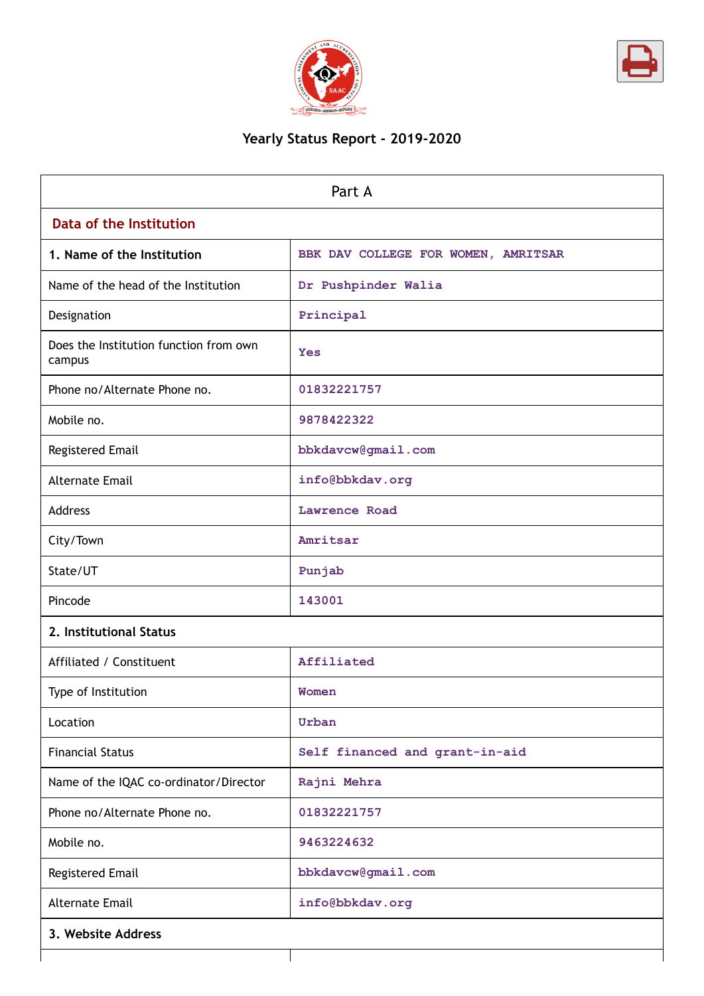



# **Yearly Status Report - 2019-2020**

| Part A                                           |                                     |  |  |
|--------------------------------------------------|-------------------------------------|--|--|
| Data of the Institution                          |                                     |  |  |
| 1. Name of the Institution                       | BBK DAV COLLEGE FOR WOMEN, AMRITSAR |  |  |
| Name of the head of the Institution              | Dr Pushpinder Walia                 |  |  |
| Designation                                      | Principal                           |  |  |
| Does the Institution function from own<br>campus | Yes                                 |  |  |
| Phone no/Alternate Phone no.                     | 01832221757                         |  |  |
| Mobile no.                                       | 9878422322                          |  |  |
| Registered Email                                 | bbkdavcw@gmail.com                  |  |  |
| <b>Alternate Email</b>                           | info@bbkdav.org                     |  |  |
| <b>Address</b>                                   | Lawrence Road                       |  |  |
| City/Town                                        | Amritsar                            |  |  |
| State/UT                                         | Punjab                              |  |  |
| Pincode                                          | 143001                              |  |  |
| 2. Institutional Status                          |                                     |  |  |
| Affiliated / Constituent                         | Affiliated                          |  |  |
| Type of Institution                              | Women                               |  |  |
| Location                                         | Urban                               |  |  |
| <b>Financial Status</b>                          | Self financed and grant-in-aid      |  |  |
| Name of the IQAC co-ordinator/Director           | Rajni Mehra                         |  |  |
| Phone no/Alternate Phone no.                     | 01832221757                         |  |  |
| Mobile no.                                       | 9463224632                          |  |  |
| Registered Email                                 | bbkdavcw@gmail.com                  |  |  |
| <b>Alternate Email</b>                           | info@bbkdav.org                     |  |  |
| 3. Website Address                               |                                     |  |  |
|                                                  |                                     |  |  |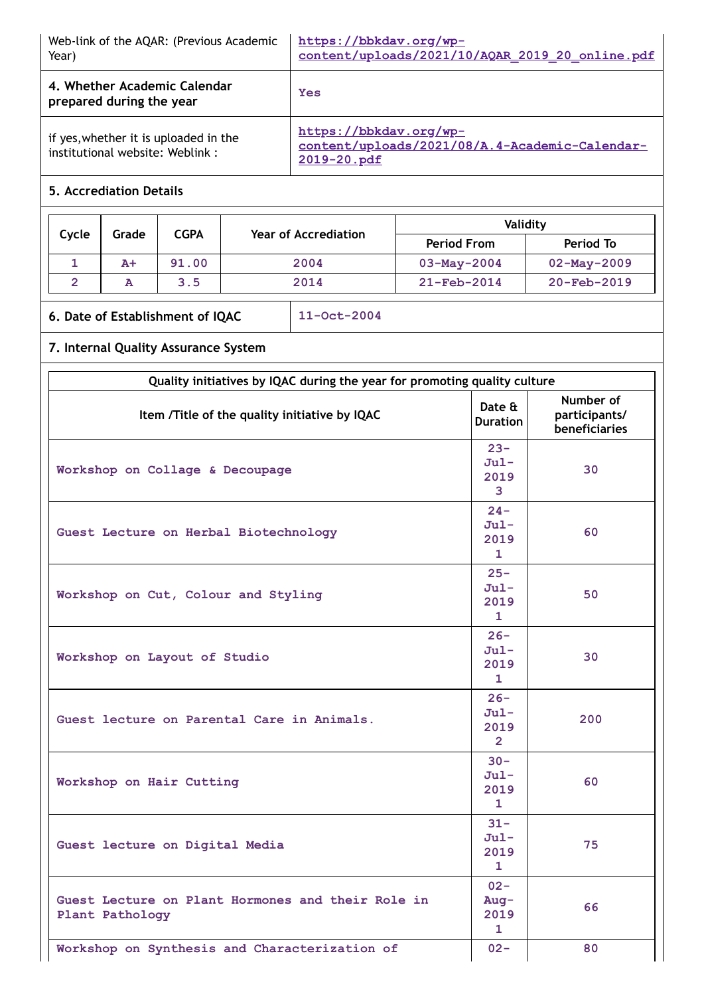| Web-link of the AQAR: (Previous Academic<br>Year)                        | https://bbkdav.org/wp-<br>content/uploads/2021/10/AQAR 2019 20 online.pdf               |
|--------------------------------------------------------------------------|-----------------------------------------------------------------------------------------|
| 4. Whether Academic Calendar<br>prepared during the year                 | Yes                                                                                     |
| if yes, whether it is uploaded in the<br>institutional website: Weblink: | https://bbkdav.org/wp-<br>content/uploads/2021/08/A.4-Academic-Calendar-<br>2019-20.pdf |

## **5. Accrediation Details**

| Cycle | <b>CGPA</b><br>Grade |       | Year of Accrediation | Validity                 |                   |
|-------|----------------------|-------|----------------------|--------------------------|-------------------|
|       |                      |       |                      | <b>Period From</b>       | Period To         |
|       | $A+$                 | 91.00 | 2004                 | $03 - May - 2004$        | $02 - May - 2009$ |
|       | А                    | 3.5   | 2014                 | $21 - \text{Feb} - 2014$ | $20-Feb-2019$     |

## **6. Date of Establishment of IQAC 11-Oct-2004**

# **7. Internal Quality Assurance System**

| Quality initiatives by IQAC during the year for promoting quality culture |                                                   |                                             |
|---------------------------------------------------------------------------|---------------------------------------------------|---------------------------------------------|
| Item /Title of the quality initiative by IQAC                             | Date &<br><b>Duration</b>                         | Number of<br>participants/<br>beneficiaries |
| Workshop on Collage & Decoupage                                           | $23 -$<br>$Jul -$<br>2019<br>$\overline{3}$       | 30                                          |
| Guest Lecture on Herbal Biotechnology                                     | $24 -$<br>$Jul -$<br>2019<br>$\mathbf{1}$         | 60                                          |
| Workshop on Cut, Colour and Styling                                       | $25 -$<br>$Jul -$<br>2019<br>$\mathbf{1}$         | 50                                          |
| Workshop on Layout of Studio                                              | $26 -$<br>$Jul -$<br>2019<br>1                    | 30                                          |
| Guest lecture on Parental Care in Animals.                                | $26 -$<br>$Jul -$<br>2019<br>$\mathbf{2}^{\circ}$ | 200                                         |
| Workshop on Hair Cutting                                                  | $30 -$<br>$Jul -$<br>2019<br>$\mathbf{1}$         | 60                                          |
| Guest lecture on Digital Media                                            | $31 -$<br>$Jul -$<br>2019<br>$\mathbf{1}$         | 75                                          |
| Guest Lecture on Plant Hormones and their Role in<br>Plant Pathology      | $02 -$<br>Aug-<br>2019<br>1                       | 66                                          |
| Workshop on Synthesis and Characterization of                             | $02 -$                                            | 80                                          |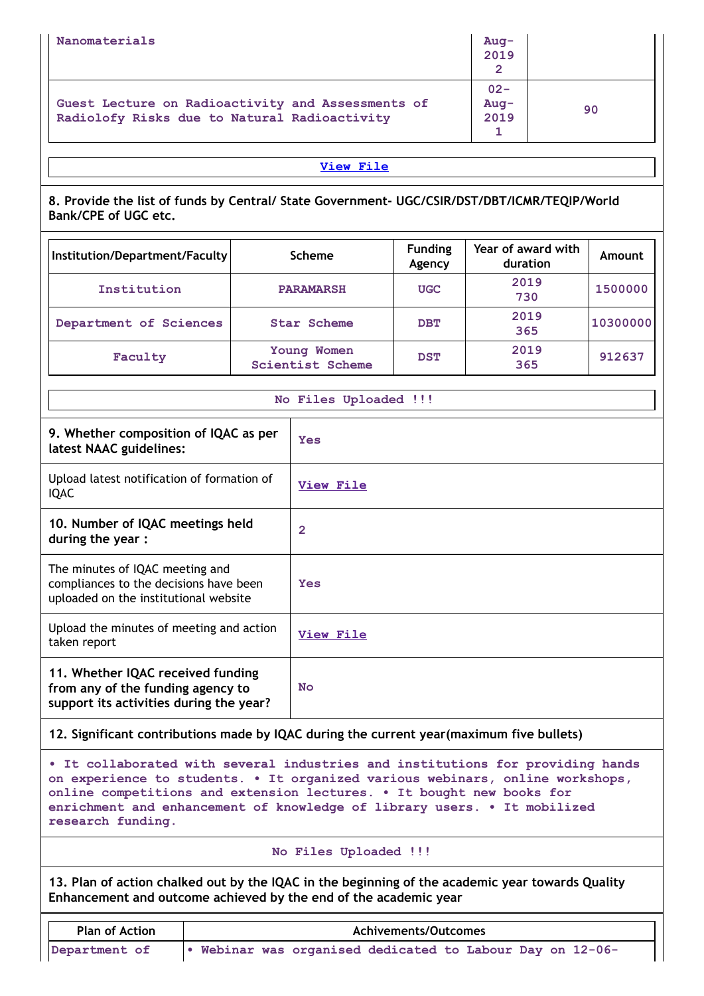| Nanomaterials                                                                                     | $Auq-$<br>2019           |    |
|---------------------------------------------------------------------------------------------------|--------------------------|----|
| Guest Lecture on Radioactivity and Assessments of<br>Radiolofy Risks due to Natural Radioactivity | $02 -$<br>$Auq-$<br>2019 | 90 |

**8. Provide the list of funds by Central/ State Government- UGC/CSIR/DST/DBT/ICMR/TEQIP/World Bank/CPE of UGC etc.**

| Institution/Department/Faculty | <b>Scheme</b>                          | <b>Funding</b><br>Agency | Year of award with<br>duration | Amount   |
|--------------------------------|----------------------------------------|--------------------------|--------------------------------|----------|
| Institution                    | <b>PARAMARSH</b>                       | <b>UGC</b>               | 2019<br>730                    | 1500000  |
| Department of Sciences         | Star Scheme                            | <b>DBT</b>               | 2019<br>365                    | 10300000 |
| Faculty                        | Young Women<br><b>Scientist Scheme</b> | <b>DST</b>               | 2019<br>365                    | 912637   |

## **No Files Uploaded !!!**

| 9. Whether composition of IQAC as per<br>latest NAAC guidelines:                                                   | <b>Yes</b>   |
|--------------------------------------------------------------------------------------------------------------------|--------------|
| Upload latest notification of formation of<br><b>IQAC</b>                                                          | View File    |
| 10. Number of IQAC meetings held<br>during the year:                                                               | $\mathbf{2}$ |
| The minutes of IQAC meeting and<br>compliances to the decisions have been<br>uploaded on the institutional website | Yes          |
| Upload the minutes of meeting and action<br>taken report                                                           | View File    |
| 11. Whether IQAC received funding<br>from any of the funding agency to<br>support its activities during the year?  | <b>No</b>    |

## **12. Significant contributions made by IQAC during the current year(maximum five bullets)**

**• It collaborated with several industries and institutions for providing hands on experience to students. • It organized various webinars, online workshops, online competitions and extension lectures. • It bought new books for enrichment and enhancement of knowledge of library users. • It mobilized research funding.**

### **No Files Uploaded !!!**

**13. Plan of action chalked out by the IQAC in the beginning of the academic year towards Quality Enhancement and outcome achieved by the end of the academic year**

| <b>Plan of Action</b> | Achivements/Outcomes                                    |
|-----------------------|---------------------------------------------------------|
| Department of         | Webinar was organised dedicated to Labour Day on 12-06- |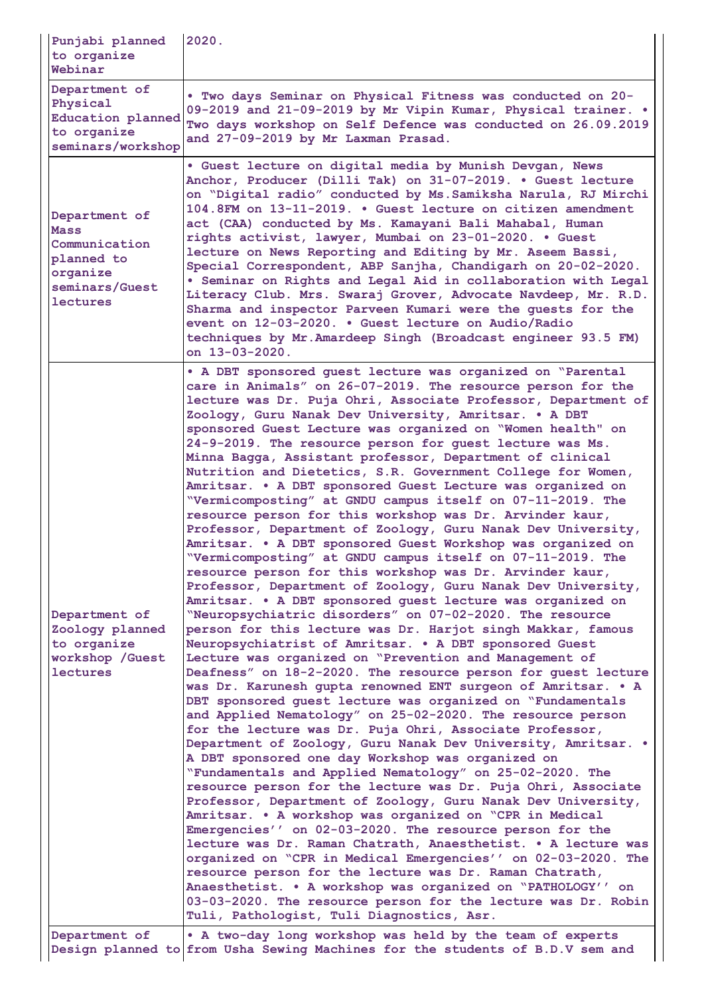| Punjabi planned<br>to organize<br>Webinar                                                             | 2020.                                                                                                                                                                                                                                                                                                                                                                                                                                                                                                                                                                                                                                                                                                                                                                                                                                                                                                                                                                                                                                                                                                                                                                                                                                                                                                                                                                                                                                                                                                                                                                                                                                                                                                                                                                                                                                                                                                                                                                                                                                                                                                                                                                                                                                                                                                                                                                                                                                                                             |
|-------------------------------------------------------------------------------------------------------|-----------------------------------------------------------------------------------------------------------------------------------------------------------------------------------------------------------------------------------------------------------------------------------------------------------------------------------------------------------------------------------------------------------------------------------------------------------------------------------------------------------------------------------------------------------------------------------------------------------------------------------------------------------------------------------------------------------------------------------------------------------------------------------------------------------------------------------------------------------------------------------------------------------------------------------------------------------------------------------------------------------------------------------------------------------------------------------------------------------------------------------------------------------------------------------------------------------------------------------------------------------------------------------------------------------------------------------------------------------------------------------------------------------------------------------------------------------------------------------------------------------------------------------------------------------------------------------------------------------------------------------------------------------------------------------------------------------------------------------------------------------------------------------------------------------------------------------------------------------------------------------------------------------------------------------------------------------------------------------------------------------------------------------------------------------------------------------------------------------------------------------------------------------------------------------------------------------------------------------------------------------------------------------------------------------------------------------------------------------------------------------------------------------------------------------------------------------------------------------|
| Department of<br>Physical<br>Education planned<br>to organize<br>seminars/workshop                    | . Two days Seminar on Physical Fitness was conducted on 20-<br>09-2019 and 21-09-2019 by Mr Vipin Kumar, Physical trainer. .<br>Two days workshop on Self Defence was conducted on 26.09.2019<br>and 27-09-2019 by Mr Laxman Prasad.                                                                                                                                                                                                                                                                                                                                                                                                                                                                                                                                                                                                                                                                                                                                                                                                                                                                                                                                                                                                                                                                                                                                                                                                                                                                                                                                                                                                                                                                                                                                                                                                                                                                                                                                                                                                                                                                                                                                                                                                                                                                                                                                                                                                                                              |
| Department of<br>Mass<br>Communication<br>planned to<br>organize<br>seminars/Guest<br><b>lectures</b> | . Guest lecture on digital media by Munish Devgan, News<br>Anchor, Producer (Dilli Tak) on 31-07-2019. . Guest lecture<br>on "Digital radio" conducted by Ms. Samiksha Narula, RJ Mirchi<br>104.8FM on 13-11-2019. • Guest lecture on citizen amendment<br>act (CAA) conducted by Ms. Kamayani Bali Mahabal, Human<br>rights activist, lawyer, Mumbai on 23-01-2020. . Guest<br>lecture on News Reporting and Editing by Mr. Aseem Bassi,<br>Special Correspondent, ABP Sanjha, Chandigarh on 20-02-2020.<br>. Seminar on Rights and Legal Aid in collaboration with Legal<br>Literacy Club. Mrs. Swaraj Grover, Advocate Navdeep, Mr. R.D.<br>Sharma and inspector Parveen Kumari were the guests for the<br>event on 12-03-2020. . Guest lecture on Audio/Radio<br>techniques by Mr. Amardeep Singh (Broadcast engineer 93.5 FM)<br>on 13-03-2020.                                                                                                                                                                                                                                                                                                                                                                                                                                                                                                                                                                                                                                                                                                                                                                                                                                                                                                                                                                                                                                                                                                                                                                                                                                                                                                                                                                                                                                                                                                                                                                                                                              |
| Department of<br>Zoology planned<br>to organize<br>workshop / Guest<br>lectures                       | • A DBT sponsored guest lecture was organized on "Parental<br>care in Animals" on 26-07-2019. The resource person for the<br>lecture was Dr. Puja Ohri, Associate Professor, Department of<br>Zoology, Guru Nanak Dev University, Amritsar. . A DBT<br>sponsored Guest Lecture was organized on "Women health" on<br>24-9-2019. The resource person for guest lecture was Ms.<br>Minna Bagga, Assistant professor, Department of clinical<br>Nutrition and Dietetics, S.R. Government College for Women,<br>Amritsar. . A DBT sponsored Guest Lecture was organized on<br>"Vermicomposting" at GNDU campus itself on 07-11-2019. The<br>resource person for this workshop was Dr. Arvinder kaur,<br>Professor, Department of Zoology, Guru Nanak Dev University,<br>Amritsar. . A DBT sponsored Guest Workshop was organized on<br>"Vermicomposting" at GNDU campus itself on 07-11-2019. The<br>resource person for this workshop was Dr. Arvinder kaur,<br>Professor, Department of Zoology, Guru Nanak Dev University,<br>Amritsar. . A DBT sponsored guest lecture was organized on<br>"Neuropsychiatric disorders" on 07-02-2020. The resource<br>person for this lecture was Dr. Harjot singh Makkar, famous<br>Neuropsychiatrist of Amritsar. . A DBT sponsored Guest<br>Lecture was organized on "Prevention and Management of<br>Deafness" on 18-2-2020. The resource person for guest lecture<br>was Dr. Karunesh gupta renowned ENT surgeon of Amritsar. . A<br>DBT sponsored quest lecture was organized on "Fundamentals<br>and Applied Nematology" on 25-02-2020. The resource person<br>for the lecture was Dr. Puja Ohri, Associate Professor,<br>Department of Zoology, Guru Nanak Dev University, Amritsar. .<br>A DBT sponsored one day Workshop was organized on<br>"Fundamentals and Applied Nematology" on 25-02-2020. The<br>resource person for the lecture was Dr. Puja Ohri, Associate<br>Professor, Department of Zoology, Guru Nanak Dev University,<br>Amritsar. . A workshop was organized on "CPR in Medical<br>Emergencies'' on 02-03-2020. The resource person for the<br>lecture was Dr. Raman Chatrath, Anaesthetist. . A lecture was<br>organized on "CPR in Medical Emergencies'' on 02-03-2020. The<br>resource person for the lecture was Dr. Raman Chatrath,<br>Anaesthetist. . A workshop was organized on "PATHOLOGY'' on<br>03-03-2020. The resource person for the lecture was Dr. Robin<br>Tuli, Pathologist, Tuli Diagnostics, Asr. |
| Department of                                                                                         | • A two-day long workshop was held by the team of experts<br>Design planned to from Usha Sewing Machines for the students of B.D.V sem and                                                                                                                                                                                                                                                                                                                                                                                                                                                                                                                                                                                                                                                                                                                                                                                                                                                                                                                                                                                                                                                                                                                                                                                                                                                                                                                                                                                                                                                                                                                                                                                                                                                                                                                                                                                                                                                                                                                                                                                                                                                                                                                                                                                                                                                                                                                                        |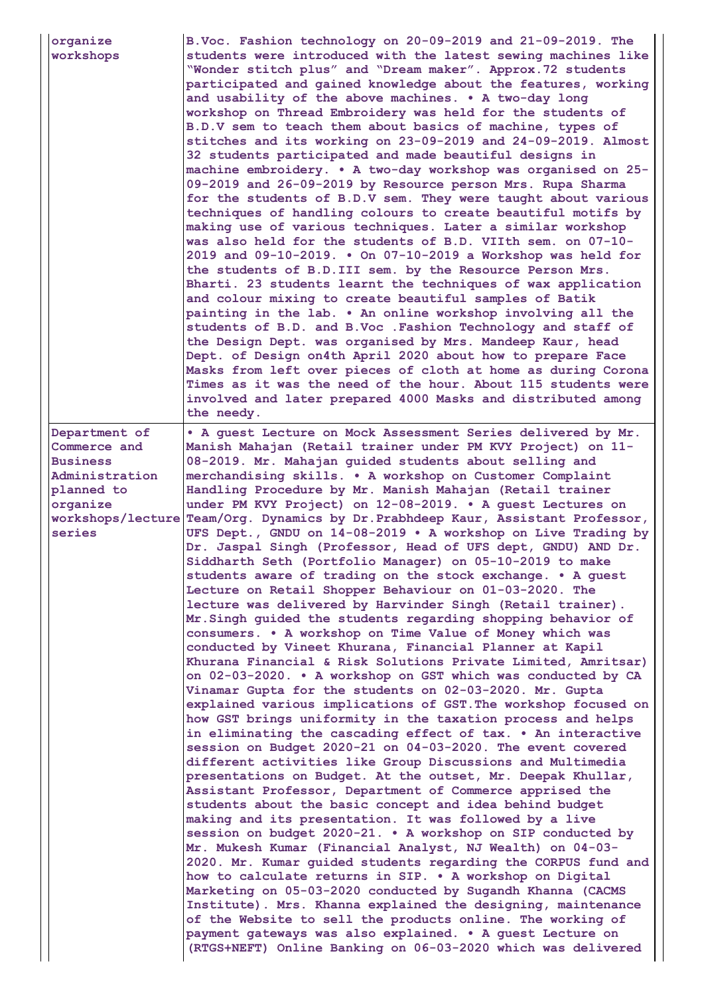| organize<br>workshops                                                                                  | B.Voc. Fashion technology on 20-09-2019 and 21-09-2019. The<br>students were introduced with the latest sewing machines like<br>"Wonder stitch plus" and "Dream maker". Approx. 72 students<br>participated and gained knowledge about the features, working<br>and usability of the above machines. . A two-day long<br>workshop on Thread Embroidery was held for the students of<br>B.D.V sem to teach them about basics of machine, types of<br>stitches and its working on 23-09-2019 and 24-09-2019. Almost<br>32 students participated and made beautiful designs in<br>machine embroidery. . A two-day workshop was organised on 25-<br>09-2019 and 26-09-2019 by Resource person Mrs. Rupa Sharma<br>for the students of B.D.V sem. They were taught about various<br>techniques of handling colours to create beautiful motifs by<br>making use of various techniques. Later a similar workshop<br>was also held for the students of B.D. VIIth sem. on 07-10-<br>2019 and 09-10-2019. . On 07-10-2019 a Workshop was held for<br>the students of B.D. III sem. by the Resource Person Mrs.<br>Bharti. 23 students learnt the techniques of wax application<br>and colour mixing to create beautiful samples of Batik<br>painting in the lab. . An online workshop involving all the<br>students of B.D. and B.Voc . Fashion Technology and staff of<br>the Design Dept. was organised by Mrs. Mandeep Kaur, head<br>Dept. of Design on4th April 2020 about how to prepare Face<br>Masks from left over pieces of cloth at home as during Corona<br>Times as it was the need of the hour. About 115 students were<br>involved and later prepared 4000 Masks and distributed among<br>the needy.                                                                                                                                                                                                                                                                                                                                                                                                                                                                                                 |
|--------------------------------------------------------------------------------------------------------|-----------------------------------------------------------------------------------------------------------------------------------------------------------------------------------------------------------------------------------------------------------------------------------------------------------------------------------------------------------------------------------------------------------------------------------------------------------------------------------------------------------------------------------------------------------------------------------------------------------------------------------------------------------------------------------------------------------------------------------------------------------------------------------------------------------------------------------------------------------------------------------------------------------------------------------------------------------------------------------------------------------------------------------------------------------------------------------------------------------------------------------------------------------------------------------------------------------------------------------------------------------------------------------------------------------------------------------------------------------------------------------------------------------------------------------------------------------------------------------------------------------------------------------------------------------------------------------------------------------------------------------------------------------------------------------------------------------------------------------------------------------------------------------------------------------------------------------------------------------------------------------------------------------------------------------------------------------------------------------------------------------------------------------------------------------------------------------------------------------------------------------------------------------------------------------------------------------|
| Department of<br>Commerce and<br><b>Business</b><br>Administration<br>planned to<br>organize<br>series | . A guest Lecture on Mock Assessment Series delivered by Mr.<br>Manish Mahajan (Retail trainer under PM KVY Project) on 11-<br>08-2019. Mr. Mahajan guided students about selling and<br>merchandising skills. . A workshop on Customer Complaint<br>Handling Procedure by Mr. Manish Mahajan (Retail trainer<br>under PM KVY Project) on 12-08-2019. . A quest Lectures on<br>workshops/lecture Team/Org. Dynamics by Dr. Prabhdeep Kaur, Assistant Professor,<br>UFS Dept., GNDU on 14-08-2019 . A workshop on Live Trading by<br>Dr. Jaspal Singh (Professor, Head of UFS dept, GNDU) AND Dr.<br>Siddharth Seth (Portfolio Manager) on 05-10-2019 to make<br>students aware of trading on the stock exchange. . A guest<br>Lecture on Retail Shopper Behaviour on 01-03-2020. The<br>lecture was delivered by Harvinder Singh (Retail trainer).<br>Mr. Singh guided the students regarding shopping behavior of<br>consumers. . A workshop on Time Value of Money which was<br>conducted by Vineet Khurana, Financial Planner at Kapil<br>Khurana Financial & Risk Solutions Private Limited, Amritsar)<br>on 02-03-2020. • A workshop on GST which was conducted by CA<br>Vinamar Gupta for the students on 02-03-2020. Mr. Gupta<br>explained various implications of GST. The workshop focused on<br>how GST brings uniformity in the taxation process and helps<br>in eliminating the cascading effect of tax. . An interactive<br>session on Budget 2020-21 on 04-03-2020. The event covered<br>different activities like Group Discussions and Multimedia<br>presentations on Budget. At the outset, Mr. Deepak Khullar,<br>Assistant Professor, Department of Commerce apprised the<br>students about the basic concept and idea behind budget<br>making and its presentation. It was followed by a live<br>session on budget 2020-21. . A workshop on SIP conducted by<br>Mr. Mukesh Kumar (Financial Analyst, NJ Wealth) on 04-03-<br>2020. Mr. Kumar guided students regarding the CORPUS fund and<br>how to calculate returns in SIP. . A workshop on Digital<br>Marketing on 05-03-2020 conducted by Sugandh Khanna (CACMS<br>Institute). Mrs. Khanna explained the designing, maintenance |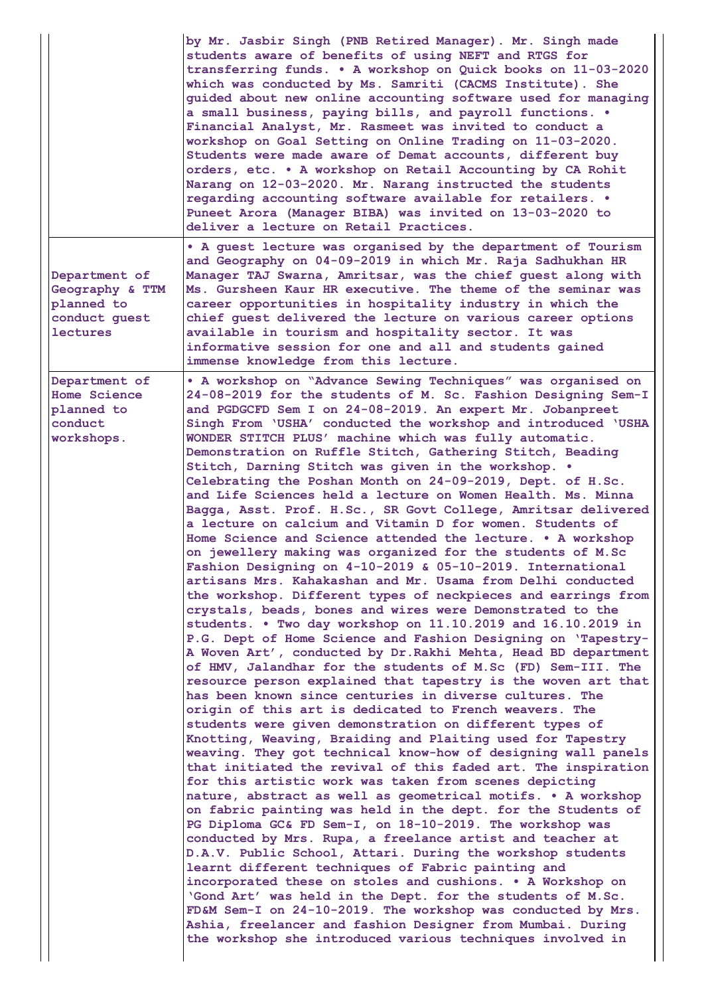|                                                                                    | by Mr. Jasbir Singh (PNB Retired Manager). Mr. Singh made<br>students aware of benefits of using NEFT and RTGS for<br>transferring funds. . A workshop on Quick books on 11-03-2020<br>which was conducted by Ms. Samriti (CACMS Institute). She<br>guided about new online accounting software used for managing<br>a small business, paying bills, and payroll functions. .<br>Financial Analyst, Mr. Rasmeet was invited to conduct a<br>workshop on Goal Setting on Online Trading on 11-03-2020.<br>Students were made aware of Demat accounts, different buy<br>orders, etc. . A workshop on Retail Accounting by CA Rohit<br>Narang on 12-03-2020. Mr. Narang instructed the students<br>regarding accounting software available for retailers. .<br>Puneet Arora (Manager BIBA) was invited on 13-03-2020 to<br>deliver a lecture on Retail Practices.                                                                                                                                                                                                                                                                                                                                                                                                                                                                                                                                                                                                                                                                                                                                                                                                                                                                                                                                                                                                                                                                                                                                                                                                                                                                                                                                                                                                                                                                                                                                                                                                                                                                                                                  |
|------------------------------------------------------------------------------------|---------------------------------------------------------------------------------------------------------------------------------------------------------------------------------------------------------------------------------------------------------------------------------------------------------------------------------------------------------------------------------------------------------------------------------------------------------------------------------------------------------------------------------------------------------------------------------------------------------------------------------------------------------------------------------------------------------------------------------------------------------------------------------------------------------------------------------------------------------------------------------------------------------------------------------------------------------------------------------------------------------------------------------------------------------------------------------------------------------------------------------------------------------------------------------------------------------------------------------------------------------------------------------------------------------------------------------------------------------------------------------------------------------------------------------------------------------------------------------------------------------------------------------------------------------------------------------------------------------------------------------------------------------------------------------------------------------------------------------------------------------------------------------------------------------------------------------------------------------------------------------------------------------------------------------------------------------------------------------------------------------------------------------------------------------------------------------------------------------------------------------------------------------------------------------------------------------------------------------------------------------------------------------------------------------------------------------------------------------------------------------------------------------------------------------------------------------------------------------------------------------------------------------------------------------------------------------|
| Department of<br>Geography & TTM<br>planned to<br>conduct guest<br><b>lectures</b> | . A guest lecture was organised by the department of Tourism<br>and Geography on 04-09-2019 in which Mr. Raja Sadhukhan HR<br>Manager TAJ Swarna, Amritsar, was the chief guest along with<br>Ms. Gursheen Kaur HR executive. The theme of the seminar was<br>career opportunities in hospitality industry in which the<br>chief quest delivered the lecture on various career options<br>available in tourism and hospitality sector. It was<br>informative session for one and all and students gained<br>immense knowledge from this lecture.                                                                                                                                                                                                                                                                                                                                                                                                                                                                                                                                                                                                                                                                                                                                                                                                                                                                                                                                                                                                                                                                                                                                                                                                                                                                                                                                                                                                                                                                                                                                                                                                                                                                                                                                                                                                                                                                                                                                                                                                                                |
| Department of<br>Home Science<br>planned to<br>conduct<br>workshops.               | . A workshop on "Advance Sewing Techniques" was organised on<br>24-08-2019 for the students of M. Sc. Fashion Designing Sem-I<br>and PGDGCFD Sem I on 24-08-2019. An expert Mr. Jobanpreet<br>Singh From 'USHA' conducted the workshop and introduced 'USHA<br>WONDER STITCH PLUS' machine which was fully automatic.<br>Demonstration on Ruffle Stitch, Gathering Stitch, Beading<br>Stitch, Darning Stitch was given in the workshop. .<br>Celebrating the Poshan Month on 24-09-2019, Dept. of H.Sc.<br>and Life Sciences held a lecture on Women Health. Ms. Minna<br>Bagga, Asst. Prof. H.Sc., SR Govt College, Amritsar delivered<br>a lecture on calcium and Vitamin D for women. Students of<br>Home Science and Science attended the lecture. • A workshop<br>on jewellery making was organized for the students of M.Sc<br>Fashion Designing on 4-10-2019 & 05-10-2019. International<br>artisans Mrs. Kahakashan and Mr. Usama from Delhi conducted<br>the workshop. Different types of neckpieces and earrings from<br>crystals, beads, bones and wires were Demonstrated to the<br>students. . Two day workshop on 11.10.2019 and 16.10.2019 in<br>P.G. Dept of Home Science and Fashion Designing on 'Tapestry-<br>A Woven Art', conducted by Dr. Rakhi Mehta, Head BD department<br>of HMV, Jalandhar for the students of M.Sc (FD) Sem-III. The<br>resource person explained that tapestry is the woven art that<br>has been known since centuries in diverse cultures. The<br>origin of this art is dedicated to French weavers. The<br>students were given demonstration on different types of<br>Knotting, Weaving, Braiding and Plaiting used for Tapestry<br>weaving. They got technical know-how of designing wall panels<br>that initiated the revival of this faded art. The inspiration<br>for this artistic work was taken from scenes depicting<br>nature, abstract as well as geometrical motifs. . A workshop<br>on fabric painting was held in the dept. for the Students of<br>PG Diploma GC& FD Sem-I, on 18-10-2019. The workshop was<br>conducted by Mrs. Rupa, a freelance artist and teacher at<br>D.A.V. Public School, Attari. During the workshop students<br>learnt different techniques of Fabric painting and<br>incorporated these on stoles and cushions. . A Workshop on<br>'Gond Art' was held in the Dept. for the students of M.Sc.<br>FD&M Sem-I on 24-10-2019. The workshop was conducted by Mrs.<br>Ashia, freelancer and fashion Designer from Mumbai. During<br>the workshop she introduced various techniques involved in |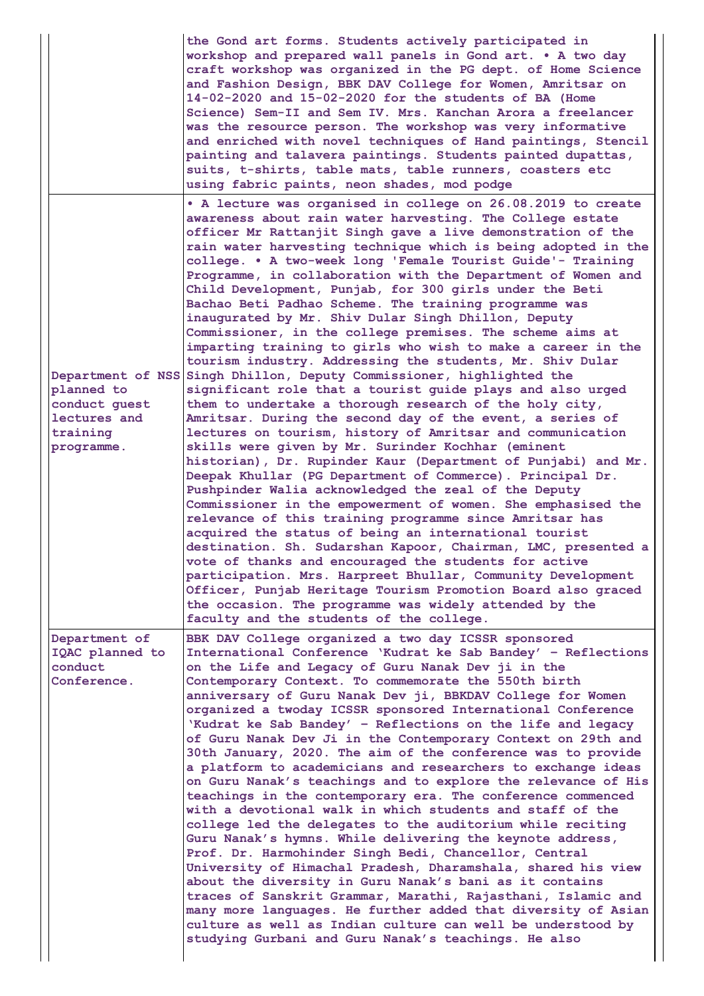|                                                                       | the Gond art forms. Students actively participated in<br>workshop and prepared wall panels in Gond art. . A two day<br>craft workshop was organized in the PG dept. of Home Science<br>and Fashion Design, BBK DAV College for Women, Amritsar on<br>14-02-2020 and 15-02-2020 for the students of BA (Home<br>Science) Sem-II and Sem IV. Mrs. Kanchan Arora a freelancer<br>was the resource person. The workshop was very informative<br>and enriched with novel techniques of Hand paintings, Stencil<br>painting and talavera paintings. Students painted dupattas,<br>suits, t-shirts, table mats, table runners, coasters etc<br>using fabric paints, neon shades, mod podge                                                                                                                                                                                                                                                                                                                                                                                                                                                                                                                                                                                                                                                                                                                                                                                                                                                                                                                                                                                                                                                                                                                                                                                                       |
|-----------------------------------------------------------------------|-------------------------------------------------------------------------------------------------------------------------------------------------------------------------------------------------------------------------------------------------------------------------------------------------------------------------------------------------------------------------------------------------------------------------------------------------------------------------------------------------------------------------------------------------------------------------------------------------------------------------------------------------------------------------------------------------------------------------------------------------------------------------------------------------------------------------------------------------------------------------------------------------------------------------------------------------------------------------------------------------------------------------------------------------------------------------------------------------------------------------------------------------------------------------------------------------------------------------------------------------------------------------------------------------------------------------------------------------------------------------------------------------------------------------------------------------------------------------------------------------------------------------------------------------------------------------------------------------------------------------------------------------------------------------------------------------------------------------------------------------------------------------------------------------------------------------------------------------------------------------------------------|
| planned to<br>conduct guest<br>lectures and<br>training<br>programme. | • A lecture was organised in college on 26.08.2019 to create<br>awareness about rain water harvesting. The College estate<br>officer Mr Rattanjit Singh gave a live demonstration of the<br>rain water harvesting technique which is being adopted in the<br>college. . A two-week long 'Female Tourist Guide'- Training<br>Programme, in collaboration with the Department of Women and<br>Child Development, Punjab, for 300 girls under the Beti<br>Bachao Beti Padhao Scheme. The training programme was<br>inaugurated by Mr. Shiv Dular Singh Dhillon, Deputy<br>Commissioner, in the college premises. The scheme aims at<br>imparting training to girls who wish to make a career in the<br>tourism industry. Addressing the students, Mr. Shiv Dular<br>Department of NSS Singh Dhillon, Deputy Commissioner, highlighted the<br>significant role that a tourist guide plays and also urged<br>them to undertake a thorough research of the holy city,<br>Amritsar. During the second day of the event, a series of<br>lectures on tourism, history of Amritsar and communication<br>skills were given by Mr. Surinder Kochhar (eminent<br>historian), Dr. Rupinder Kaur (Department of Punjabi) and Mr.<br>Deepak Khullar (PG Department of Commerce). Principal Dr.<br>Pushpinder Walia acknowledged the zeal of the Deputy<br>Commissioner in the empowerment of women. She emphasised the<br>relevance of this training programme since Amritsar has<br>acquired the status of being an international tourist<br>destination. Sh. Sudarshan Kapoor, Chairman, LMC, presented a<br>vote of thanks and encouraged the students for active<br>participation. Mrs. Harpreet Bhullar, Community Development<br>Officer, Punjab Heritage Tourism Promotion Board also graced<br>the occasion. The programme was widely attended by the<br>faculty and the students of the college. |
| Department of<br>IQAC planned to<br>conduct<br>Conference.            | BBK DAV College organized a two day ICSSR sponsored<br>International Conference 'Kudrat ke Sab Bandey' - Reflections<br>on the Life and Legacy of Guru Nanak Dev ji in the<br>Contemporary Context. To commemorate the 550th birth<br>anniversary of Guru Nanak Dev ji, BBKDAV College for Women<br>organized a twoday ICSSR sponsored International Conference<br>'Kudrat ke Sab Bandey' - Reflections on the life and legacy<br>of Guru Nanak Dev Ji in the Contemporary Context on 29th and<br>30th January, 2020. The aim of the conference was to provide<br>a platform to academicians and researchers to exchange ideas<br>on Guru Nanak's teachings and to explore the relevance of His<br>teachings in the contemporary era. The conference commenced<br>with a devotional walk in which students and staff of the<br>college led the delegates to the auditorium while reciting<br>Guru Nanak's hymns. While delivering the keynote address,<br>Prof. Dr. Harmohinder Singh Bedi, Chancellor, Central<br>University of Himachal Pradesh, Dharamshala, shared his view<br>about the diversity in Guru Nanak's bani as it contains<br>traces of Sanskrit Grammar, Marathi, Rajasthani, Islamic and<br>many more languages. He further added that diversity of Asian<br>culture as well as Indian culture can well be understood by<br>studying Gurbani and Guru Nanak's teachings. He also                                                                                                                                                                                                                                                                                                                                                                                                                                                                                        |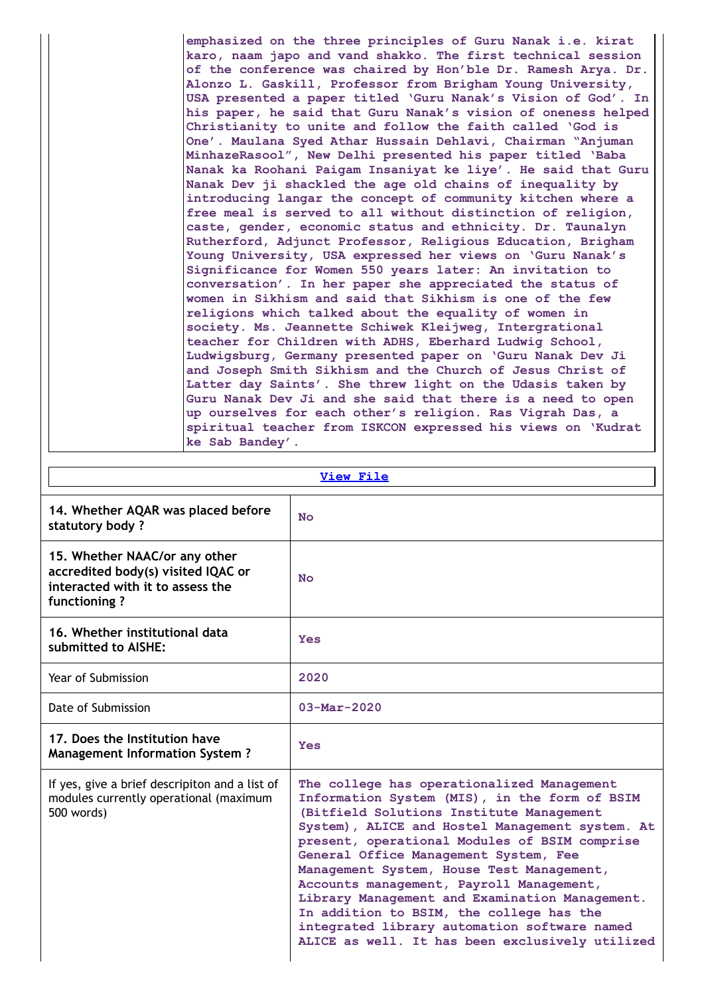| emphasized on the three principles of Guru Nanak i.e. kirat   |
|---------------------------------------------------------------|
| karo, naam japo and vand shakko. The first technical session  |
| of the conference was chaired by Hon'ble Dr. Ramesh Arya. Dr. |
| Alonzo L. Gaskill, Professor from Brigham Young University,   |
| USA presented a paper titled 'Guru Nanak's Vision of God'. In |
| his paper, he said that Guru Nanak's vision of oneness helped |
| Christianity to unite and follow the faith called 'God is     |
| One'. Maulana Syed Athar Hussain Dehlavi, Chairman "Anjuman   |
| MinhazeRasool", New Delhi presented his paper titled 'Baba    |
| Nanak ka Roohani Paigam Insaniyat ke liye'. He said that Guru |
| Nanak Dev ji shackled the age old chains of inequality by     |
| introducing langar the concept of community kitchen where a   |
| free meal is served to all without distinction of religion,   |
| caste, gender, economic status and ethnicity. Dr. Taunalyn    |
| Rutherford, Adjunct Professor, Religious Education, Brigham   |
| Young University, USA expressed her views on 'Guru Nanak's    |
| Significance for Women 550 years later: An invitation to      |
| conversation'. In her paper she appreciated the status of     |
| women in Sikhism and said that Sikhism is one of the few      |
| religions which talked about the equality of women in         |
| society. Ms. Jeannette Schiwek Kleijweg, Intergrational       |
| teacher for Children with ADHS, Eberhard Ludwig School,       |
| Ludwigsburg, Germany presented paper on 'Guru Nanak Dev Ji    |
| and Joseph Smith Sikhism and the Church of Jesus Christ of    |
| Latter day Saints'. She threw light on the Udasis taken by    |
| Guru Nanak Dev Ji and she said that there is a need to open   |
| up ourselves for each other's religion. Ras Vigrah Das, a     |
| spiritual teacher from ISKCON expressed his views on 'Kudrat  |
| ke Sab Bandey'.                                               |

| <b>View File</b>                                                                                                        |                                                                                                                                                                                                                                                                                                                                                                                                                                                                                                                                                                                |  |  |  |  |
|-------------------------------------------------------------------------------------------------------------------------|--------------------------------------------------------------------------------------------------------------------------------------------------------------------------------------------------------------------------------------------------------------------------------------------------------------------------------------------------------------------------------------------------------------------------------------------------------------------------------------------------------------------------------------------------------------------------------|--|--|--|--|
| 14. Whether AQAR was placed before<br>statutory body?                                                                   | N <sub>O</sub>                                                                                                                                                                                                                                                                                                                                                                                                                                                                                                                                                                 |  |  |  |  |
| 15. Whether NAAC/or any other<br>accredited body(s) visited IQAC or<br>interacted with it to assess the<br>functioning? | N <sub>O</sub>                                                                                                                                                                                                                                                                                                                                                                                                                                                                                                                                                                 |  |  |  |  |
| 16. Whether institutional data<br>submitted to AISHE:                                                                   | <b>Yes</b>                                                                                                                                                                                                                                                                                                                                                                                                                                                                                                                                                                     |  |  |  |  |
| Year of Submission                                                                                                      | 2020                                                                                                                                                                                                                                                                                                                                                                                                                                                                                                                                                                           |  |  |  |  |
| Date of Submission                                                                                                      | $03 - \text{Mar} - 2020$                                                                                                                                                                                                                                                                                                                                                                                                                                                                                                                                                       |  |  |  |  |
| 17. Does the Institution have<br><b>Management Information System?</b>                                                  | Yes                                                                                                                                                                                                                                                                                                                                                                                                                                                                                                                                                                            |  |  |  |  |
| If yes, give a brief descripiton and a list of<br>modules currently operational (maximum<br>500 words)                  | The college has operationalized Management<br>Information System (MIS), in the form of BSIM<br>(Bitfield Solutions Institute Management<br>System), ALICE and Hostel Management system. At<br>present, operational Modules of BSIM comprise<br>General Office Management System, Fee<br>Management System, House Test Management,<br>Accounts management, Payroll Management,<br>Library Management and Examination Management.<br>In addition to BSIM, the college has the<br>integrated library automation software named<br>ALICE as well. It has been exclusively utilized |  |  |  |  |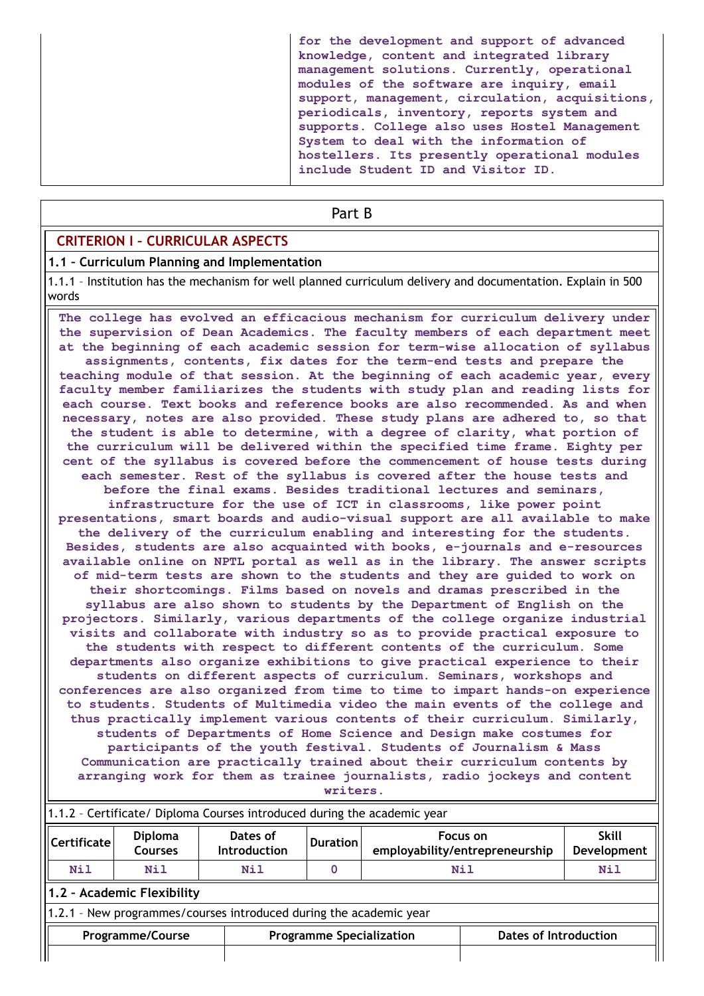**for the development and support of advanced knowledge, content and integrated library management solutions. Currently, operational modules of the software are inquiry, email support, management, circulation, acquisitions, periodicals, inventory, reports system and supports. College also uses Hostel Management System to deal with the information of hostellers. Its presently operational modules include Student ID and Visitor ID.**

### Part B

## **CRITERION I – CURRICULAR ASPECTS**

### **1.1 – Curriculum Planning and Implementation**

1.1.1 – Institution has the mechanism for well planned curriculum delivery and documentation. Explain in 500 words

**The college has evolved an efficacious mechanism for curriculum delivery under the supervision of Dean Academics. The faculty members of each department meet at the beginning of each academic session for term-wise allocation of syllabus assignments, contents, fix dates for the term-end tests and prepare the teaching module of that session. At the beginning of each academic year, every faculty member familiarizes the students with study plan and reading lists for each course. Text books and reference books are also recommended. As and when necessary, notes are also provided. These study plans are adhered to, so that the student is able to determine, with a degree of clarity, what portion of the curriculum will be delivered within the specified time frame. Eighty per cent of the syllabus is covered before the commencement of house tests during each semester. Rest of the syllabus is covered after the house tests and before the final exams. Besides traditional lectures and seminars, infrastructure for the use of ICT in classrooms, like power point presentations, smart boards and audio-visual support are all available to make the delivery of the curriculum enabling and interesting for the students. Besides, students are also acquainted with books, e-journals and e-resources available online on NPTL portal as well as in the library. The answer scripts of mid-term tests are shown to the students and they are guided to work on their shortcomings. Films based on novels and dramas prescribed in the syllabus are also shown to students by the Department of English on the projectors. Similarly, various departments of the college organize industrial visits and collaborate with industry so as to provide practical exposure to the students with respect to different contents of the curriculum. Some departments also organize exhibitions to give practical experience to their students on different aspects of curriculum. Seminars, workshops and conferences are also organized from time to time to impart hands-on experience to students. Students of Multimedia video the main events of the college and thus practically implement various contents of their curriculum. Similarly, students of Departments of Home Science and Design make costumes for participants of the youth festival. Students of Journalism & Mass Communication are practically trained about their curriculum contents by arranging work for them as trainee journalists, radio jockeys and content writers.**

| 1.1.2 - Certificate/ Diploma Courses introduced during the academic year |                                                                    |                                 |                                 |  |                                            |                              |  |  |  |
|--------------------------------------------------------------------------|--------------------------------------------------------------------|---------------------------------|---------------------------------|--|--------------------------------------------|------------------------------|--|--|--|
| Certificate                                                              | <b>Diploma</b><br><b>Courses</b>                                   | Dates of<br><b>Introduction</b> | Duration                        |  | Focus on<br>employability/entrepreneurship | <b>Skill</b><br>Development  |  |  |  |
| Nil                                                                      | Nil                                                                | Nil                             |                                 |  | Nil                                        | Nil                          |  |  |  |
|                                                                          | 1.2 - Academic Flexibility                                         |                                 |                                 |  |                                            |                              |  |  |  |
|                                                                          | 1.2.1 - New programmes/courses introduced during the academic year |                                 |                                 |  |                                            |                              |  |  |  |
|                                                                          | <b>Programme/Course</b>                                            |                                 | <b>Programme Specialization</b> |  |                                            | <b>Dates of Introduction</b> |  |  |  |
|                                                                          |                                                                    |                                 |                                 |  |                                            |                              |  |  |  |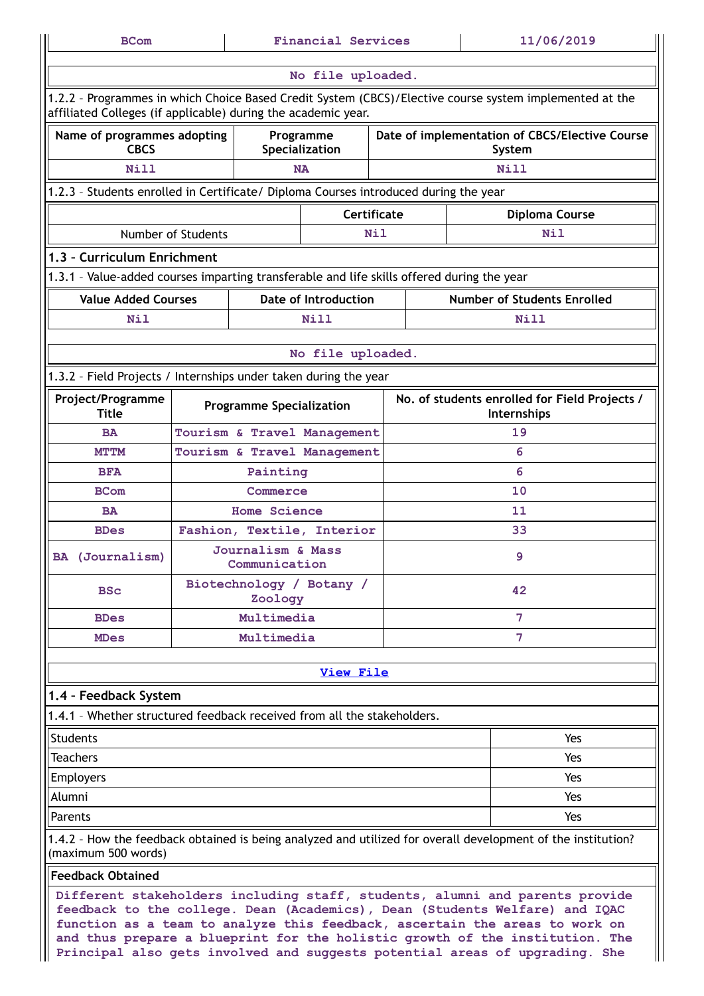| 11/06/2019<br><b>Financial Services</b><br><b>BCom</b>                                                                                                                                                                                                                                                                                                                                                    |                                                                                                                                                                          |                                    |                             |             |    |                                                                                                              |  |  |
|-----------------------------------------------------------------------------------------------------------------------------------------------------------------------------------------------------------------------------------------------------------------------------------------------------------------------------------------------------------------------------------------------------------|--------------------------------------------------------------------------------------------------------------------------------------------------------------------------|------------------------------------|-----------------------------|-------------|----|--------------------------------------------------------------------------------------------------------------|--|--|
| No file uploaded.                                                                                                                                                                                                                                                                                                                                                                                         |                                                                                                                                                                          |                                    |                             |             |    |                                                                                                              |  |  |
|                                                                                                                                                                                                                                                                                                                                                                                                           | 1.2.2 - Programmes in which Choice Based Credit System (CBCS)/Elective course system implemented at the<br>affiliated Colleges (if applicable) during the academic year. |                                    |                             |             |    |                                                                                                              |  |  |
| Name of programmes adopting<br><b>CBCS</b>                                                                                                                                                                                                                                                                                                                                                                |                                                                                                                                                                          |                                    | Programme<br>Specialization |             |    | Date of implementation of CBCS/Elective Course<br>System                                                     |  |  |
| <b>Nill</b>                                                                                                                                                                                                                                                                                                                                                                                               |                                                                                                                                                                          |                                    | <b>NA</b>                   |             |    | Nill                                                                                                         |  |  |
| 1.2.3 - Students enrolled in Certificate/ Diploma Courses introduced during the year                                                                                                                                                                                                                                                                                                                      |                                                                                                                                                                          |                                    |                             |             |    |                                                                                                              |  |  |
|                                                                                                                                                                                                                                                                                                                                                                                                           |                                                                                                                                                                          |                                    |                             | Certificate |    | <b>Diploma Course</b>                                                                                        |  |  |
|                                                                                                                                                                                                                                                                                                                                                                                                           | Number of Students                                                                                                                                                       |                                    |                             | Nil         |    | Nil                                                                                                          |  |  |
| 1.3 - Curriculum Enrichment                                                                                                                                                                                                                                                                                                                                                                               |                                                                                                                                                                          |                                    |                             |             |    |                                                                                                              |  |  |
| 1.3.1 - Value-added courses imparting transferable and life skills offered during the year                                                                                                                                                                                                                                                                                                                |                                                                                                                                                                          |                                    |                             |             |    |                                                                                                              |  |  |
| <b>Value Added Courses</b>                                                                                                                                                                                                                                                                                                                                                                                |                                                                                                                                                                          |                                    | Date of Introduction        |             |    | <b>Number of Students Enrolled</b>                                                                           |  |  |
| Nil                                                                                                                                                                                                                                                                                                                                                                                                       |                                                                                                                                                                          |                                    | <b>Nill</b>                 |             |    | Nill                                                                                                         |  |  |
|                                                                                                                                                                                                                                                                                                                                                                                                           |                                                                                                                                                                          |                                    | No file uploaded.           |             |    |                                                                                                              |  |  |
| 1.3.2 - Field Projects / Internships under taken during the year                                                                                                                                                                                                                                                                                                                                          |                                                                                                                                                                          |                                    |                             |             |    |                                                                                                              |  |  |
| Project/Programme<br><b>Title</b>                                                                                                                                                                                                                                                                                                                                                                         |                                                                                                                                                                          | <b>Programme Specialization</b>    |                             |             |    | No. of students enrolled for Field Projects /<br>Internships                                                 |  |  |
| <b>BA</b>                                                                                                                                                                                                                                                                                                                                                                                                 |                                                                                                                                                                          |                                    | Tourism & Travel Management |             | 19 |                                                                                                              |  |  |
| <b>MTTM</b>                                                                                                                                                                                                                                                                                                                                                                                               |                                                                                                                                                                          |                                    | Tourism & Travel Management |             | 6  |                                                                                                              |  |  |
| <b>BFA</b>                                                                                                                                                                                                                                                                                                                                                                                                |                                                                                                                                                                          | Painting                           |                             |             | 6  |                                                                                                              |  |  |
| <b>BCom</b>                                                                                                                                                                                                                                                                                                                                                                                               |                                                                                                                                                                          | Commerce                           |                             |             |    | 10                                                                                                           |  |  |
| <b>BA</b>                                                                                                                                                                                                                                                                                                                                                                                                 |                                                                                                                                                                          | <b>Home Science</b>                |                             |             |    | 11                                                                                                           |  |  |
| <b>BDes</b>                                                                                                                                                                                                                                                                                                                                                                                               |                                                                                                                                                                          |                                    | Fashion, Textile, Interior  |             |    | 33                                                                                                           |  |  |
| BA (Journalism)                                                                                                                                                                                                                                                                                                                                                                                           |                                                                                                                                                                          | Journalism & Mass<br>Communication |                             |             |    | 9                                                                                                            |  |  |
| <b>BSc</b>                                                                                                                                                                                                                                                                                                                                                                                                |                                                                                                                                                                          | Zoology                            | Biotechnology / Botany /    |             |    | 42                                                                                                           |  |  |
| <b>BDes</b>                                                                                                                                                                                                                                                                                                                                                                                               | Multimedia                                                                                                                                                               |                                    |                             |             |    | 7                                                                                                            |  |  |
| <b>MDes</b>                                                                                                                                                                                                                                                                                                                                                                                               |                                                                                                                                                                          | Multimedia                         |                             |             |    | 7                                                                                                            |  |  |
|                                                                                                                                                                                                                                                                                                                                                                                                           |                                                                                                                                                                          |                                    | <b>View File</b>            |             |    |                                                                                                              |  |  |
| 1.4 - Feedback System                                                                                                                                                                                                                                                                                                                                                                                     |                                                                                                                                                                          |                                    |                             |             |    |                                                                                                              |  |  |
| 1.4.1 - Whether structured feedback received from all the stakeholders.                                                                                                                                                                                                                                                                                                                                   |                                                                                                                                                                          |                                    |                             |             |    |                                                                                                              |  |  |
| <b>Students</b>                                                                                                                                                                                                                                                                                                                                                                                           |                                                                                                                                                                          |                                    |                             |             |    | Yes                                                                                                          |  |  |
| <b>Teachers</b>                                                                                                                                                                                                                                                                                                                                                                                           |                                                                                                                                                                          |                                    |                             |             |    | Yes                                                                                                          |  |  |
| <b>Employers</b>                                                                                                                                                                                                                                                                                                                                                                                          |                                                                                                                                                                          |                                    |                             |             |    | Yes                                                                                                          |  |  |
| Alumni                                                                                                                                                                                                                                                                                                                                                                                                    |                                                                                                                                                                          |                                    |                             |             |    | Yes                                                                                                          |  |  |
| Parents                                                                                                                                                                                                                                                                                                                                                                                                   |                                                                                                                                                                          |                                    |                             |             |    | Yes                                                                                                          |  |  |
| (maximum 500 words)                                                                                                                                                                                                                                                                                                                                                                                       |                                                                                                                                                                          |                                    |                             |             |    | 1.4.2 - How the feedback obtained is being analyzed and utilized for overall development of the institution? |  |  |
| <b>Feedback Obtained</b>                                                                                                                                                                                                                                                                                                                                                                                  |                                                                                                                                                                          |                                    |                             |             |    |                                                                                                              |  |  |
| Different stakeholders including staff, students, alumni and parents provide<br>feedback to the college. Dean (Academics), Dean (Students Welfare) and IQAC<br>function as a team to analyze this feedback, ascertain the areas to work on<br>and thus prepare a blueprint for the holistic growth of the institution. The<br>Principal also gets involved and suggests potential areas of upgrading. She |                                                                                                                                                                          |                                    |                             |             |    |                                                                                                              |  |  |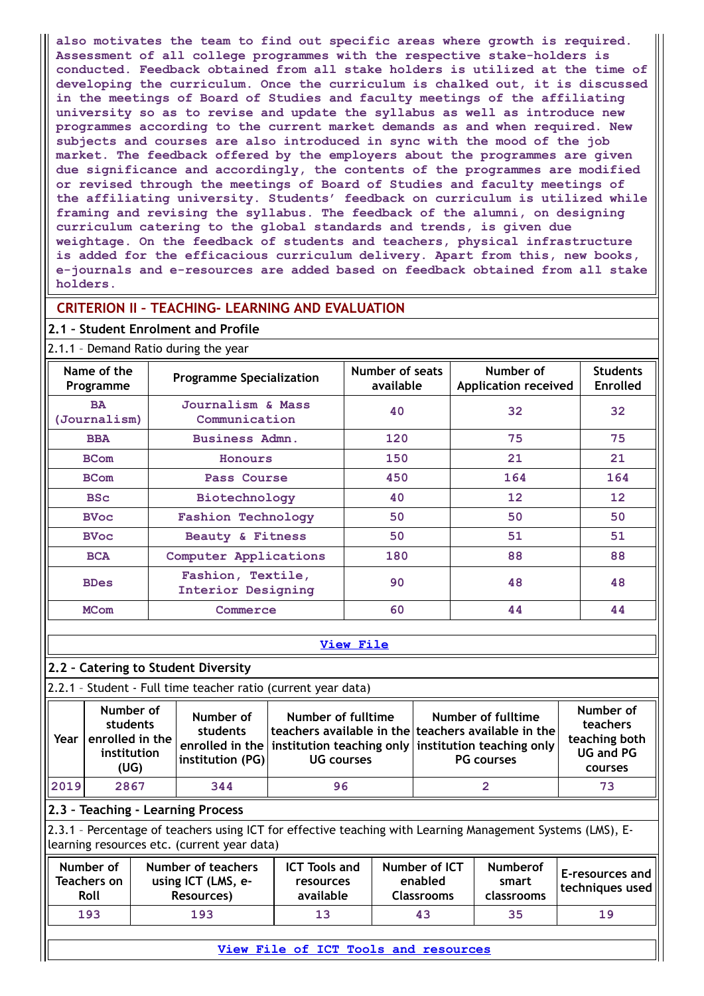**also motivates the team to find out specific areas where growth is required. Assessment of all college programmes with the respective stake-holders is conducted. Feedback obtained from all stake holders is utilized at the time of developing the curriculum. Once the curriculum is chalked out, it is discussed in the meetings of Board of Studies and faculty meetings of the affiliating university so as to revise and update the syllabus as well as introduce new programmes according to the current market demands as and when required. New subjects and courses are also introduced in sync with the mood of the job market. The feedback offered by the employers about the programmes are given due significance and accordingly, the contents of the programmes are modified or revised through the meetings of Board of Studies and faculty meetings of the affiliating university. Students' feedback on curriculum is utilized while framing and revising the syllabus. The feedback of the alumni, on designing curriculum catering to the global standards and trends, is given due weightage. On the feedback of students and teachers, physical infrastructure is added for the efficacious curriculum delivery. Apart from this, new books, e-journals and e-resources are added based on feedback obtained from all stake holders.**

## **CRITERION II – TEACHING- LEARNING AND EVALUATION**

### **2.1 – Student Enrolment and Profile**

| Name of the<br>Programme  | <b>Programme Specialization</b>         | Number of seats<br>available | Number of<br><b>Application received</b> | <b>Students</b><br><b>Enrolled</b> |
|---------------------------|-----------------------------------------|------------------------------|------------------------------------------|------------------------------------|
| <b>BA</b><br>(Journalism) | Journalism & Mass<br>Communication      | 40                           | 32                                       | 32                                 |
| <b>BBA</b>                | Business Admn.                          | 120                          | 75                                       | 75                                 |
| <b>BCom</b>               | Honours                                 | 150                          | 21                                       | 21                                 |
| <b>BCom</b>               | Pass Course                             | 450                          | 164                                      | 164                                |
| <b>BSc</b>                | Biotechnology                           | 40                           | $12 \overline{ }$                        | 12                                 |
| <b>BVoc</b>               | <b>Fashion Technology</b>               | 50                           | 50                                       | 50                                 |
| <b>BVoc</b>               | Beauty & Fitness                        | 50                           | 51                                       | 51                                 |
| <b>BCA</b>                | Computer Applications                   | 180                          | 88                                       | 88                                 |
| <b>BDes</b>               | Fashion, Textile,<br>Interior Designing | 90                           | 48                                       | 48                                 |
| <b>MCom</b>               | Commerce                                | 60                           | 44                                       | 44                                 |

#### **[View](https://assessmentonline.naac.gov.in/public/Postacc/Demand_ratio/12574_Demand_ratio_1630148042.xlsx) File**

## **2.2 – Catering to Student Diversity**

2.2.1 – Student - Full time teacher ratio (current year data)

| Year | Number of<br>students<br>enrolled in the<br>institution<br>(UG) | Number of<br>students<br>institution (PG) | Number of fulltime<br><b>UG</b> courses | Number of fulltime<br>  teachers available in the $ $ teachers available in the $ $<br>$\mid$ enrolled in the $\mid$ institution teaching only $\mid$ institution teaching only $\mid$<br><b>PG</b> courses | Number of<br>teachers<br>teaching both<br><b>UG and PG</b><br>courses |
|------|-----------------------------------------------------------------|-------------------------------------------|-----------------------------------------|-------------------------------------------------------------------------------------------------------------------------------------------------------------------------------------------------------------|-----------------------------------------------------------------------|
| 2019 | 2867                                                            | 344                                       | 96                                      |                                                                                                                                                                                                             | 73                                                                    |

### **2.3 – Teaching - Learning Process**

2.3.1 – Percentage of teachers using ICT for effective teaching with Learning Management Systems (LMS), Elearning resources etc. (current year data)

| Number of<br>Teachers on<br>Roll | Number of teachers<br>using ICT (LMS, e-<br>Resources) | <b>ICT Tools and</b><br>resources<br>available | Number of ICT<br>enabled<br>Classrooms | <b>Numberof</b><br>smart<br>classrooms | <b>IE-resources and</b><br>Itechniques used |
|----------------------------------|--------------------------------------------------------|------------------------------------------------|----------------------------------------|----------------------------------------|---------------------------------------------|
| 193                              | 193                                                    | 13                                             | 43                                     | 35                                     | 19                                          |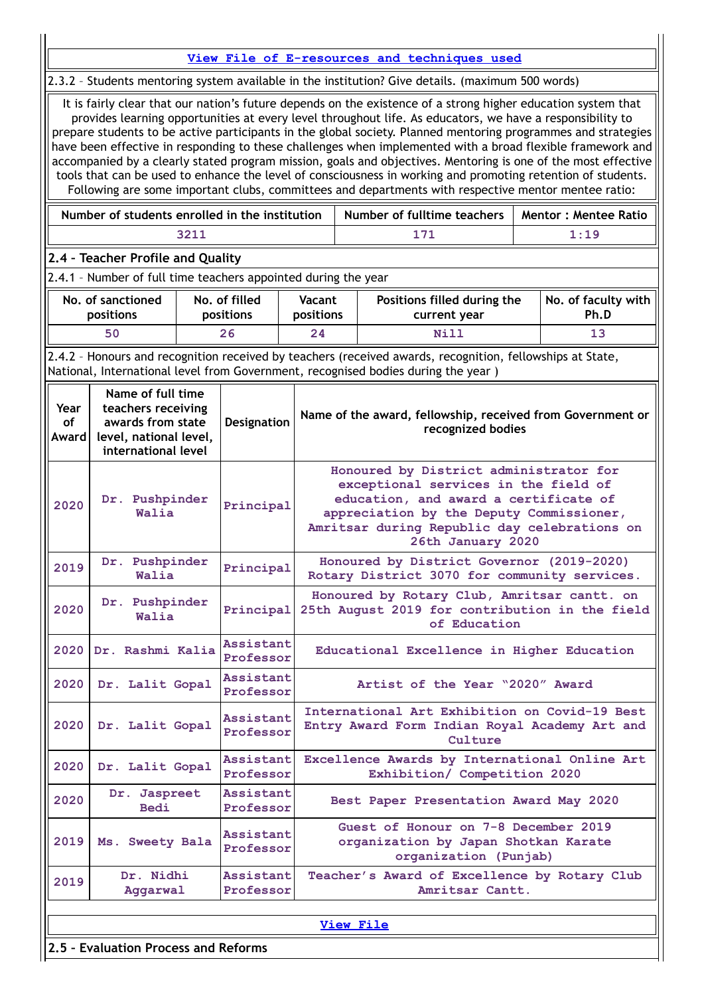| View File of E-resources and techniques used<br>2.3.2 - Students mentoring system available in the institution? Give details. (maximum 500 words)                                                                                                    |                                                                                                                                                                                                                                                                                                                                                                                                                                                                                                                                                                                                                                                                                                                                                                                                   |  |                            |                     |  |                                                                                                                                                                                                                                          |  |                             |  |  |
|------------------------------------------------------------------------------------------------------------------------------------------------------------------------------------------------------------------------------------------------------|---------------------------------------------------------------------------------------------------------------------------------------------------------------------------------------------------------------------------------------------------------------------------------------------------------------------------------------------------------------------------------------------------------------------------------------------------------------------------------------------------------------------------------------------------------------------------------------------------------------------------------------------------------------------------------------------------------------------------------------------------------------------------------------------------|--|----------------------------|---------------------|--|------------------------------------------------------------------------------------------------------------------------------------------------------------------------------------------------------------------------------------------|--|-----------------------------|--|--|
|                                                                                                                                                                                                                                                      | It is fairly clear that our nation's future depends on the existence of a strong higher education system that<br>provides learning opportunities at every level throughout life. As educators, we have a responsibility to<br>prepare students to be active participants in the global society. Planned mentoring programmes and strategies<br>have been effective in responding to these challenges when implemented with a broad flexible framework and<br>accompanied by a clearly stated program mission, goals and objectives. Mentoring is one of the most effective<br>tools that can be used to enhance the level of consciousness in working and promoting retention of students.<br>Following are some important clubs, committees and departments with respective mentor mentee ratio: |  |                            |                     |  |                                                                                                                                                                                                                                          |  |                             |  |  |
|                                                                                                                                                                                                                                                      | Number of students enrolled in the institution<br>Number of fulltime teachers<br><b>Mentor: Mentee Ratio</b>                                                                                                                                                                                                                                                                                                                                                                                                                                                                                                                                                                                                                                                                                      |  |                            |                     |  |                                                                                                                                                                                                                                          |  |                             |  |  |
|                                                                                                                                                                                                                                                      | 1:19<br>3211<br>171                                                                                                                                                                                                                                                                                                                                                                                                                                                                                                                                                                                                                                                                                                                                                                               |  |                            |                     |  |                                                                                                                                                                                                                                          |  |                             |  |  |
|                                                                                                                                                                                                                                                      | 2.4 - Teacher Profile and Quality                                                                                                                                                                                                                                                                                                                                                                                                                                                                                                                                                                                                                                                                                                                                                                 |  |                            |                     |  |                                                                                                                                                                                                                                          |  |                             |  |  |
|                                                                                                                                                                                                                                                      | 2.4.1 - Number of full time teachers appointed during the year                                                                                                                                                                                                                                                                                                                                                                                                                                                                                                                                                                                                                                                                                                                                    |  |                            |                     |  |                                                                                                                                                                                                                                          |  |                             |  |  |
|                                                                                                                                                                                                                                                      | No. of sanctioned<br>positions                                                                                                                                                                                                                                                                                                                                                                                                                                                                                                                                                                                                                                                                                                                                                                    |  | No. of filled<br>positions | Vacant<br>positions |  | Positions filled during the<br>current year                                                                                                                                                                                              |  | No. of faculty with<br>Ph.D |  |  |
|                                                                                                                                                                                                                                                      | 50                                                                                                                                                                                                                                                                                                                                                                                                                                                                                                                                                                                                                                                                                                                                                                                                |  | 26                         | 24                  |  | <b>Nill</b>                                                                                                                                                                                                                              |  | 13                          |  |  |
|                                                                                                                                                                                                                                                      |                                                                                                                                                                                                                                                                                                                                                                                                                                                                                                                                                                                                                                                                                                                                                                                                   |  |                            |                     |  | 2.4.2 - Honours and recognition received by teachers (received awards, recognition, fellowships at State,<br>National, International level from Government, recognised bodies during the year)                                           |  |                             |  |  |
| Name of full time<br>teachers receiving<br>Year<br>Name of the award, fellowship, received from Government or<br>awards from state<br><b>of</b><br><b>Designation</b><br>recognized bodies<br>level, national level,<br>Award<br>international level |                                                                                                                                                                                                                                                                                                                                                                                                                                                                                                                                                                                                                                                                                                                                                                                                   |  |                            |                     |  |                                                                                                                                                                                                                                          |  |                             |  |  |
| 2020                                                                                                                                                                                                                                                 | Dr. Pushpinder<br>Walia                                                                                                                                                                                                                                                                                                                                                                                                                                                                                                                                                                                                                                                                                                                                                                           |  | Principal                  |                     |  | Honoured by District administrator for<br>exceptional services in the field of<br>education, and award a certificate of<br>appreciation by the Deputy Commissioner,<br>Amritsar during Republic day celebrations on<br>26th January 2020 |  |                             |  |  |
| 2019                                                                                                                                                                                                                                                 | Dr. Pushpinder<br>Walia                                                                                                                                                                                                                                                                                                                                                                                                                                                                                                                                                                                                                                                                                                                                                                           |  | Principal                  |                     |  | Honoured by District Governor (2019-2020)<br>Rotary District 3070 for community services.                                                                                                                                                |  |                             |  |  |
| 2020                                                                                                                                                                                                                                                 | Dr. Pushpinder<br>Walia                                                                                                                                                                                                                                                                                                                                                                                                                                                                                                                                                                                                                                                                                                                                                                           |  | Principal                  |                     |  | Honoured by Rotary Club, Amritsar cantt. on<br>25th August 2019 for contribution in the field<br>of Education                                                                                                                            |  |                             |  |  |
| 2020                                                                                                                                                                                                                                                 | Dr. Rashmi Kalia                                                                                                                                                                                                                                                                                                                                                                                                                                                                                                                                                                                                                                                                                                                                                                                  |  | Assistant<br>Professor     |                     |  | Educational Excellence in Higher Education                                                                                                                                                                                               |  |                             |  |  |
| 2020                                                                                                                                                                                                                                                 | Dr. Lalit Gopal                                                                                                                                                                                                                                                                                                                                                                                                                                                                                                                                                                                                                                                                                                                                                                                   |  | Assistant<br>Professor     |                     |  | Artist of the Year "2020" Award                                                                                                                                                                                                          |  |                             |  |  |
| 2020                                                                                                                                                                                                                                                 | Dr. Lalit Gopal                                                                                                                                                                                                                                                                                                                                                                                                                                                                                                                                                                                                                                                                                                                                                                                   |  | Assistant<br>Professor     |                     |  | International Art Exhibition on Covid-19 Best<br>Entry Award Form Indian Royal Academy Art and<br>Culture                                                                                                                                |  |                             |  |  |
| 2020                                                                                                                                                                                                                                                 | Dr. Lalit Gopal                                                                                                                                                                                                                                                                                                                                                                                                                                                                                                                                                                                                                                                                                                                                                                                   |  | Assistant<br>Professor     |                     |  | Excellence Awards by International Online Art<br>Exhibition/ Competition 2020                                                                                                                                                            |  |                             |  |  |
| 2020                                                                                                                                                                                                                                                 | Dr. Jaspreet<br><b>Bedi</b>                                                                                                                                                                                                                                                                                                                                                                                                                                                                                                                                                                                                                                                                                                                                                                       |  | Assistant<br>Professor     |                     |  | Best Paper Presentation Award May 2020                                                                                                                                                                                                   |  |                             |  |  |
| 2019                                                                                                                                                                                                                                                 | Ms. Sweety Bala                                                                                                                                                                                                                                                                                                                                                                                                                                                                                                                                                                                                                                                                                                                                                                                   |  | Assistant<br>Professor     |                     |  | Guest of Honour on 7-8 December 2019<br>organization by Japan Shotkan Karate<br>organization (Punjab)                                                                                                                                    |  |                             |  |  |
| 2019                                                                                                                                                                                                                                                 | Dr. Nidhi<br>Aggarwal                                                                                                                                                                                                                                                                                                                                                                                                                                                                                                                                                                                                                                                                                                                                                                             |  | Assistant<br>Professor     |                     |  | Teacher's Award of Excellence by Rotary Club<br>Amritsar Cantt.                                                                                                                                                                          |  |                             |  |  |
|                                                                                                                                                                                                                                                      |                                                                                                                                                                                                                                                                                                                                                                                                                                                                                                                                                                                                                                                                                                                                                                                                   |  |                            |                     |  | <b>View File</b>                                                                                                                                                                                                                         |  |                             |  |  |
|                                                                                                                                                                                                                                                      | 2.5 - Evaluation Process and Reforms                                                                                                                                                                                                                                                                                                                                                                                                                                                                                                                                                                                                                                                                                                                                                              |  |                            |                     |  |                                                                                                                                                                                                                                          |  |                             |  |  |
|                                                                                                                                                                                                                                                      |                                                                                                                                                                                                                                                                                                                                                                                                                                                                                                                                                                                                                                                                                                                                                                                                   |  |                            |                     |  |                                                                                                                                                                                                                                          |  |                             |  |  |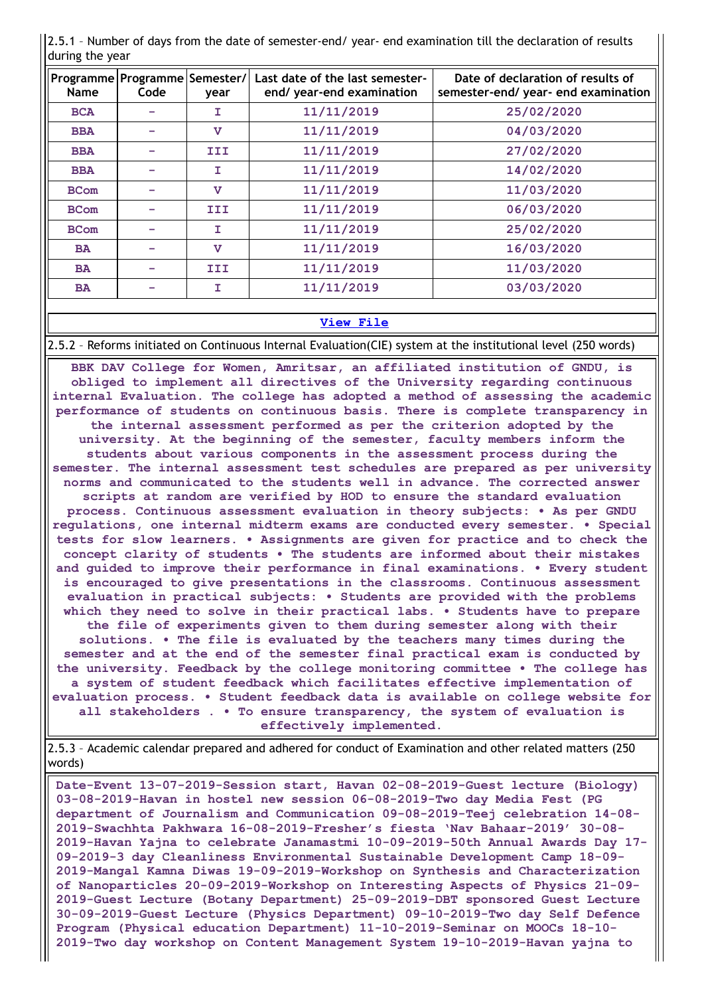| <b>Name</b> | Programme   Programme   Semester /<br>Code | year         | Last date of the last semester-<br>end/ year-end examination | Date of declaration of results of<br>semester-end/ year- end examination |
|-------------|--------------------------------------------|--------------|--------------------------------------------------------------|--------------------------------------------------------------------------|
| <b>BCA</b>  |                                            | I            | 11/11/2019                                                   | 25/02/2020                                                               |
| <b>BBA</b>  |                                            | $\mathbf v$  | 11/11/2019                                                   | 04/03/2020                                                               |
| <b>BBA</b>  |                                            | III          | 11/11/2019                                                   | 27/02/2020                                                               |
| <b>BBA</b>  |                                            | T            | 11/11/2019                                                   | 14/02/2020                                                               |
| <b>BCom</b> |                                            | $\mathbf v$  | 11/11/2019                                                   | 11/03/2020                                                               |
| <b>BCom</b> |                                            | III          | 11/11/2019                                                   | 06/03/2020                                                               |
| <b>BCom</b> |                                            | I            | 11/11/2019                                                   | 25/02/2020                                                               |
| <b>BA</b>   |                                            | $\mathbf{v}$ | 11/11/2019                                                   | 16/03/2020                                                               |
| <b>BA</b>   |                                            | III          | 11/11/2019                                                   | 11/03/2020                                                               |
| <b>BA</b>   |                                            | T            | 11/11/2019                                                   | 03/03/2020                                                               |

2.5.1 – Number of days from the date of semester-end/ year- end examination till the declaration of results during the year

## **[View](https://assessmentonline.naac.gov.in/public/Postacc/Evaluation/12574_Evaluation_1630149511.xlsx) File**

2.5.2 – Reforms initiated on Continuous Internal Evaluation(CIE) system at the institutional level (250 words)

**BBK DAV College for Women, Amritsar, an affiliated institution of GNDU, is obliged to implement all directives of the University regarding continuous internal Evaluation. The college has adopted a method of assessing the academic performance of students on continuous basis. There is complete transparency in the internal assessment performed as per the criterion adopted by the university. At the beginning of the semester, faculty members inform the students about various components in the assessment process during the semester. The internal assessment test schedules are prepared as per university norms and communicated to the students well in advance. The corrected answer scripts at random are verified by HOD to ensure the standard evaluation process. Continuous assessment evaluation in theory subjects: • As per GNDU regulations, one internal midterm exams are conducted every semester. • Special tests for slow learners. • Assignments are given for practice and to check the concept clarity of students • The students are informed about their mistakes and guided to improve their performance in final examinations. • Every student is encouraged to give presentations in the classrooms. Continuous assessment evaluation in practical subjects: • Students are provided with the problems which they need to solve in their practical labs. • Students have to prepare the file of experiments given to them during semester along with their solutions. • The file is evaluated by the teachers many times during the semester and at the end of the semester final practical exam is conducted by the university. Feedback by the college monitoring committee • The college has a system of student feedback which facilitates effective implementation of evaluation process. • Student feedback data is available on college website for all stakeholders . • To ensure transparency, the system of evaluation is effectively implemented.**

2.5.3 – Academic calendar prepared and adhered for conduct of Examination and other related matters (250 words)

**Date-Event 13-07-2019-Session start, Havan 02-08-2019-Guest lecture (Biology) 03-08-2019-Havan in hostel new session 06-08-2019-Two day Media Fest (PG department of Journalism and Communication 09-08-2019-Teej celebration 14-08- 2019-Swachhta Pakhwara 16-08-2019-Fresher's fiesta 'Nav Bahaar-2019' 30-08- 2019-Havan Yajna to celebrate Janamastmi 10-09-2019-50th Annual Awards Day 17- 09-2019-3 day Cleanliness Environmental Sustainable Development Camp 18-09- 2019-Mangal Kamna Diwas 19-09-2019-Workshop on Synthesis and Characterization of Nanoparticles 20-09-2019-Workshop on Interesting Aspects of Physics 21-09- 2019-Guest Lecture (Botany Department) 25-09-2019-DBT sponsored Guest Lecture 30-09-2019-Guest Lecture (Physics Department) 09-10-2019-Two day Self Defence Program (Physical education Department) 11-10-2019-Seminar on MOOCs 18-10- 2019-Two day workshop on Content Management System 19-10-2019-Havan yajna to**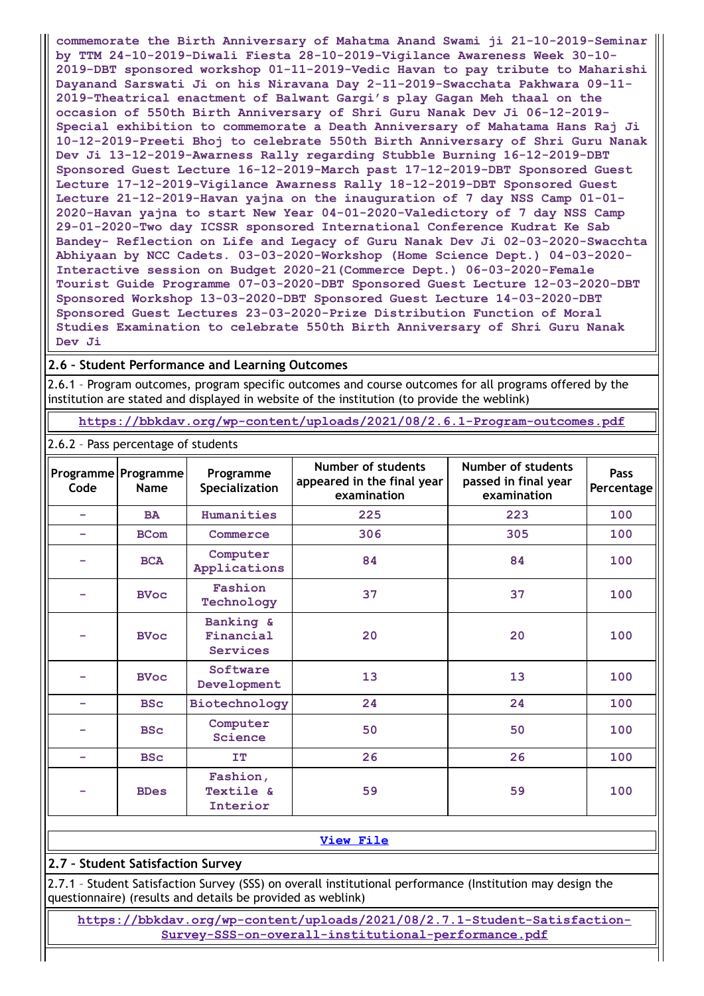**commemorate the Birth Anniversary of Mahatma Anand Swami ji 21-10-2019-Seminar by TTM 24-10-2019-Diwali Fiesta 28-10-2019-Vigilance Awareness Week 30-10- 2019-DBT sponsored workshop 01-11-2019-Vedic Havan to pay tribute to Maharishi Dayanand Sarswati Ji on his Niravana Day 2-11-2019-Swacchata Pakhwara 09-11- 2019-Theatrical enactment of Balwant Gargi's play Gagan Meh thaal on the occasion of 550th Birth Anniversary of Shri Guru Nanak Dev Ji 06-12-2019- Special exhibition to commemorate a Death Anniversary of Mahatama Hans Raj Ji 10-12-2019-Preeti Bhoj to celebrate 550th Birth Anniversary of Shri Guru Nanak Dev Ji 13-12-2019-Awarness Rally regarding Stubble Burning 16-12-2019-DBT Sponsored Guest Lecture 16-12-2019-March past 17-12-2019-DBT Sponsored Guest Lecture 17-12-2019-Vigilance Awarness Rally 18-12-2019-DBT Sponsored Guest Lecture 21-12-2019-Havan yajna on the inauguration of 7 day NSS Camp 01-01- 2020-Havan yajna to start New Year 04-01-2020-Valedictory of 7 day NSS Camp 29-01-2020-Two day ICSSR sponsored International Conference Kudrat Ke Sab Bandey- Reflection on Life and Legacy of Guru Nanak Dev Ji 02-03-2020-Swacchta Abhiyaan by NCC Cadets. 03-03-2020-Workshop (Home Science Dept.) 04-03-2020- Interactive session on Budget 2020-21(Commerce Dept.) 06-03-2020-Female Tourist Guide Programme 07-03-2020-DBT Sponsored Guest Lecture 12-03-2020-DBT Sponsored Workshop 13-03-2020-DBT Sponsored Guest Lecture 14-03-2020-DBT Sponsored Guest Lectures 23-03-2020-Prize Distribution Function of Moral Studies Examination to celebrate 550th Birth Anniversary of Shri Guru Nanak Dev Ji**

## **2.6 – Student Performance and Learning Outcomes**

2.6.1 – Program outcomes, program specific outcomes and course outcomes for all programs offered by the institution are stated and displayed in website of the institution (to provide the weblink)

**<https://bbkdav.org/wp-content/uploads/2021/08/2.6.1-Program-outcomes.pdf>**

| 2.6.2 - Pass percentage of students |                             |                                           |                                                                 |                                                           |                           |
|-------------------------------------|-----------------------------|-------------------------------------------|-----------------------------------------------------------------|-----------------------------------------------------------|---------------------------|
| Code                                | Programme Programme<br>Name | Programme<br>Specialization               | Number of students<br>appeared in the final year<br>examination | Number of students<br>passed in final year<br>examination | <b>Pass</b><br>Percentage |
|                                     | <b>BA</b>                   | Humanities                                | 225                                                             | 223                                                       | 100                       |
|                                     | <b>BCom</b>                 | Commerce                                  | 306                                                             | 305                                                       | 100                       |
|                                     | <b>BCA</b>                  | Computer<br>Applications                  | 84                                                              | 84                                                        | 100                       |
|                                     | <b>BVoc</b>                 | Fashion<br>Technology                     | 37                                                              | 37                                                        | 100                       |
|                                     | <b>BVoc</b>                 | Banking &<br>Financial<br><b>Services</b> | 20                                                              | 20                                                        | 100                       |
|                                     | <b>BVoc</b>                 | Software<br>Development                   | 13                                                              | 13                                                        | 100                       |
| -                                   | <b>BSc</b>                  | Biotechnology                             | 24                                                              | 24                                                        | 100                       |
|                                     | <b>BSc</b>                  | Computer<br>Science                       | 50                                                              | 50                                                        | 100                       |
| -                                   | <b>BSc</b>                  | <b>IT</b>                                 | 26                                                              | 26                                                        | 100                       |
|                                     | <b>BDes</b>                 | Fashion,<br>Textile &<br>Interior         | 59                                                              | 59                                                        | 100                       |

### **[View](https://assessmentonline.naac.gov.in/public/Postacc/Pass_percentage/12574_Pass_percentage_1630150422.xlsx) File**

## **2.7 – Student Satisfaction Survey**

2.7.1 – Student Satisfaction Survey (SSS) on overall institutional performance (Institution may design the questionnaire) (results and details be provided as weblink)

**[https://bbkdav.org/wp-content/uploads/2021/08/2.7.1-Student-Satisfaction-](https://bbkdav.org/wp-content/uploads/2021/08/2.7.1-Student-Satisfaction-Survey-SSS-on-overall-institutional-performance.pdf)Survey-SSS-on-overall-institutional-performance.pdf**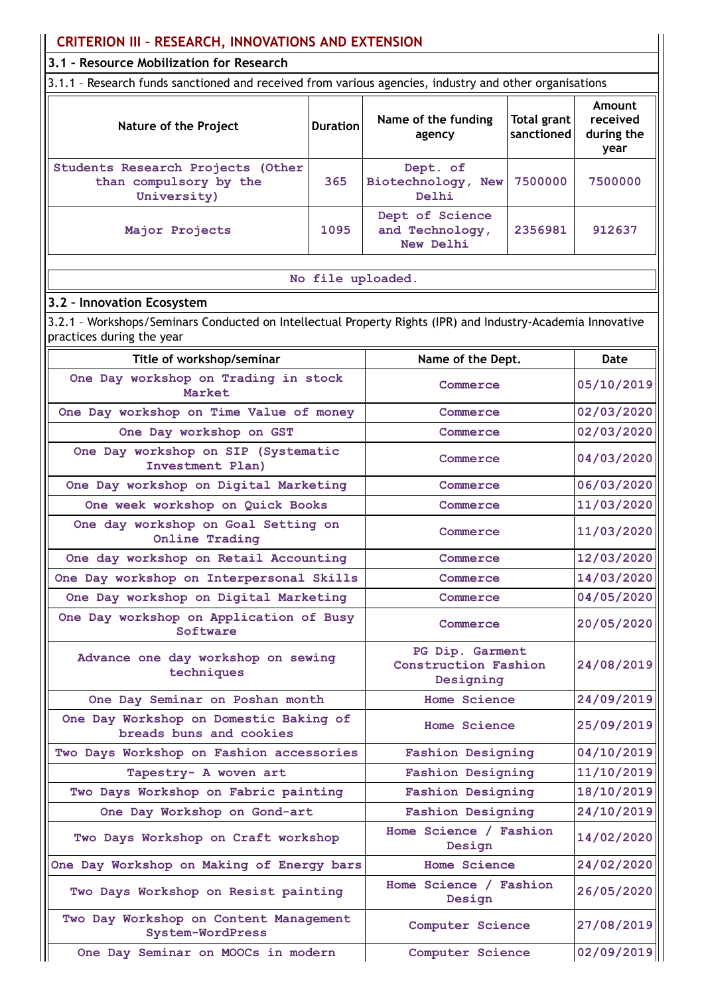| <b>CRITERION III - RESEARCH, INNOVATIONS AND EXTENSION</b>                                                                               |                   |                                                      |                           |                                          |  |
|------------------------------------------------------------------------------------------------------------------------------------------|-------------------|------------------------------------------------------|---------------------------|------------------------------------------|--|
| 3.1 - Resource Mobilization for Research                                                                                                 |                   |                                                      |                           |                                          |  |
| 3.1.1 - Research funds sanctioned and received from various agencies, industry and other organisations                                   |                   |                                                      |                           |                                          |  |
| Nature of the Project                                                                                                                    | <b>Duration</b>   | Name of the funding<br>agency                        | Total grant<br>sanctioned | Amount<br>received<br>during the<br>year |  |
| Students Research Projects (Other<br>than compulsory by the<br>University)                                                               | 365               | Dept. of<br>Biotechnology, New<br>Delhi              | 7500000                   | 7500000                                  |  |
| Major Projects                                                                                                                           | 1095              | Dept of Science<br>and Technology,<br>New Delhi      | 2356981                   | 912637                                   |  |
|                                                                                                                                          | No file uploaded. |                                                      |                           |                                          |  |
| 3.2 - Innovation Ecosystem                                                                                                               |                   |                                                      |                           |                                          |  |
| 3.2.1 - Workshops/Seminars Conducted on Intellectual Property Rights (IPR) and Industry-Academia Innovative<br>practices during the year |                   |                                                      |                           |                                          |  |
| Title of workshop/seminar                                                                                                                |                   | Name of the Dept.                                    |                           | Date                                     |  |
| One Day workshop on Trading in stock<br>Market                                                                                           |                   | Commerce                                             |                           | 05/10/2019                               |  |
| One Day workshop on Time Value of money                                                                                                  | Commerce          |                                                      | 02/03/2020                |                                          |  |
| One Day workshop on GST                                                                                                                  |                   | Commerce                                             |                           | 02/03/2020                               |  |
| One Day workshop on SIP (Systematic<br>Investment Plan)                                                                                  | Commerce          |                                                      | 04/03/2020                |                                          |  |
| One Day workshop on Digital Marketing                                                                                                    | Commerce          |                                                      | 06/03/2020                |                                          |  |
| One week workshop on Quick Books                                                                                                         | Commerce          |                                                      | 11/03/2020                |                                          |  |
| One day workshop on Goal Setting on<br>Online Trading                                                                                    |                   | Commerce                                             |                           | 11/03/2020                               |  |
| One day workshop on Retail Accounting                                                                                                    |                   | Commerce                                             |                           | 12/03/2020                               |  |
| One Day workshop on Interpersonal Skills                                                                                                 |                   | Commerce                                             |                           | 14/03/2020                               |  |
| One Day workshop on Digital Marketing                                                                                                    |                   | Commerce                                             |                           | 04/05/2020                               |  |
| One Day workshop on Application of Busy<br>Software                                                                                      |                   | Commerce                                             |                           | 20/05/2020                               |  |
| Advance one day workshop on sewing<br>techniques                                                                                         |                   | PG Dip. Garment<br>Construction Fashion<br>Designing |                           | 24/08/2019                               |  |
| One Day Seminar on Poshan month                                                                                                          |                   | <b>Home Science</b>                                  |                           | 24/09/2019                               |  |
| One Day Workshop on Domestic Baking of<br>breads buns and cookies                                                                        |                   | <b>Home Science</b>                                  |                           | 25/09/2019                               |  |
| Two Days Workshop on Fashion accessories                                                                                                 |                   | <b>Fashion Designing</b>                             |                           | 04/10/2019                               |  |
| Tapestry- A woven art                                                                                                                    |                   | <b>Fashion Designing</b>                             |                           | 11/10/2019                               |  |
| Two Days Workshop on Fabric painting                                                                                                     |                   | <b>Fashion Designing</b>                             |                           | 18/10/2019                               |  |
| One Day Workshop on Gond-art                                                                                                             |                   | <b>Fashion Designing</b>                             |                           | 24/10/2019                               |  |
| Two Days Workshop on Craft workshop                                                                                                      |                   | Home Science / Fashion<br>Design                     |                           | 14/02/2020                               |  |
| One Day Workshop on Making of Energy bars                                                                                                |                   | <b>Home Science</b>                                  |                           | 24/02/2020                               |  |
| Two Days Workshop on Resist painting                                                                                                     |                   | Home Science / Fashion<br>Design                     |                           | 26/05/2020                               |  |
| Two Day Workshop on Content Management<br>System-WordPress                                                                               |                   | Computer Science                                     |                           | 27/08/2019                               |  |
| One Day Seminar on MOOCs in modern                                                                                                       |                   | Computer Science                                     |                           | 02/09/2019                               |  |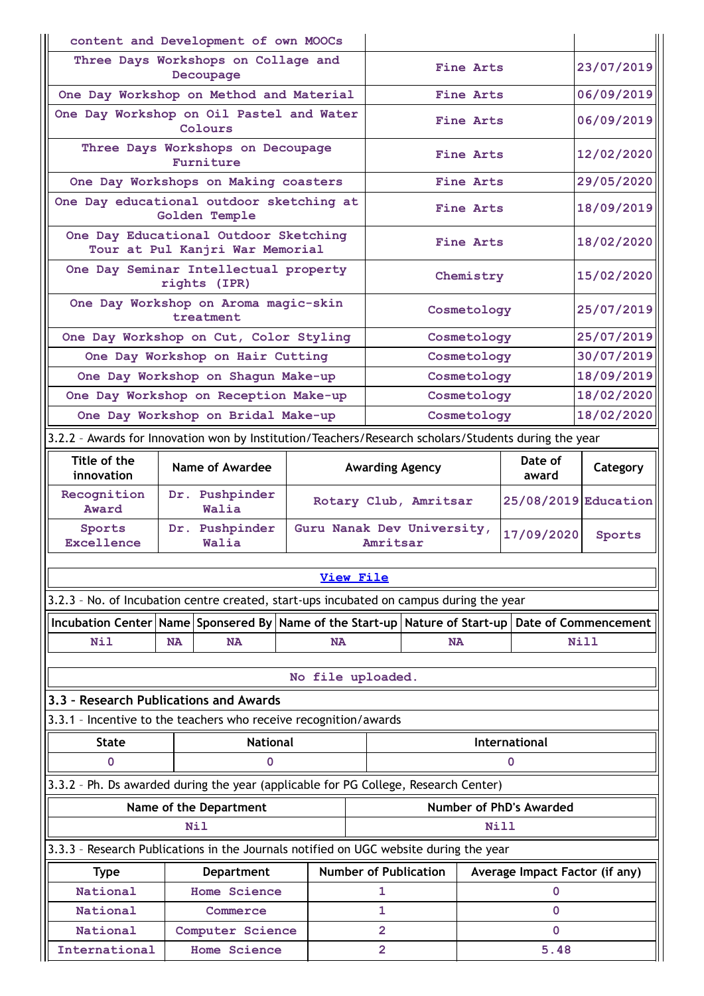| Decoupage                                                                                            |                                                     |                                            |                            |               |                                |
|------------------------------------------------------------------------------------------------------|-----------------------------------------------------|--------------------------------------------|----------------------------|---------------|--------------------------------|
|                                                                                                      | Three Days Workshops on Collage and                 |                                            |                            |               |                                |
|                                                                                                      | One Day Workshop on Method and Material             |                                            |                            |               |                                |
|                                                                                                      | One Day Workshop on Oil Pastel and Water<br>Colours |                                            |                            |               | 06/09/2019                     |
| Three Days Workshops on Decoupage<br>Furniture                                                       |                                                     |                                            | Fine Arts                  |               | 12/02/2020                     |
| One Day Workshops on Making coasters                                                                 |                                                     |                                            | Fine Arts                  |               | 29/05/2020                     |
| One Day educational outdoor sketching at<br>Golden Temple                                            |                                                     |                                            | Fine Arts                  |               | 18/09/2019                     |
| One Day Educational Outdoor Sketching<br>Tour at Pul Kanjri War Memorial                             |                                                     |                                            | Fine Arts                  |               | 18/02/2020                     |
| One Day Seminar Intellectual property<br>rights (IPR)                                                |                                                     |                                            | Chemistry                  |               | 15/02/2020                     |
| One Day Workshop on Aroma magic-skin<br>treatment                                                    |                                                     |                                            | Cosmetology                |               | 25/07/2019                     |
| One Day Workshop on Cut, Color Styling                                                               |                                                     |                                            | Cosmetology                |               | 25/07/2019                     |
| One Day Workshop on Hair Cutting                                                                     |                                                     |                                            | Cosmetology                |               | 30/07/2019                     |
| One Day Workshop on Shagun Make-up                                                                   |                                                     |                                            | Cosmetology                |               | 18/09/2019                     |
| One Day Workshop on Reception Make-up                                                                |                                                     |                                            | Cosmetology                |               | 18/02/2020                     |
| One Day Workshop on Bridal Make-up                                                                   | Cosmetology                                         |                                            | 18/02/2020                 |               |                                |
| 3.2.2 - Awards for Innovation won by Institution/Teachers/Research scholars/Students during the year |                                                     |                                            |                            |               |                                |
| Title of the<br><b>Name of Awardee</b><br>innovation                                                 |                                                     | Date of<br><b>Awarding Agency</b><br>award |                            |               | Category                       |
| Recognition<br>Dr. Pushpinder<br>Award<br>Walia                                                      |                                                     | Rotary Club, Amritsar                      |                            |               | 25/08/2019 Education           |
| Dr. Pushpinder<br>Sports<br>Excellence<br>Walia                                                      |                                                     | Amritsar                                   | Guru Nanak Dev University, | 17/09/2020    | Sports                         |
|                                                                                                      | <b>View File</b>                                    |                                            |                            |               |                                |
| 3.2.3 - No. of Incubation centre created, start-ups incubated on campus during the year              |                                                     |                                            |                            |               |                                |
| Incubation Center Name Sponsered By Name of the Start-up Nature of Start-up Date of Commencement     |                                                     |                                            |                            |               |                                |
| Nil<br><b>NA</b><br><b>NA</b>                                                                        | <b>NA</b>                                           |                                            | <b>NA</b>                  |               | Nill                           |
|                                                                                                      |                                                     |                                            |                            |               |                                |
|                                                                                                      | No file uploaded.                                   |                                            |                            |               |                                |
| 3.3 - Research Publications and Awards                                                               |                                                     |                                            |                            |               |                                |
| 3.3.1 - Incentive to the teachers who receive recognition/awards                                     |                                                     |                                            |                            |               |                                |
| <b>National</b><br><b>State</b>                                                                      |                                                     |                                            |                            | International |                                |
| $\mathbf 0$<br>0                                                                                     |                                                     |                                            |                            | $\mathbf 0$   |                                |
| 3.3.2 - Ph. Ds awarded during the year (applicable for PG College, Research Center)                  |                                                     |                                            |                            |               |                                |
| Name of the Department                                                                               |                                                     | Number of PhD's Awarded                    |                            |               |                                |
|                                                                                                      |                                                     |                                            |                            | Nill          |                                |
| Nil                                                                                                  |                                                     |                                            |                            |               |                                |
| 3.3.3 - Research Publications in the Journals notified on UGC website during the year                | <b>Number of Publication</b>                        |                                            |                            |               | Average Impact Factor (if any) |
| <b>Type</b><br><b>Department</b>                                                                     |                                                     |                                            |                            |               |                                |
| National<br><b>Home Science</b>                                                                      |                                                     | 1                                          |                            | 0             |                                |
| National<br>Commerce                                                                                 |                                                     | 1                                          |                            | $\mathbf 0$   |                                |
| National<br>Computer Science                                                                         |                                                     | $\overline{2}$                             |                            | $\Omega$      |                                |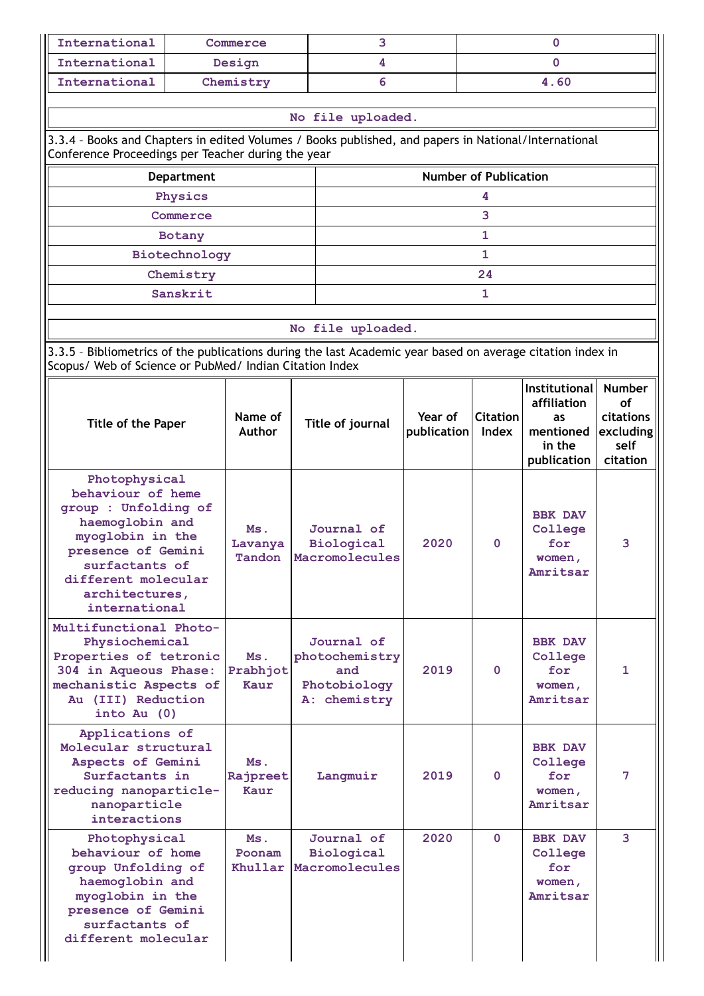| International                                                                                                                                                                                       |               | Commerce                 |               | 3                                                                   |                        |                              | 0                                                                |                                                              |  |  |
|-----------------------------------------------------------------------------------------------------------------------------------------------------------------------------------------------------|---------------|--------------------------|---------------|---------------------------------------------------------------------|------------------------|------------------------------|------------------------------------------------------------------|--------------------------------------------------------------|--|--|
| International                                                                                                                                                                                       |               | Design                   | 4<br>$\Omega$ |                                                                     |                        |                              |                                                                  |                                                              |  |  |
| International                                                                                                                                                                                       |               | Chemistry                |               | 6                                                                   |                        |                              | 4.60                                                             |                                                              |  |  |
| 3.3.4 - Books and Chapters in edited Volumes / Books published, and papers in National/International<br>Conference Proceedings per Teacher during the year                                          |               |                          |               | No file uploaded.                                                   |                        |                              |                                                                  |                                                              |  |  |
|                                                                                                                                                                                                     | Department    |                          |               |                                                                     |                        | <b>Number of Publication</b> |                                                                  |                                                              |  |  |
| Physics                                                                                                                                                                                             |               |                          |               |                                                                     |                        |                              |                                                                  |                                                              |  |  |
| 3<br>Commerce                                                                                                                                                                                       |               |                          |               |                                                                     |                        |                              |                                                                  |                                                              |  |  |
|                                                                                                                                                                                                     | <b>Botany</b> |                          |               |                                                                     |                        | 1                            |                                                                  |                                                              |  |  |
|                                                                                                                                                                                                     | Biotechnology |                          |               |                                                                     |                        | 1                            |                                                                  |                                                              |  |  |
|                                                                                                                                                                                                     | Chemistry     |                          |               |                                                                     |                        | 24                           |                                                                  |                                                              |  |  |
|                                                                                                                                                                                                     | Sanskrit      |                          |               |                                                                     |                        | 1                            |                                                                  |                                                              |  |  |
|                                                                                                                                                                                                     |               |                          |               | No file uploaded.                                                   |                        |                              |                                                                  |                                                              |  |  |
| 3.3.5 - Bibliometrics of the publications during the last Academic year based on average citation index in<br>Scopus/ Web of Science or PubMed/ Indian Citation Index                               |               |                          |               |                                                                     |                        |                              |                                                                  |                                                              |  |  |
| Title of the Paper                                                                                                                                                                                  |               | Name of<br><b>Author</b> |               | Title of journal                                                    | Year of<br>publication | <b>Citation</b><br>Index     | <b>Institutional</b><br>affiliation<br>as<br>mentioned<br>in the | <b>Number</b><br><b>of</b><br>citations<br>excluding<br>self |  |  |
|                                                                                                                                                                                                     |               |                          |               |                                                                     |                        |                              | publication                                                      | citation                                                     |  |  |
| Photophysical<br>behaviour of heme<br>group : Unfolding of<br>haemoglobin and<br>myoglobin in the<br>presence of Gemini<br>surfactants of<br>different molecular<br>architectures,<br>international |               | Ms.<br>Lavanya<br>Tandon |               | Journal of<br>Biological<br>Macromolecules                          | 2020                   | 0                            | <b>BBK DAV</b><br>College<br>for<br>women,<br>Amritsar           | з                                                            |  |  |
| Multifunctional Photo-<br>Physiochemical<br>Properties of tetronic<br>304 in Aqueous Phase:<br>mechanistic Aspects of<br>Au (III) Reduction<br>into Au $(0)$                                        |               | Ms.<br>Prabhjot<br>Kaur  |               | Journal of<br>photochemistry<br>and<br>Photobiology<br>A: chemistry | 2019                   | $\Omega$                     | <b>BBK DAV</b><br>College<br>for<br>women,<br>Amritsar           | 1                                                            |  |  |
| Applications of<br>Molecular structural<br>Aspects of Gemini<br>Surfactants in<br>reducing nanoparticle-<br>nanoparticle<br>interactions                                                            |               | Ms.<br>Rajpreet<br>Kaur  |               | Langmuir                                                            | 2019                   | $\Omega$                     | <b>BBK DAV</b><br>College<br>for<br>women,<br>Amritsar           | 7                                                            |  |  |
| Photophysical<br>behaviour of home<br>group Unfolding of<br>haemoglobin and<br>myoglobin in the<br>presence of Gemini<br>surfactants of<br>different molecular                                      |               | Ms.<br>Poonam<br>Khullar |               | Journal of<br>Biological<br>Macromolecules                          | 2020                   | $\Omega$                     | <b>BBK DAV</b><br>College<br>for<br>women,<br>Amritsar           | 3                                                            |  |  |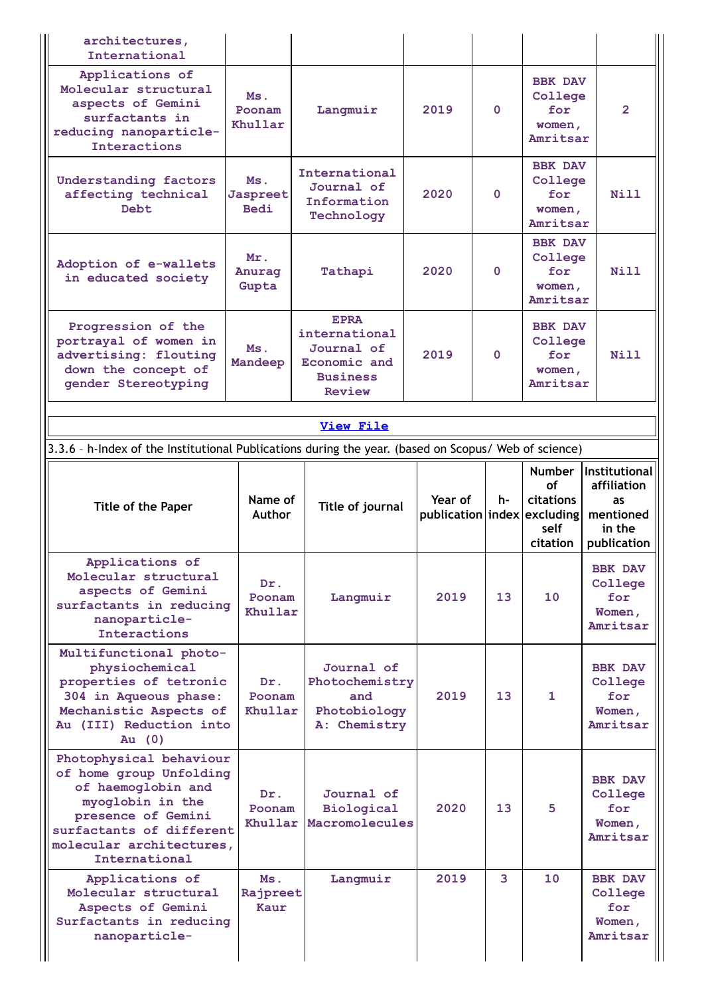| International                                                                                                                                                                               |                                |                                                                                                |                             |              |                                                        |                                                                                                                  |
|---------------------------------------------------------------------------------------------------------------------------------------------------------------------------------------------|--------------------------------|------------------------------------------------------------------------------------------------|-----------------------------|--------------|--------------------------------------------------------|------------------------------------------------------------------------------------------------------------------|
| Applications of<br>Molecular structural<br>aspects of Gemini<br>surfactants in<br>reducing nanoparticle-<br>Interactions                                                                    | Ms.<br>Poonam<br>Khullar       | Langmuir                                                                                       | 2019                        | $\mathbf{0}$ | <b>BBK DAV</b><br>College<br>for<br>women,<br>Amritsar | $\overline{2}$                                                                                                   |
| <b>Understanding factors</b><br>affecting technical<br>Debt                                                                                                                                 | Ms.<br>Jaspreet<br><b>Bedi</b> | International<br>Journal of<br>Information<br>Technology                                       | 2020                        | $\Omega$     | <b>BBK DAV</b><br>College<br>for<br>women,<br>Amritsar | N <sub>i</sub> 11                                                                                                |
| Adoption of e-wallets<br>in educated society                                                                                                                                                | Mr.<br>Anurag<br>Gupta         | Tathapi                                                                                        | 2020                        | $\Omega$     | <b>BBK DAV</b><br>College<br>for<br>women,<br>Amritsar | Nill                                                                                                             |
| Progression of the<br>portrayal of women in<br>advertising: flouting<br>down the concept of<br>gender Stereotyping                                                                          | Ms.<br>Mandeep                 | <b>EPRA</b><br>international<br>Journal of<br>Economic and<br><b>Business</b><br><b>Review</b> | 2019                        | $\Omega$     | <b>BBK DAV</b><br>College<br>for<br>women,<br>Amritsar | Nill                                                                                                             |
|                                                                                                                                                                                             |                                | View File                                                                                      |                             |              |                                                        |                                                                                                                  |
| 3.3.6 - h-Index of the Institutional Publications during the year. (based on Scopus/ Web of science)                                                                                        |                                |                                                                                                |                             |              |                                                        |                                                                                                                  |
| Title of the Paper                                                                                                                                                                          | Name of                        | Title of journal                                                                               | Year of                     | h-           | Number Institutional<br><b>of</b><br>citations         | affiliation<br>as                                                                                                |
|                                                                                                                                                                                             | <b>Author</b>                  |                                                                                                | publication index excluding |              | self<br>citation                                       |                                                                                                                  |
| Applications of<br>Molecular structural<br>aspects of Gemini<br>surfactants in reducing<br>nanoparticle-<br>Interactions                                                                    | Dr.<br>Poonam<br>Khullar       | Langmuir                                                                                       | 2019                        | 13           | 10 <sub>1</sub>                                        | mentioned<br>in the<br>publication<br><b>BBK DAV</b><br>College<br>for<br>Women,<br>Amritsar                     |
| Multifunctional photo-<br>physiochemical<br>properties of tetronic<br>304 in Aqueous phase:<br>Mechanistic Aspects of<br>Au (III) Reduction into<br>Au $(0)$                                | Dr.<br>Poonam<br>Khullar       | Journal of<br>Photochemistry<br>and<br>Photobiology<br>A: Chemistry                            | 2019                        | 13           | 1                                                      |                                                                                                                  |
| Photophysical behaviour<br>of home group Unfolding<br>of haemoglobin and<br>myoglobin in the<br>presence of Gemini<br>surfactants of different<br>molecular architectures,<br>International | Dr.<br>Poonam<br>Khullar       | Journal of<br>Biological<br>Macromolecules                                                     | 2020                        | 13           | 5.                                                     | <b>BBK DAV</b><br>College<br>for<br>Women,<br>Amritsar<br><b>BBK DAV</b><br>College<br>for<br>Women,<br>Amritsar |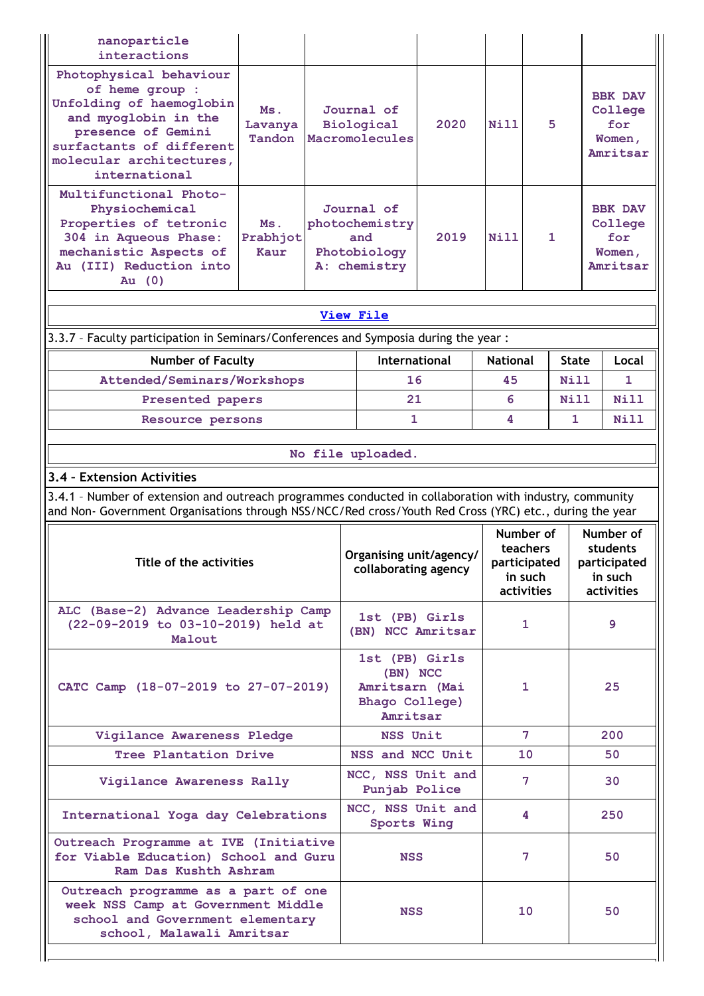| nanoparticle<br>interactions                                                                                                                                                                                       |                                            |                                                                     |                                                                            |                                                   |           |              |                                                          |                                                        |
|--------------------------------------------------------------------------------------------------------------------------------------------------------------------------------------------------------------------|--------------------------------------------|---------------------------------------------------------------------|----------------------------------------------------------------------------|---------------------------------------------------|-----------|--------------|----------------------------------------------------------|--------------------------------------------------------|
| Photophysical behaviour<br>of heme group :<br>Unfolding of haemoglobin<br>and myoglobin in the<br>presence of Gemini<br>surfactants of different<br>molecular architectures,<br>international                      | Journal of<br>Biological<br>Macromolecules | 2020                                                                | <b>Nill</b>                                                                | 5                                                 |           |              | <b>BBK DAV</b><br>College<br>for<br>Women,<br>Amritsar   |                                                        |
| Multifunctional Photo-<br>Physiochemical<br>Properties of tetronic<br>304 in Aqueous Phase:<br>mechanistic Aspects of<br>Au (III) Reduction into<br>Au $(0)$                                                       | Ms.<br>Prabhjot<br>Kaur                    | Journal of<br>photochemistry<br>and<br>Photobiology<br>A: chemistry | 2019                                                                       | Nill                                              | 1         |              |                                                          | <b>BBK DAV</b><br>College<br>for<br>Women,<br>Amritsar |
|                                                                                                                                                                                                                    |                                            | <b>View File</b>                                                    |                                                                            |                                                   |           |              |                                                          |                                                        |
| 3.3.7 - Faculty participation in Seminars/Conferences and Symposia during the year:                                                                                                                                |                                            |                                                                     |                                                                            |                                                   |           |              |                                                          |                                                        |
| <b>Number of Faculty</b>                                                                                                                                                                                           |                                            |                                                                     | <b>International</b>                                                       | <b>National</b>                                   |           | <b>State</b> |                                                          | Local                                                  |
| Attended/Seminars/Workshops                                                                                                                                                                                        |                                            |                                                                     | 16                                                                         | 45                                                |           | Nill         |                                                          | 1                                                      |
| Presented papers                                                                                                                                                                                                   |                                            |                                                                     | 21                                                                         | 6                                                 |           | Nill         |                                                          | Nill                                                   |
| Resource persons                                                                                                                                                                                                   |                                            |                                                                     | 1                                                                          | 4                                                 |           |              |                                                          | Nill                                                   |
|                                                                                                                                                                                                                    |                                            |                                                                     |                                                                            |                                                   |           |              |                                                          |                                                        |
|                                                                                                                                                                                                                    |                                            | No file uploaded.                                                   |                                                                            |                                                   |           |              |                                                          |                                                        |
| 3.4 - Extension Activities                                                                                                                                                                                         |                                            |                                                                     |                                                                            |                                                   |           |              |                                                          |                                                        |
| 3.4.1 - Number of extension and outreach programmes conducted in collaboration with industry, community<br>and Non- Government Organisations through NSS/NCC/Red cross/Youth Red Cross (YRC) etc., during the year |                                            |                                                                     |                                                                            |                                                   |           |              |                                                          |                                                        |
|                                                                                                                                                                                                                    |                                            |                                                                     |                                                                            |                                                   | Number of |              |                                                          | Number of                                              |
| Title of the activities                                                                                                                                                                                            |                                            | Organising unit/agency/<br>collaborating agency                     |                                                                            | teachers<br>participated<br>in such<br>activities |           |              | students<br>participated<br>in such<br><b>activities</b> |                                                        |
| ALC (Base-2) Advance Leadership Camp<br>(22-09-2019 to 03-10-2019) held at<br>Malout                                                                                                                               |                                            | 1st (PB) Girls<br>(BN) NCC Amritsar                                 |                                                                            | 1                                                 |           | 9            |                                                          |                                                        |
| CATC Camp (18-07-2019 to 27-07-2019)                                                                                                                                                                               |                                            |                                                                     | 1st (PB) Girls<br>(BN) NCC<br>Amritsarn (Mai<br>Bhago College)<br>Amritsar | 1                                                 |           |              |                                                          | 25                                                     |
| Vigilance Awareness Pledge                                                                                                                                                                                         |                                            |                                                                     | <b>NSS Unit</b>                                                            |                                                   | 7         |              |                                                          | 200                                                    |
| Tree Plantation Drive                                                                                                                                                                                              |                                            |                                                                     | NSS and NCC Unit                                                           |                                                   | 10        |              |                                                          | 50                                                     |
| Vigilance Awareness Rally                                                                                                                                                                                          |                                            |                                                                     | NCC, NSS Unit and<br>Punjab Police                                         |                                                   | 7         |              |                                                          | 30                                                     |
| International Yoga day Celebrations                                                                                                                                                                                |                                            |                                                                     | NCC, NSS Unit and<br>Sports Wing                                           |                                                   | 4         |              |                                                          | 250                                                    |
| Outreach Programme at IVE (Initiative<br>for Viable Education) School and Guru<br>Ram Das Kushth Ashram                                                                                                            |                                            |                                                                     | <b>NSS</b>                                                                 |                                                   | 7         |              |                                                          | 50                                                     |
| Outreach programme as a part of one<br>week NSS Camp at Government Middle<br>school and Government elementary<br>school, Malawali Amritsar                                                                         |                                            |                                                                     | <b>NSS</b>                                                                 |                                                   | 10        |              |                                                          | 50                                                     |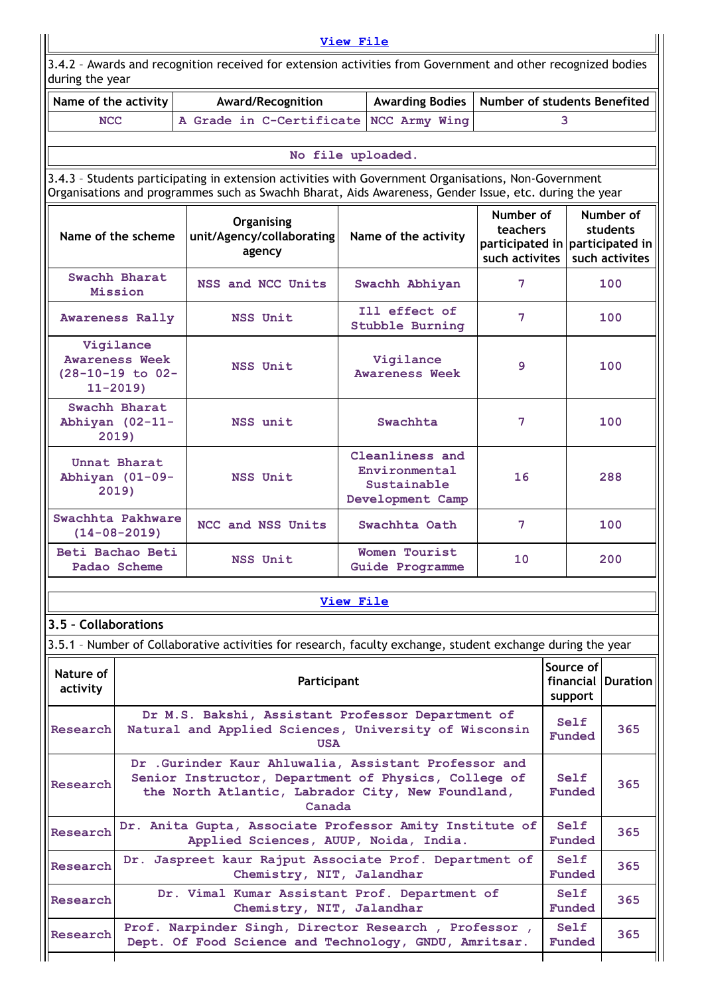| <b>View File</b>      |                                                                                                                                            |                                                                                                                                                                                                                |                  |                                    |                              |                                 |                                         |  |  |  |  |
|-----------------------|--------------------------------------------------------------------------------------------------------------------------------------------|----------------------------------------------------------------------------------------------------------------------------------------------------------------------------------------------------------------|------------------|------------------------------------|------------------------------|---------------------------------|-----------------------------------------|--|--|--|--|
|                       | 3.4.2 - Awards and recognition received for extension activities from Government and other recognized bodies<br>during the year            |                                                                                                                                                                                                                |                  |                                    |                              |                                 |                                         |  |  |  |  |
| Name of the activity  |                                                                                                                                            | Award/Recognition                                                                                                                                                                                              |                  | <b>Awarding Bodies</b>             | Number of students Benefited |                                 |                                         |  |  |  |  |
| <b>NCC</b>            |                                                                                                                                            | A Grade in C-Certificate                                                                                                                                                                                       |                  | NCC Army Wing                      |                              | 3                               |                                         |  |  |  |  |
|                       |                                                                                                                                            |                                                                                                                                                                                                                |                  | No file uploaded.                  |                              |                                 |                                         |  |  |  |  |
|                       |                                                                                                                                            | 3.4.3 - Students participating in extension activities with Government Organisations, Non-Government<br>Organisations and programmes such as Swachh Bharat, Aids Awareness, Gender Issue, etc. during the year |                  |                                    |                              |                                 |                                         |  |  |  |  |
|                       | Number of<br>Organising<br>teachers<br>Name of the scheme<br>unit/Agency/collaborating<br>Name of the activity<br>agency<br>such activites |                                                                                                                                                                                                                |                  |                                    |                              | participated in participated in | Number of<br>students<br>such activites |  |  |  |  |
|                       | Swachh Bharat<br>Mission                                                                                                                   | NSS and NCC Units                                                                                                                                                                                              |                  | Swachh Abhiyan                     | 7                            |                                 | 100                                     |  |  |  |  |
|                       | <b>Awareness Rally</b>                                                                                                                     | NSS Unit                                                                                                                                                                                                       |                  | Ill effect of<br>Stubble Burning   | 7                            |                                 | 100                                     |  |  |  |  |
|                       | Vigilance<br><b>Awareness Week</b><br>$(28-10-19)$ to 02-<br>$11 - 2019$                                                                   | NSS Unit                                                                                                                                                                                                       |                  | Vigilance<br><b>Awareness Week</b> | 9                            |                                 | 100                                     |  |  |  |  |
|                       | Swachh Bharat<br>Abhiyan (02-11-<br>Swachhta<br>NSS unit<br>2019)                                                                          |                                                                                                                                                                                                                |                  |                                    |                              |                                 | 100                                     |  |  |  |  |
|                       | Cleanliness and<br>Unnat Bharat<br>Environmental<br>Abhiyan (01-09-<br>NSS Unit<br>Sustainable<br>2019)<br>Development Camp                |                                                                                                                                                                                                                |                  |                                    |                              |                                 | 288                                     |  |  |  |  |
|                       | Swachhta Pakhware<br>$(14 - 08 - 2019)$                                                                                                    | NCC and NSS Units                                                                                                                                                                                              |                  | Swachhta Oath                      | 7                            |                                 | 100                                     |  |  |  |  |
|                       | Beti Bachao Beti<br>Padao Scheme                                                                                                           | NSS Unit                                                                                                                                                                                                       |                  | Women Tourist<br>Guide Programme   | 10 <sub>1</sub>              |                                 | 200                                     |  |  |  |  |
|                       |                                                                                                                                            |                                                                                                                                                                                                                | <b>View File</b> |                                    |                              |                                 |                                         |  |  |  |  |
| 3.5 - Collaborations  |                                                                                                                                            |                                                                                                                                                                                                                |                  |                                    |                              |                                 |                                         |  |  |  |  |
|                       |                                                                                                                                            | 3.5.1 - Number of Collaborative activities for research, faculty exchange, student exchange during the year                                                                                                    |                  |                                    |                              |                                 |                                         |  |  |  |  |
| Nature of<br>activity |                                                                                                                                            | Participant                                                                                                                                                                                                    |                  |                                    |                              | Source of<br>support            | financial Duration                      |  |  |  |  |
| Research              |                                                                                                                                            | Dr M.S. Bakshi, Assistant Professor Department of<br>Natural and Applied Sciences, University of Wisconsin<br><b>USA</b>                                                                                       |                  |                                    |                              | Self<br>Funded                  | 365                                     |  |  |  |  |
| Research              |                                                                                                                                            | Dr .Gurinder Kaur Ahluwalia, Assistant Professor and<br>Senior Instructor, Department of Physics, College of<br>the North Atlantic, Labrador City, New Foundland,<br>Canada                                    |                  |                                    |                              | Self<br>Funded                  | 365                                     |  |  |  |  |
| Research              |                                                                                                                                            | Dr. Anita Gupta, Associate Professor Amity Institute of<br>Applied Sciences, AUUP, Noida, India.                                                                                                               |                  |                                    |                              | Self<br>Funded                  | 365                                     |  |  |  |  |
| Research              |                                                                                                                                            | Dr. Jaspreet kaur Rajput Associate Prof. Department of<br>Chemistry, NIT, Jalandhar                                                                                                                            |                  |                                    |                              | Self<br>Funded                  | 365                                     |  |  |  |  |
| Research              | Dr. Vimal Kumar Assistant Prof. Department of<br>Self<br>365<br>Chemistry, NIT, Jalandhar<br>Funded                                        |                                                                                                                                                                                                                |                  |                                    |                              |                                 |                                         |  |  |  |  |
| Research              |                                                                                                                                            | Prof. Narpinder Singh, Director Research , Professor ,<br>Dept. Of Food Science and Technology, GNDU, Amritsar.                                                                                                |                  |                                    |                              | Self<br>Funded                  | 365                                     |  |  |  |  |
|                       |                                                                                                                                            |                                                                                                                                                                                                                |                  |                                    |                              |                                 |                                         |  |  |  |  |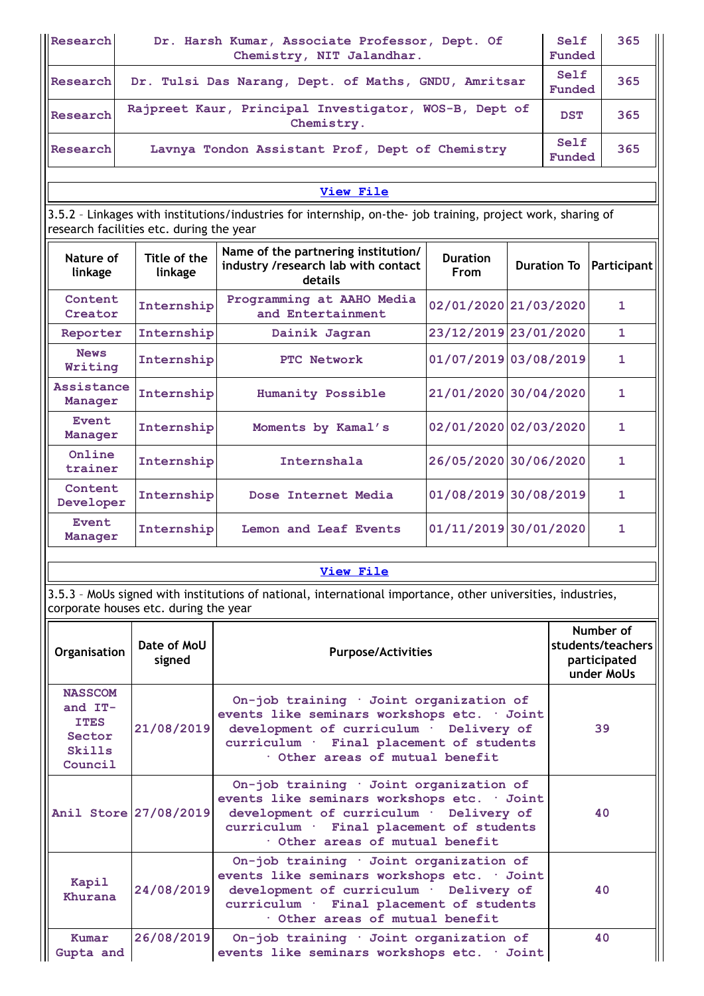| Research                | Dr. Harsh Kumar, Associate Professor, Dept. Of<br>Self<br>365<br>Chemistry, NIT Jalandhar.<br>Funded                                                              |                                                                                                              |                       |  |                |             |  |  |  |  |  |  |
|-------------------------|-------------------------------------------------------------------------------------------------------------------------------------------------------------------|--------------------------------------------------------------------------------------------------------------|-----------------------|--|----------------|-------------|--|--|--|--|--|--|
| Research                |                                                                                                                                                                   | Dr. Tulsi Das Narang, Dept. of Maths, GNDU, Amritsar                                                         |                       |  | Self<br>Funded | 365         |  |  |  |  |  |  |
| Research                | Rajpreet Kaur, Principal Investigator, WOS-B, Dept of<br>365<br><b>DST</b><br>Chemistry.                                                                          |                                                                                                              |                       |  |                |             |  |  |  |  |  |  |
| Research                | Self<br>365<br>Lavnya Tondon Assistant Prof, Dept of Chemistry<br>Funded                                                                                          |                                                                                                              |                       |  |                |             |  |  |  |  |  |  |
|                         |                                                                                                                                                                   | View File                                                                                                    |                       |  |                |             |  |  |  |  |  |  |
|                         | research facilities etc. during the year                                                                                                                          | 3.5.2 - Linkages with institutions/industries for internship, on-the- job training, project work, sharing of |                       |  |                |             |  |  |  |  |  |  |
| Nature of<br>linkage    | Name of the partnering institution/<br>Title of the<br><b>Duration</b><br>industry /research lab with contact<br><b>Duration To</b><br>linkage<br>From<br>details |                                                                                                              |                       |  |                | Participant |  |  |  |  |  |  |
| Content<br>Creator      | Internship                                                                                                                                                        | Programming at AAHO Media<br>02/01/2020 21/03/2020<br>and Entertainment                                      |                       |  | 1.             |             |  |  |  |  |  |  |
| Reporter                | Internship                                                                                                                                                        | Dainik Jagran                                                                                                | 23/12/2019 23/01/2020 |  |                | 1.          |  |  |  |  |  |  |
| <b>News</b><br>Writing  | Internship                                                                                                                                                        | PTC Network                                                                                                  | 01/07/2019 03/08/2019 |  |                | 1           |  |  |  |  |  |  |
| Assistance<br>Manager   | Internship                                                                                                                                                        | <b>Humanity Possible</b>                                                                                     | 21/01/2020 30/04/2020 |  |                | 1           |  |  |  |  |  |  |
| <b>Event</b><br>Manager | Internship                                                                                                                                                        | Moments by Kamal's                                                                                           | 02/01/2020 02/03/2020 |  |                | 1           |  |  |  |  |  |  |
| Online<br>trainer       | Internship                                                                                                                                                        | Internshala                                                                                                  | 26/05/2020 30/06/2020 |  |                | 1           |  |  |  |  |  |  |
| Content<br>Developer    | 01/08/2019 30/08/2019<br>Internship<br>Dose Internet Media                                                                                                        |                                                                                                              |                       |  |                |             |  |  |  |  |  |  |
| <b>Event</b><br>Manager | 01/11/2019 30/01/2020<br>Internship<br><b>Lemon and Leaf Events</b><br>1                                                                                          |                                                                                                              |                       |  |                |             |  |  |  |  |  |  |
|                         | View File                                                                                                                                                         |                                                                                                              |                       |  |                |             |  |  |  |  |  |  |

3.5.3 – MoUs signed with institutions of national, international importance, other universities, industries, corporate houses etc. during the year

| Organisation                                                              | Date of MoU<br>signed | <b>Purpose/Activities</b>                                                                                                                                                                                      | Number of<br>students/teachers<br>participated<br>under MoUs |
|---------------------------------------------------------------------------|-----------------------|----------------------------------------------------------------------------------------------------------------------------------------------------------------------------------------------------------------|--------------------------------------------------------------|
| <b>NASSCOM</b><br>and $IT-$<br><b>ITES</b><br>Sector<br>Skills<br>Council | 21/08/2019            | On-job training · Joint organization of<br>events like seminars workshops etc. · Joint<br>development of curriculum · Delivery of<br>curriculum · Final placement of students<br>Other areas of mutual benefit | 39                                                           |
| Anil Store 27/08/2019                                                     |                       | On-job training · Joint organization of<br>events like seminars workshops etc. · Joint<br>development of curriculum · Delivery of<br>curriculum · Final placement of students<br>Other areas of mutual benefit | 40                                                           |
| Kapil<br>Khurana                                                          | 24/08/2019            | On-job training · Joint organization of<br>events like seminars workshops etc. · Joint<br>development of curriculum · Delivery of<br>curriculum · Final placement of students<br>Other areas of mutual benefit | 40                                                           |
| Kumar<br>Gupta and                                                        | 26/08/2019            | On-job training · Joint organization of<br>events like seminars workshops etc. · Joint                                                                                                                         | 40                                                           |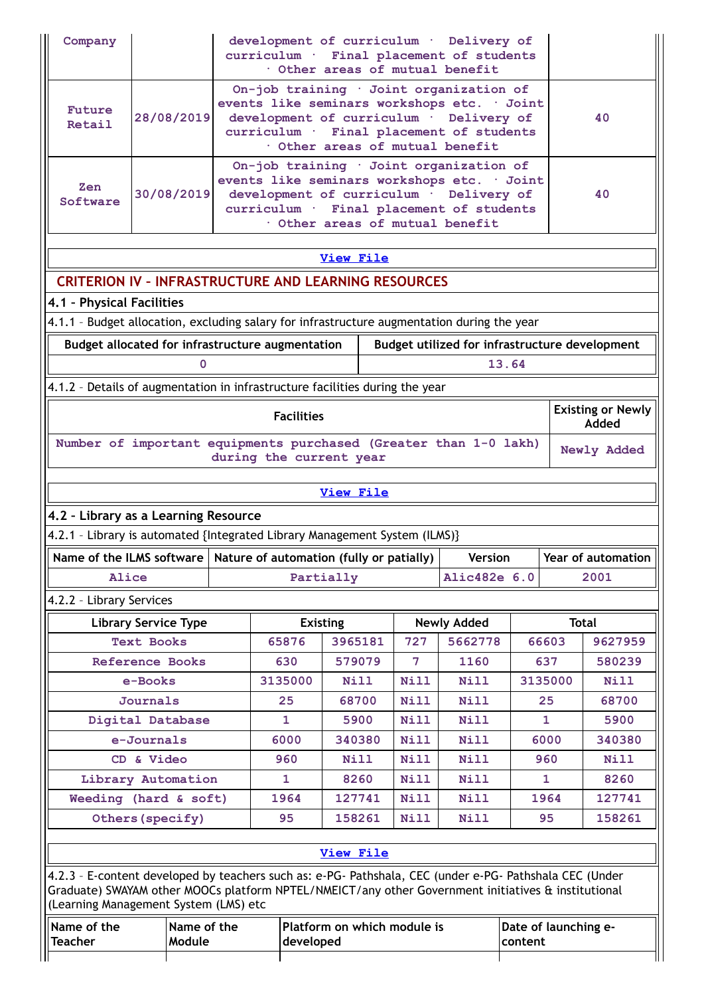| Company                                                                                                                                                                                                                                                 |                                                                                                                                                                                                                                                                               | development of curriculum · Delivery of<br>curriculum · Final placement of students<br>Other areas of mutual benefit |  |  |                   |                  |  |                             |                     |                |         |              |                                                |
|---------------------------------------------------------------------------------------------------------------------------------------------------------------------------------------------------------------------------------------------------------|-------------------------------------------------------------------------------------------------------------------------------------------------------------------------------------------------------------------------------------------------------------------------------|----------------------------------------------------------------------------------------------------------------------|--|--|-------------------|------------------|--|-----------------------------|---------------------|----------------|---------|--------------|------------------------------------------------|
| Future<br>Retail                                                                                                                                                                                                                                        | On-job training · Joint organization of<br>events like seminars workshops etc. · Joint<br>28/08/2019<br>development of curriculum · Delivery of<br>40<br>curriculum · Final placement of students<br>Other areas of mutual benefit<br>On-job training · Joint organization of |                                                                                                                      |  |  |                   |                  |  |                             |                     |                |         |              |                                                |
| events like seminars workshops etc. · Joint<br>Zen<br>30/08/2019<br>development of curriculum · Delivery of<br>40<br>Software<br>curriculum · Final placement of students<br>Other areas of mutual benefit                                              |                                                                                                                                                                                                                                                                               |                                                                                                                      |  |  |                   |                  |  |                             |                     |                |         |              |                                                |
|                                                                                                                                                                                                                                                         |                                                                                                                                                                                                                                                                               |                                                                                                                      |  |  |                   | <b>View File</b> |  |                             |                     |                |         |              |                                                |
| <b>CRITERION IV - INFRASTRUCTURE AND LEARNING RESOURCES</b>                                                                                                                                                                                             |                                                                                                                                                                                                                                                                               |                                                                                                                      |  |  |                   |                  |  |                             |                     |                |         |              |                                                |
| 4.1 - Physical Facilities                                                                                                                                                                                                                               |                                                                                                                                                                                                                                                                               |                                                                                                                      |  |  |                   |                  |  |                             |                     |                |         |              |                                                |
| 4.1.1 - Budget allocation, excluding salary for infrastructure augmentation during the year                                                                                                                                                             |                                                                                                                                                                                                                                                                               |                                                                                                                      |  |  |                   |                  |  |                             |                     |                |         |              |                                                |
| Budget allocated for infrastructure augmentation                                                                                                                                                                                                        |                                                                                                                                                                                                                                                                               |                                                                                                                      |  |  |                   |                  |  |                             |                     |                |         |              | Budget utilized for infrastructure development |
|                                                                                                                                                                                                                                                         |                                                                                                                                                                                                                                                                               | O                                                                                                                    |  |  |                   |                  |  |                             |                     | 13.64          |         |              |                                                |
| 4.1.2 - Details of augmentation in infrastructure facilities during the year                                                                                                                                                                            |                                                                                                                                                                                                                                                                               |                                                                                                                      |  |  |                   |                  |  |                             |                     |                |         |              |                                                |
|                                                                                                                                                                                                                                                         |                                                                                                                                                                                                                                                                               |                                                                                                                      |  |  | <b>Facilities</b> |                  |  |                             |                     |                |         |              | <b>Existing or Newly</b><br>Added              |
| Number of important equipments purchased (Greater than 1-0 lakh)<br>Newly Added<br>during the current year                                                                                                                                              |                                                                                                                                                                                                                                                                               |                                                                                                                      |  |  |                   |                  |  |                             |                     |                |         |              |                                                |
|                                                                                                                                                                                                                                                         |                                                                                                                                                                                                                                                                               |                                                                                                                      |  |  |                   | <b>View File</b> |  |                             |                     |                |         |              |                                                |
| 4.2 - Library as a Learning Resource                                                                                                                                                                                                                    |                                                                                                                                                                                                                                                                               |                                                                                                                      |  |  |                   |                  |  |                             |                     |                |         |              |                                                |
| 4.2.1 - Library is automated {Integrated Library Management System (ILMS)}                                                                                                                                                                              |                                                                                                                                                                                                                                                                               |                                                                                                                      |  |  |                   |                  |  |                             |                     |                |         |              |                                                |
| Name of the ILMS software   Nature of automation (fully or patially)                                                                                                                                                                                    |                                                                                                                                                                                                                                                                               |                                                                                                                      |  |  |                   |                  |  |                             |                     | <b>Version</b> |         |              | Year of automation                             |
| Alice                                                                                                                                                                                                                                                   |                                                                                                                                                                                                                                                                               |                                                                                                                      |  |  |                   | Partially        |  |                             | Alic482e 6.0        |                |         |              | 2001                                           |
| 4.2.2 - Library Services                                                                                                                                                                                                                                |                                                                                                                                                                                                                                                                               |                                                                                                                      |  |  |                   |                  |  |                             |                     |                |         |              |                                                |
|                                                                                                                                                                                                                                                         | <b>Library Service Type</b>                                                                                                                                                                                                                                                   |                                                                                                                      |  |  |                   | <b>Existing</b>  |  |                             | <b>Newly Added</b>  |                |         |              | <b>Total</b>                                   |
|                                                                                                                                                                                                                                                         | <b>Text Books</b>                                                                                                                                                                                                                                                             |                                                                                                                      |  |  | 65876             | 3965181          |  | 727                         | 5662778             |                |         | 66603        | 9627959                                        |
|                                                                                                                                                                                                                                                         | <b>Reference Books</b>                                                                                                                                                                                                                                                        |                                                                                                                      |  |  | 630               | 579079           |  | 7                           | 1160                |                |         | 637          | 580239                                         |
|                                                                                                                                                                                                                                                         | e-Books                                                                                                                                                                                                                                                                       |                                                                                                                      |  |  | 3135000           | Nill             |  | Nill                        | <b>Nill</b>         |                |         | 3135000      | <b>Nill</b>                                    |
|                                                                                                                                                                                                                                                         | Journals                                                                                                                                                                                                                                                                      |                                                                                                                      |  |  | 25                | 68700            |  | Nill                        | <b>Nill</b>         |                |         | 25           | 68700                                          |
| Digital Database                                                                                                                                                                                                                                        |                                                                                                                                                                                                                                                                               |                                                                                                                      |  |  | $\mathbf{1}$      | 5900             |  | <b>Nill</b>                 | <b>Nill</b>         |                |         | $\mathbf{1}$ | 5900                                           |
|                                                                                                                                                                                                                                                         | e-Journals                                                                                                                                                                                                                                                                    |                                                                                                                      |  |  | 6000              | 340380           |  | Nill                        | <b>Nill</b>         |                |         | 6000         | 340380                                         |
|                                                                                                                                                                                                                                                         | CD & Video                                                                                                                                                                                                                                                                    |                                                                                                                      |  |  | 960<br>1          | Nill<br>8260     |  | <b>Nill</b><br>Nill         | <b>Nill</b><br>Nill |                |         | 960<br>1     | <b>Nill</b><br>8260                            |
| Library Automation<br>Weeding (hard & soft)                                                                                                                                                                                                             |                                                                                                                                                                                                                                                                               |                                                                                                                      |  |  | 1964              | 127741           |  | <b>Nill</b>                 | Nill                |                |         | 1964         | 127741                                         |
|                                                                                                                                                                                                                                                         | Others (specify)                                                                                                                                                                                                                                                              |                                                                                                                      |  |  | 95                | 158261           |  | Nill                        | <b>Nill</b>         |                |         | 95           | 158261                                         |
|                                                                                                                                                                                                                                                         |                                                                                                                                                                                                                                                                               |                                                                                                                      |  |  |                   |                  |  |                             |                     |                |         |              |                                                |
|                                                                                                                                                                                                                                                         |                                                                                                                                                                                                                                                                               |                                                                                                                      |  |  |                   | <b>View File</b> |  |                             |                     |                |         |              |                                                |
| 4.2.3 - E-content developed by teachers such as: e-PG- Pathshala, CEC (under e-PG- Pathshala CEC (Under<br>Graduate) SWAYAM other MOOCs platform NPTEL/NMEICT/any other Government initiatives & institutional<br>(Learning Management System (LMS) etc |                                                                                                                                                                                                                                                                               |                                                                                                                      |  |  |                   |                  |  |                             |                     |                |         |              |                                                |
| Name of the<br><b>Teacher</b>                                                                                                                                                                                                                           |                                                                                                                                                                                                                                                                               | Name of the<br>Module                                                                                                |  |  | developed         |                  |  | Platform on which module is |                     |                | content |              | Date of launching e-                           |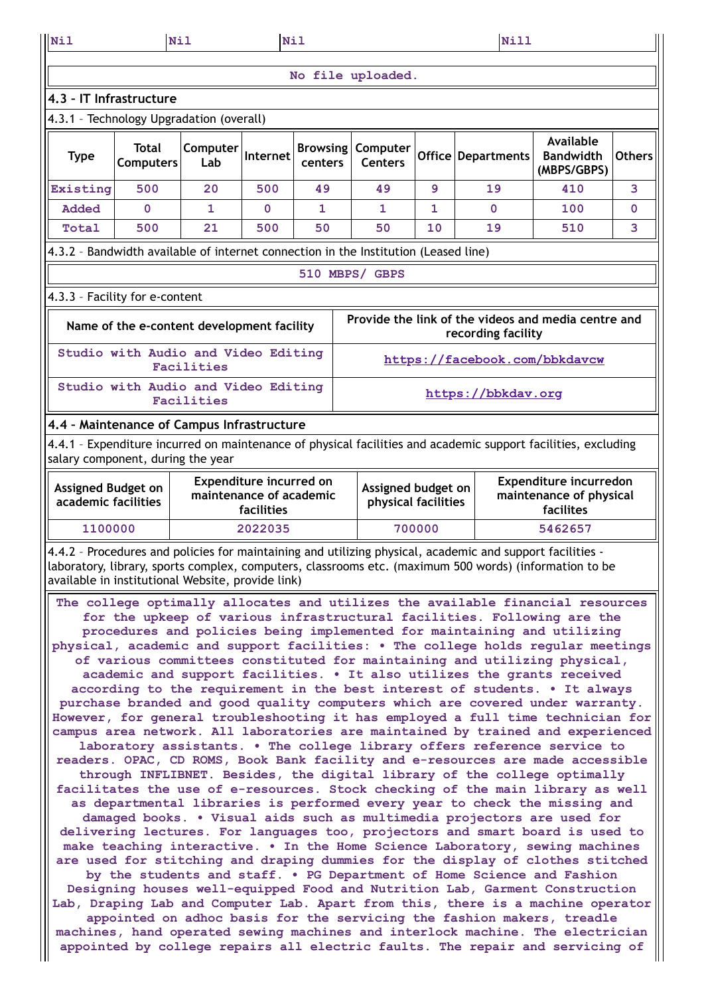| Nil                                                                                                                                                                                                                                                                                                                                                                                                                                                                                                                                                                                                                                                                                                                                                                                                                                                                                                                                                                                                                                                                                                                                                                                                                                                                                                                                                                                                                                                                                                                                                                                                                                                                                                                                                                                                                                                                                                                                                                                                                                                                                                                                                                                                                                                                              | Nil                                                                                 |                                              | <b>Nil</b>                                                       |                            |                                           | Nill |                    |                                                                                                               |               |  |  |
|----------------------------------------------------------------------------------------------------------------------------------------------------------------------------------------------------------------------------------------------------------------------------------------------------------------------------------------------------------------------------------------------------------------------------------------------------------------------------------------------------------------------------------------------------------------------------------------------------------------------------------------------------------------------------------------------------------------------------------------------------------------------------------------------------------------------------------------------------------------------------------------------------------------------------------------------------------------------------------------------------------------------------------------------------------------------------------------------------------------------------------------------------------------------------------------------------------------------------------------------------------------------------------------------------------------------------------------------------------------------------------------------------------------------------------------------------------------------------------------------------------------------------------------------------------------------------------------------------------------------------------------------------------------------------------------------------------------------------------------------------------------------------------------------------------------------------------------------------------------------------------------------------------------------------------------------------------------------------------------------------------------------------------------------------------------------------------------------------------------------------------------------------------------------------------------------------------------------------------------------------------------------------------|-------------------------------------------------------------------------------------|----------------------------------------------|------------------------------------------------------------------|----------------------------|-------------------------------------------|------|--------------------|---------------------------------------------------------------------------------------------------------------|---------------|--|--|
|                                                                                                                                                                                                                                                                                                                                                                                                                                                                                                                                                                                                                                                                                                                                                                                                                                                                                                                                                                                                                                                                                                                                                                                                                                                                                                                                                                                                                                                                                                                                                                                                                                                                                                                                                                                                                                                                                                                                                                                                                                                                                                                                                                                                                                                                                  |                                                                                     |                                              |                                                                  |                            | No file uploaded.                         |      |                    |                                                                                                               |               |  |  |
| 4.3 - IT Infrastructure                                                                                                                                                                                                                                                                                                                                                                                                                                                                                                                                                                                                                                                                                                                                                                                                                                                                                                                                                                                                                                                                                                                                                                                                                                                                                                                                                                                                                                                                                                                                                                                                                                                                                                                                                                                                                                                                                                                                                                                                                                                                                                                                                                                                                                                          |                                                                                     |                                              |                                                                  |                            |                                           |      |                    |                                                                                                               |               |  |  |
| 4.3.1 - Technology Upgradation (overall)                                                                                                                                                                                                                                                                                                                                                                                                                                                                                                                                                                                                                                                                                                                                                                                                                                                                                                                                                                                                                                                                                                                                                                                                                                                                                                                                                                                                                                                                                                                                                                                                                                                                                                                                                                                                                                                                                                                                                                                                                                                                                                                                                                                                                                         |                                                                                     |                                              |                                                                  |                            |                                           |      |                    |                                                                                                               |               |  |  |
| <b>Type</b>                                                                                                                                                                                                                                                                                                                                                                                                                                                                                                                                                                                                                                                                                                                                                                                                                                                                                                                                                                                                                                                                                                                                                                                                                                                                                                                                                                                                                                                                                                                                                                                                                                                                                                                                                                                                                                                                                                                                                                                                                                                                                                                                                                                                                                                                      | Total<br><b>Computers</b>                                                           | Computer<br>Lab                              | Internet                                                         | <b>Browsing</b><br>centers | Computer<br><b>Centers</b>                |      | Office Departments | Available<br><b>Bandwidth</b><br>(MBPS/GBPS)                                                                  | <b>Others</b> |  |  |
| Existing                                                                                                                                                                                                                                                                                                                                                                                                                                                                                                                                                                                                                                                                                                                                                                                                                                                                                                                                                                                                                                                                                                                                                                                                                                                                                                                                                                                                                                                                                                                                                                                                                                                                                                                                                                                                                                                                                                                                                                                                                                                                                                                                                                                                                                                                         | 500                                                                                 | 410<br>20<br>500<br>49<br>9<br>19<br>3<br>49 |                                                                  |                            |                                           |      |                    |                                                                                                               |               |  |  |
| Added                                                                                                                                                                                                                                                                                                                                                                                                                                                                                                                                                                                                                                                                                                                                                                                                                                                                                                                                                                                                                                                                                                                                                                                                                                                                                                                                                                                                                                                                                                                                                                                                                                                                                                                                                                                                                                                                                                                                                                                                                                                                                                                                                                                                                                                                            | $\mathbf{0}$<br>$\mathbf{1}$<br>$\mathbf{0}$<br>1<br>1<br>0<br>100<br>$\Omega$<br>1 |                                              |                                                                  |                            |                                           |      |                    |                                                                                                               |               |  |  |
| Total                                                                                                                                                                                                                                                                                                                                                                                                                                                                                                                                                                                                                                                                                                                                                                                                                                                                                                                                                                                                                                                                                                                                                                                                                                                                                                                                                                                                                                                                                                                                                                                                                                                                                                                                                                                                                                                                                                                                                                                                                                                                                                                                                                                                                                                                            | 500                                                                                 | 21                                           | 500                                                              | 50                         | 50                                        | 10   | 19                 | 510                                                                                                           | 3             |  |  |
| 4.3.2 - Bandwidth available of internet connection in the Institution (Leased line)                                                                                                                                                                                                                                                                                                                                                                                                                                                                                                                                                                                                                                                                                                                                                                                                                                                                                                                                                                                                                                                                                                                                                                                                                                                                                                                                                                                                                                                                                                                                                                                                                                                                                                                                                                                                                                                                                                                                                                                                                                                                                                                                                                                              |                                                                                     |                                              |                                                                  |                            |                                           |      |                    |                                                                                                               |               |  |  |
|                                                                                                                                                                                                                                                                                                                                                                                                                                                                                                                                                                                                                                                                                                                                                                                                                                                                                                                                                                                                                                                                                                                                                                                                                                                                                                                                                                                                                                                                                                                                                                                                                                                                                                                                                                                                                                                                                                                                                                                                                                                                                                                                                                                                                                                                                  |                                                                                     |                                              |                                                                  |                            | 510 MBPS/ GBPS                            |      |                    |                                                                                                               |               |  |  |
| 4.3.3 - Facility for e-content                                                                                                                                                                                                                                                                                                                                                                                                                                                                                                                                                                                                                                                                                                                                                                                                                                                                                                                                                                                                                                                                                                                                                                                                                                                                                                                                                                                                                                                                                                                                                                                                                                                                                                                                                                                                                                                                                                                                                                                                                                                                                                                                                                                                                                                   |                                                                                     |                                              |                                                                  |                            |                                           |      |                    |                                                                                                               |               |  |  |
|                                                                                                                                                                                                                                                                                                                                                                                                                                                                                                                                                                                                                                                                                                                                                                                                                                                                                                                                                                                                                                                                                                                                                                                                                                                                                                                                                                                                                                                                                                                                                                                                                                                                                                                                                                                                                                                                                                                                                                                                                                                                                                                                                                                                                                                                                  | Name of the e-content development facility                                          |                                              |                                                                  |                            |                                           |      | recording facility | Provide the link of the videos and media centre and                                                           |               |  |  |
| Studio with Audio and Video Editing<br>https://facebook.com/bbkdavcw<br>Facilities                                                                                                                                                                                                                                                                                                                                                                                                                                                                                                                                                                                                                                                                                                                                                                                                                                                                                                                                                                                                                                                                                                                                                                                                                                                                                                                                                                                                                                                                                                                                                                                                                                                                                                                                                                                                                                                                                                                                                                                                                                                                                                                                                                                               |                                                                                     |                                              |                                                                  |                            |                                           |      |                    |                                                                                                               |               |  |  |
|                                                                                                                                                                                                                                                                                                                                                                                                                                                                                                                                                                                                                                                                                                                                                                                                                                                                                                                                                                                                                                                                                                                                                                                                                                                                                                                                                                                                                                                                                                                                                                                                                                                                                                                                                                                                                                                                                                                                                                                                                                                                                                                                                                                                                                                                                  | Studio with Audio and Video Editing                                                 | Facilities                                   |                                                                  |                            |                                           |      | https://bbkdav.org |                                                                                                               |               |  |  |
| 4.4 - Maintenance of Campus Infrastructure                                                                                                                                                                                                                                                                                                                                                                                                                                                                                                                                                                                                                                                                                                                                                                                                                                                                                                                                                                                                                                                                                                                                                                                                                                                                                                                                                                                                                                                                                                                                                                                                                                                                                                                                                                                                                                                                                                                                                                                                                                                                                                                                                                                                                                       |                                                                                     |                                              |                                                                  |                            |                                           |      |                    |                                                                                                               |               |  |  |
| salary component, during the year                                                                                                                                                                                                                                                                                                                                                                                                                                                                                                                                                                                                                                                                                                                                                                                                                                                                                                                                                                                                                                                                                                                                                                                                                                                                                                                                                                                                                                                                                                                                                                                                                                                                                                                                                                                                                                                                                                                                                                                                                                                                                                                                                                                                                                                |                                                                                     |                                              |                                                                  |                            |                                           |      |                    | 4.4.1 - Expenditure incurred on maintenance of physical facilities and academic support facilities, excluding |               |  |  |
| <b>Assigned Budget on</b><br>academic facilities                                                                                                                                                                                                                                                                                                                                                                                                                                                                                                                                                                                                                                                                                                                                                                                                                                                                                                                                                                                                                                                                                                                                                                                                                                                                                                                                                                                                                                                                                                                                                                                                                                                                                                                                                                                                                                                                                                                                                                                                                                                                                                                                                                                                                                 |                                                                                     |                                              | Expenditure incurred on<br>maintenance of academic<br>facilities |                            | Assigned budget on<br>physical facilities |      |                    | <b>Expenditure incurredon</b><br>maintenance of physical<br>facilites                                         |               |  |  |
|                                                                                                                                                                                                                                                                                                                                                                                                                                                                                                                                                                                                                                                                                                                                                                                                                                                                                                                                                                                                                                                                                                                                                                                                                                                                                                                                                                                                                                                                                                                                                                                                                                                                                                                                                                                                                                                                                                                                                                                                                                                                                                                                                                                                                                                                                  |                                                                                     |                                              |                                                                  |                            |                                           |      |                    | 5462657                                                                                                       |               |  |  |
|                                                                                                                                                                                                                                                                                                                                                                                                                                                                                                                                                                                                                                                                                                                                                                                                                                                                                                                                                                                                                                                                                                                                                                                                                                                                                                                                                                                                                                                                                                                                                                                                                                                                                                                                                                                                                                                                                                                                                                                                                                                                                                                                                                                                                                                                                  |                                                                                     |                                              |                                                                  |                            |                                           |      |                    |                                                                                                               |               |  |  |
| 700000<br>1100000<br>2022035<br>4.4.2 - Procedures and policies for maintaining and utilizing physical, academic and support facilities -<br>laboratory, library, sports complex, computers, classrooms etc. (maximum 500 words) (information to be<br>available in institutional Website, provide link)<br>The college optimally allocates and utilizes the available financial resources<br>for the upkeep of various infrastructural facilities. Following are the<br>procedures and policies being implemented for maintaining and utilizing<br>physical, academic and support facilities: . The college holds regular meetings<br>of various committees constituted for maintaining and utilizing physical,<br>academic and support facilities. . It also utilizes the grants received<br>according to the requirement in the best interest of students. . It always<br>purchase branded and good quality computers which are covered under warranty.<br>However, for general troubleshooting it has employed a full time technician for<br>campus area network. All laboratories are maintained by trained and experienced<br>laboratory assistants. . The college library offers reference service to<br>readers. OPAC, CD ROMS, Book Bank facility and e-resources are made accessible<br>through INFLIBNET. Besides, the digital library of the college optimally<br>facilitates the use of e-resources. Stock checking of the main library as well<br>as departmental libraries is performed every year to check the missing and<br>damaged books. . Visual aids such as multimedia projectors are used for<br>delivering lectures. For languages too, projectors and smart board is used to<br>make teaching interactive. . In the Home Science Laboratory, sewing machines<br>are used for stitching and draping dummies for the display of clothes stitched<br>by the students and staff. . PG Department of Home Science and Fashion<br>Designing houses well-equipped Food and Nutrition Lab, Garment Construction<br>Lab, Draping Lab and Computer Lab. Apart from this, there is a machine operator<br>appointed on adhoc basis for the servicing the fashion makers, treadle<br>machines, hand operated sewing machines and interlock machine. The electrician |                                                                                     |                                              |                                                                  |                            |                                           |      |                    |                                                                                                               |               |  |  |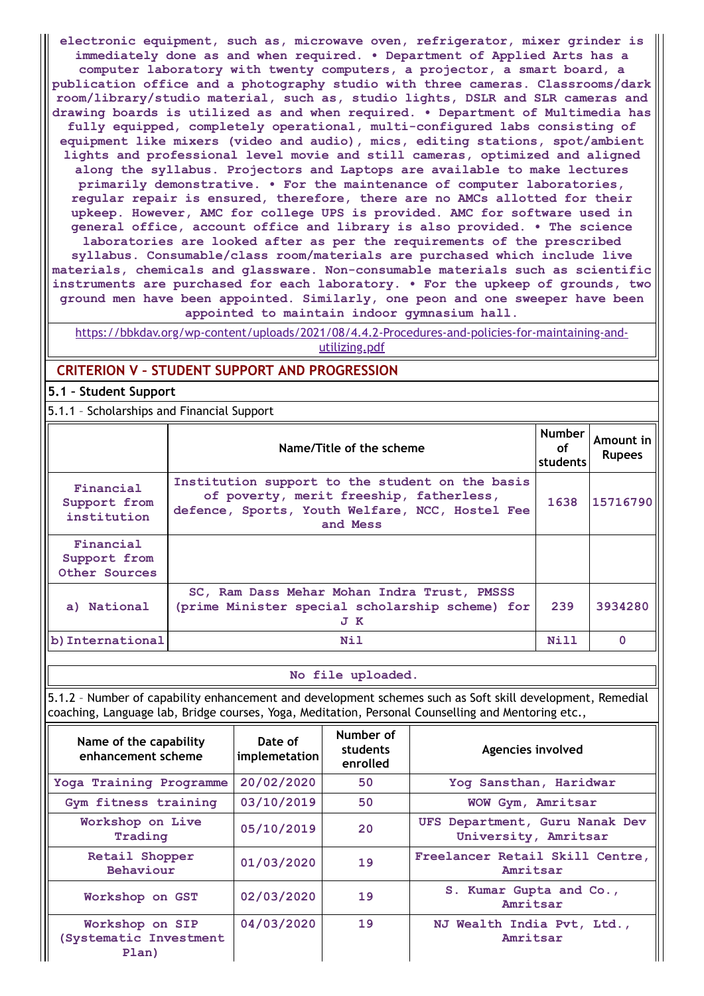**electronic equipment, such as, microwave oven, refrigerator, mixer grinder is immediately done as and when required. • Department of Applied Arts has a computer laboratory with twenty computers, a projector, a smart board, a publication office and a photography studio with three cameras. Classrooms/dark room/library/studio material, such as, studio lights, DSLR and SLR cameras and drawing boards is utilized as and when required. • Department of Multimedia has fully equipped, completely operational, multi-configured labs consisting of equipment like mixers (video and audio), mics, editing stations, spot/ambient lights and professional level movie and still cameras, optimized and aligned along the syllabus. Projectors and Laptops are available to make lectures primarily demonstrative. • For the maintenance of computer laboratories, regular repair is ensured, therefore, there are no AMCs allotted for their upkeep. However, AMC for college UPS is provided. AMC for software used in general office, account office and library is also provided. • The science laboratories are looked after as per the requirements of the prescribed**

**syllabus. Consumable/class room/materials are purchased which include live materials, chemicals and glassware. Non-consumable materials such as scientific instruments are purchased for each laboratory. • For the upkeep of grounds, two ground men have been appointed. Similarly, one peon and one sweeper have been appointed to maintain indoor gymnasium hall.**

[https://bbkdav.org/wp-content/uploads/2021/08/4.4.2-Procedures-and-policies-for-maintaining-and](https://bbkdav.org/wp-content/uploads/2021/08/4.4.2-Procedures-and-policies-for-maintaining-and-utilizing.pdf)utilizing.pdf

## **CRITERION V – STUDENT SUPPORT AND PROGRESSION**

**5.1 – Student Support**

5.1.1 – Scholarships and Financial Support

|                                            | Name/Title of the scheme                                                                                                                                  | <b>Number</b><br>оf<br>students | Amount in<br><b>Rupees</b> |
|--------------------------------------------|-----------------------------------------------------------------------------------------------------------------------------------------------------------|---------------------------------|----------------------------|
| Financial<br>Support from<br>institution   | Institution support to the student on the basis<br>of poverty, merit freeship, fatherless,<br>defence, Sports, Youth Welfare, NCC, Hostel Fee<br>and Mess | 1638                            | 15716790                   |
| Financial<br>Support from<br>Other Sources |                                                                                                                                                           |                                 |                            |
| a) National                                | SC, Ram Dass Mehar Mohan Indra Trust, PMSSS<br>(prime Minister special scholarship scheme) for<br>J K                                                     | 239                             | 3934280                    |
| b) International                           | Nil                                                                                                                                                       | Nill                            | $\Omega$                   |

### **No file uploaded.**

5.1.2 – Number of capability enhancement and development schemes such as Soft skill development, Remedial coaching, Language lab, Bridge courses, Yoga, Meditation, Personal Counselling and Mentoring etc.,

| Name of the capability<br>enhancement scheme       | Date of<br>implemetation | Number of<br>students<br>enrolled | Agencies involved                                      |
|----------------------------------------------------|--------------------------|-----------------------------------|--------------------------------------------------------|
| Yoga Training Programme                            | 20/02/2020               | 50                                | Yog Sansthan, Haridwar                                 |
| Gym fitness training                               | 03/10/2019               | 50                                | WOW Gym, Amritsar                                      |
| Workshop on Live<br>Trading                        | 05/10/2019               | 20                                | UFS Department, Guru Nanak Dev<br>University, Amritsar |
| Retail Shopper<br>Behaviour                        | 01/03/2020               | 19                                | Freelancer Retail Skill Centre,<br>Amritsar            |
| Workshop on GST                                    | 02/03/2020               | 19                                | S. Kumar Gupta and Co.,<br>Amritsar                    |
| Workshop on SIP<br>(Systematic Investment<br>Plan) | 04/03/2020               | 19                                | NJ Wealth India Pvt, Ltd.,<br>Amritsar                 |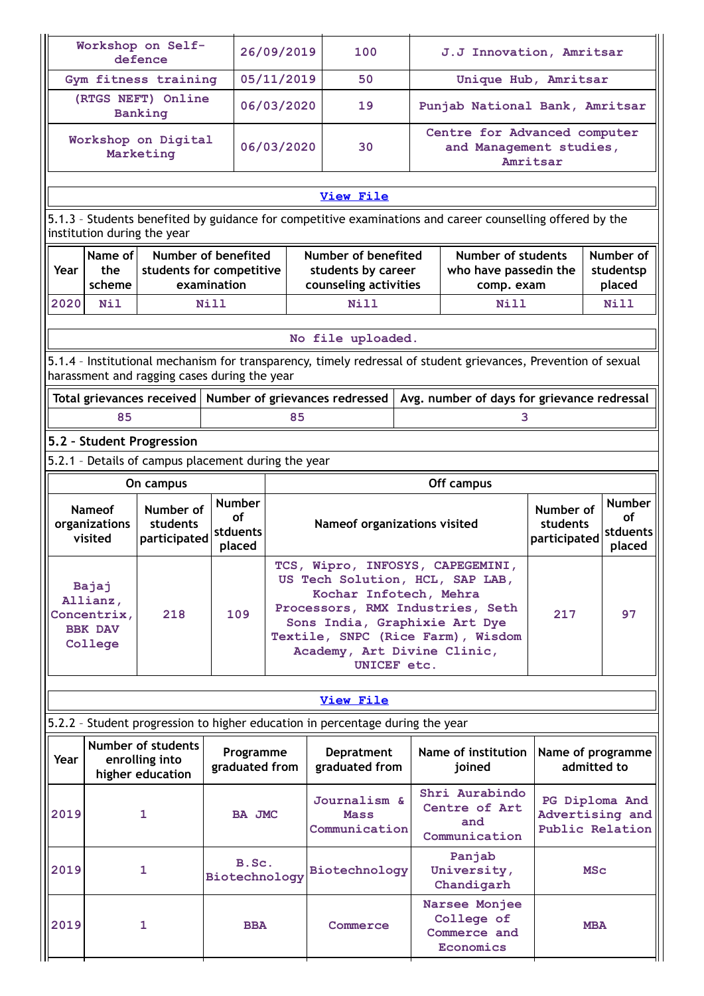|                                                                                                                                                                |                                                               | Workshop on Self-<br>defence                             |                             | 26/09/2019                                                        | 100                                                                                                                                                                                                                                                   |  | J.J Innovation, Amritsar                                |                     |                                                      |
|----------------------------------------------------------------------------------------------------------------------------------------------------------------|---------------------------------------------------------------|----------------------------------------------------------|-----------------------------|-------------------------------------------------------------------|-------------------------------------------------------------------------------------------------------------------------------------------------------------------------------------------------------------------------------------------------------|--|---------------------------------------------------------|---------------------|------------------------------------------------------|
|                                                                                                                                                                |                                                               | Gym fitness training                                     |                             | 05/11/2019                                                        | 50                                                                                                                                                                                                                                                    |  | Unique Hub, Amritsar                                    |                     |                                                      |
|                                                                                                                                                                |                                                               | (RTGS NEFT) Online<br>Banking                            |                             | 06/03/2020                                                        | 19                                                                                                                                                                                                                                                    |  | Punjab National Bank, Amritsar                          |                     |                                                      |
|                                                                                                                                                                |                                                               | Workshop on Digital<br>Marketing                         |                             | 06/03/2020                                                        | 30                                                                                                                                                                                                                                                    |  | Centre for Advanced computer<br>and Management studies, | Amritsar            |                                                      |
|                                                                                                                                                                |                                                               |                                                          |                             |                                                                   | View File                                                                                                                                                                                                                                             |  |                                                         |                     |                                                      |
|                                                                                                                                                                |                                                               |                                                          |                             |                                                                   | 5.1.3 - Students benefited by guidance for competitive examinations and career counselling offered by the                                                                                                                                             |  |                                                         |                     |                                                      |
|                                                                                                                                                                | institution during the year                                   |                                                          |                             |                                                                   |                                                                                                                                                                                                                                                       |  |                                                         |                     |                                                      |
|                                                                                                                                                                | Name of                                                       |                                                          | Number of benefited         |                                                                   | Number of benefited                                                                                                                                                                                                                                   |  | Number of students                                      |                     | Number of                                            |
| Year                                                                                                                                                           | the<br>scheme                                                 | students for competitive                                 | examination                 |                                                                   | students by career<br>counseling activities                                                                                                                                                                                                           |  | who have passedin the<br>comp. exam                     |                     | studentsp<br>placed                                  |
| 2020                                                                                                                                                           | Nil                                                           |                                                          | Nill                        |                                                                   | Nill                                                                                                                                                                                                                                                  |  | Nill                                                    |                     | N <sub>i</sub> 11                                    |
|                                                                                                                                                                |                                                               |                                                          |                             |                                                                   |                                                                                                                                                                                                                                                       |  |                                                         |                     |                                                      |
|                                                                                                                                                                |                                                               |                                                          |                             |                                                                   | No file uploaded.                                                                                                                                                                                                                                     |  |                                                         |                     |                                                      |
| 5.1.4 - Institutional mechanism for transparency, timely redressal of student grievances, Prevention of sexual<br>harassment and ragging cases during the year |                                                               |                                                          |                             |                                                                   |                                                                                                                                                                                                                                                       |  |                                                         |                     |                                                      |
|                                                                                                                                                                |                                                               | Total grievances received                                |                             |                                                                   | Number of grievances redressed                                                                                                                                                                                                                        |  | Avg. number of days for grievance redressal             |                     |                                                      |
|                                                                                                                                                                | 85                                                            |                                                          |                             | 85                                                                |                                                                                                                                                                                                                                                       |  | 3                                                       |                     |                                                      |
|                                                                                                                                                                |                                                               | 5.2 - Student Progression                                |                             |                                                                   |                                                                                                                                                                                                                                                       |  |                                                         |                     |                                                      |
|                                                                                                                                                                |                                                               | 5.2.1 - Details of campus placement during the year      |                             |                                                                   |                                                                                                                                                                                                                                                       |  |                                                         |                     |                                                      |
|                                                                                                                                                                |                                                               | On campus                                                |                             |                                                                   |                                                                                                                                                                                                                                                       |  | Off campus                                              |                     |                                                      |
|                                                                                                                                                                | <b>Nameof</b><br>organizations                                | Number of<br>students                                    | <b>Number</b><br>Ωf         | Number of<br>students<br>Nameof organizations visited<br>stduents |                                                                                                                                                                                                                                                       |  |                                                         | <b>Number</b><br>οf |                                                      |
|                                                                                                                                                                | participated<br>visited<br>placed                             |                                                          |                             |                                                                   |                                                                                                                                                                                                                                                       |  |                                                         | participated        | stduents                                             |
|                                                                                                                                                                |                                                               |                                                          |                             |                                                                   |                                                                                                                                                                                                                                                       |  |                                                         |                     | placed                                               |
|                                                                                                                                                                | Bajaj<br>Allianz,<br>Concentrix,<br><b>BBK DAV</b><br>College | 218                                                      | 109                         |                                                                   | TCS, Wipro, INFOSYS, CAPEGEMINI,<br>US Tech Solution, HCL, SAP LAB,<br>Kochar Infotech, Mehra<br>Processors, RMX Industries, Seth<br>Sons India, Graphixie Art Dye<br>Textile, SNPC (Rice Farm), Wisdom<br>Academy, Art Divine Clinic,<br>UNICEF etc. |  |                                                         | 217                 | 97                                                   |
|                                                                                                                                                                |                                                               |                                                          |                             |                                                                   |                                                                                                                                                                                                                                                       |  |                                                         |                     |                                                      |
|                                                                                                                                                                |                                                               |                                                          |                             |                                                                   | <b>View File</b>                                                                                                                                                                                                                                      |  |                                                         |                     |                                                      |
|                                                                                                                                                                |                                                               |                                                          |                             |                                                                   | 5.2.2 - Student progression to higher education in percentage during the year                                                                                                                                                                         |  |                                                         |                     |                                                      |
| Year                                                                                                                                                           |                                                               | Number of students<br>enrolling into<br>higher education | Programme<br>graduated from |                                                                   | Depratment<br>graduated from                                                                                                                                                                                                                          |  | Name of institution<br>joined                           |                     | Name of programme<br>admitted to                     |
| 2019                                                                                                                                                           |                                                               | 1                                                        | <b>BA JMC</b>               |                                                                   | Journalism &<br><b>Mass</b><br>Communication                                                                                                                                                                                                          |  | Shri Aurabindo<br>Centre of Art<br>and<br>Communication |                     | PG Diploma And<br>Advertising and<br>Public Relation |
| 2019                                                                                                                                                           |                                                               | 1                                                        | B.Sc.<br>Biotechnology      |                                                                   | Biotechnology                                                                                                                                                                                                                                         |  | Panjab<br>University,<br>Chandigarh                     |                     | <b>MSc</b>                                           |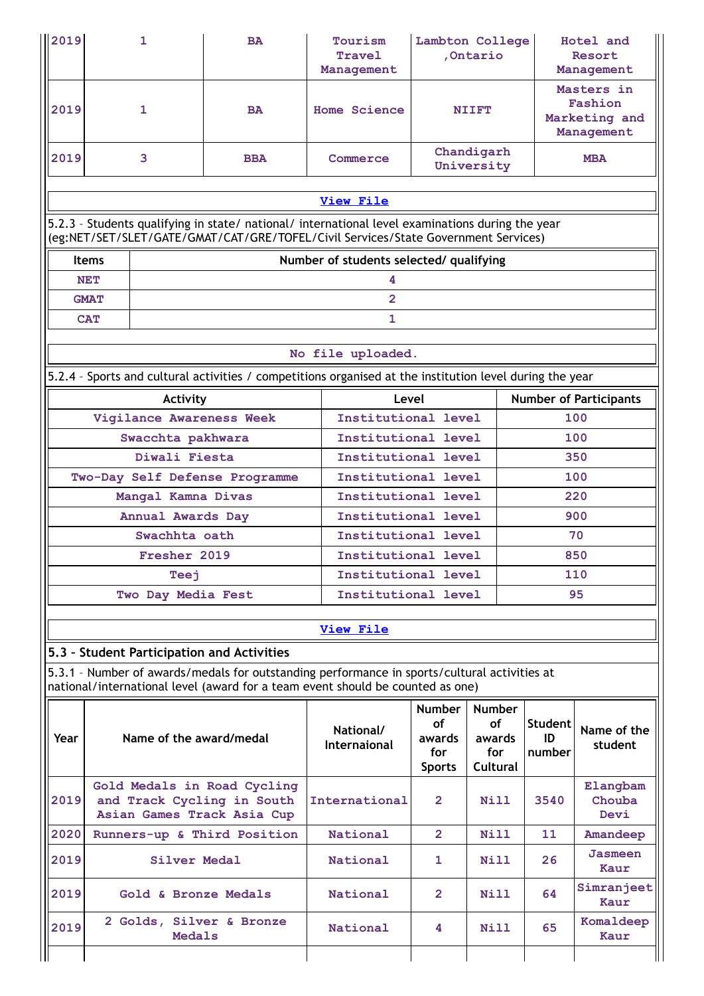| 2019                                                                                                                                                                                   | 1                                                                                                                                          | <b>BA</b>  | <b>Tourism</b><br>Travel<br>Management     | Lambton College<br>, Ontario                                 |                                                                |                                                      | Hotel and<br>Resort<br>Management |  |  |  |  |
|----------------------------------------------------------------------------------------------------------------------------------------------------------------------------------------|--------------------------------------------------------------------------------------------------------------------------------------------|------------|--------------------------------------------|--------------------------------------------------------------|----------------------------------------------------------------|------------------------------------------------------|-----------------------------------|--|--|--|--|
| 2019                                                                                                                                                                                   | $\mathbf{1}$                                                                                                                               | <b>BA</b>  | Home Science                               |                                                              | <b>NIIFT</b>                                                   | Masters in<br>Fashion<br>Marketing and<br>Management |                                   |  |  |  |  |
| 2019                                                                                                                                                                                   | 3                                                                                                                                          | <b>BBA</b> | Commerce                                   |                                                              | Chandigarh<br>University                                       | <b>MBA</b>                                           |                                   |  |  |  |  |
|                                                                                                                                                                                        |                                                                                                                                            |            | <b>View File</b>                           |                                                              |                                                                |                                                      |                                   |  |  |  |  |
| 5.2.3 - Students qualifying in state/ national/ international level examinations during the year<br>(eg:NET/SET/SLET/GATE/GMAT/CAT/GRE/TOFEL/Civil Services/State Government Services) |                                                                                                                                            |            |                                            |                                                              |                                                                |                                                      |                                   |  |  |  |  |
|                                                                                                                                                                                        | <b>Items</b>                                                                                                                               |            | Number of students selected/ qualifying    |                                                              |                                                                |                                                      |                                   |  |  |  |  |
|                                                                                                                                                                                        | <b>NET</b>                                                                                                                                 |            | 4                                          |                                                              |                                                                |                                                      |                                   |  |  |  |  |
|                                                                                                                                                                                        | <b>GMAT</b><br><b>CAT</b>                                                                                                                  |            | $\overline{2}$<br>$\mathbf{1}$             |                                                              |                                                                |                                                      |                                   |  |  |  |  |
|                                                                                                                                                                                        |                                                                                                                                            |            |                                            |                                                              |                                                                |                                                      |                                   |  |  |  |  |
|                                                                                                                                                                                        |                                                                                                                                            |            | No file uploaded.                          |                                                              |                                                                |                                                      |                                   |  |  |  |  |
|                                                                                                                                                                                        | 5.2.4 - Sports and cultural activities / competitions organised at the institution level during the year                                   |            |                                            |                                                              |                                                                |                                                      |                                   |  |  |  |  |
|                                                                                                                                                                                        | Activity                                                                                                                                   |            | Level                                      |                                                              |                                                                |                                                      | <b>Number of Participants</b>     |  |  |  |  |
|                                                                                                                                                                                        | Vigilance Awareness Week<br>Swacchta pakhwara                                                                                              |            | Institutional level<br>Institutional level |                                                              |                                                                |                                                      | 100                               |  |  |  |  |
|                                                                                                                                                                                        | Diwali Fiesta                                                                                                                              |            | Institutional level                        |                                                              |                                                                | 100<br>350                                           |                                   |  |  |  |  |
|                                                                                                                                                                                        | Two-Day Self Defense Programme                                                                                                             |            | Institutional level                        |                                                              |                                                                | 100                                                  |                                   |  |  |  |  |
|                                                                                                                                                                                        | Mangal Kamna Divas                                                                                                                         |            |                                            | Institutional level                                          |                                                                |                                                      |                                   |  |  |  |  |
|                                                                                                                                                                                        | Annual Awards Day                                                                                                                          |            |                                            | Institutional level<br>900                                   |                                                                |                                                      |                                   |  |  |  |  |
|                                                                                                                                                                                        | Swachhta oath<br>Fresher 2019                                                                                                              |            |                                            | Institutional level<br>70<br>Institutional level<br>850      |                                                                |                                                      |                                   |  |  |  |  |
|                                                                                                                                                                                        | Teej                                                                                                                                       |            | Institutional level                        |                                                              |                                                                | 110                                                  |                                   |  |  |  |  |
|                                                                                                                                                                                        | Two Day Media Fest                                                                                                                         |            | Institutional level                        |                                                              |                                                                |                                                      | 95                                |  |  |  |  |
|                                                                                                                                                                                        |                                                                                                                                            |            |                                            |                                                              |                                                                |                                                      |                                   |  |  |  |  |
|                                                                                                                                                                                        |                                                                                                                                            |            | <b>View File</b>                           |                                                              |                                                                |                                                      |                                   |  |  |  |  |
|                                                                                                                                                                                        | 5.3 - Student Participation and Activities<br>5.3.1 - Number of awards/medals for outstanding performance in sports/cultural activities at |            |                                            |                                                              |                                                                |                                                      |                                   |  |  |  |  |
|                                                                                                                                                                                        | national/international level (award for a team event should be counted as one)                                                             |            |                                            |                                                              |                                                                |                                                      |                                   |  |  |  |  |
| Year                                                                                                                                                                                   | Name of the award/medal                                                                                                                    |            | National/<br>Internaional                  | <b>Number</b><br><b>of</b><br>awards<br>for<br><b>Sports</b> | <b>Number</b><br><b>of</b><br>awards<br>for<br><b>Cultural</b> | Student<br>ID<br>number                              | Name of the<br>student            |  |  |  |  |
| 2019                                                                                                                                                                                   | Gold Medals in Road Cycling<br>and Track Cycling in South<br>Asian Games Track Asia Cup                                                    |            | International                              | $\mathbf{2}$                                                 | Nill                                                           | 3540                                                 | Elangbam<br>Chouba<br>Devi        |  |  |  |  |
| 2020                                                                                                                                                                                   | Runners-up & Third Position                                                                                                                |            | National                                   | $\overline{2}$                                               | Nill                                                           | 11                                                   | <b>Amandeep</b>                   |  |  |  |  |
| 2019                                                                                                                                                                                   | Silver Medal                                                                                                                               |            | National                                   | 1                                                            | Nill                                                           | 26                                                   | <b>Jasmeen</b><br>Kaur            |  |  |  |  |
| 2019                                                                                                                                                                                   | Gold & Bronze Medals                                                                                                                       |            | National                                   | 2                                                            | Nill                                                           | 64                                                   | Simranjeet<br>Kaur                |  |  |  |  |
| 2019                                                                                                                                                                                   | 2 Golds, Silver & Bronze<br><b>Medals</b>                                                                                                  |            | National                                   | 4                                                            | Nill                                                           | 65                                                   | Komaldeep<br>Kaur                 |  |  |  |  |
|                                                                                                                                                                                        |                                                                                                                                            |            |                                            |                                                              |                                                                |                                                      |                                   |  |  |  |  |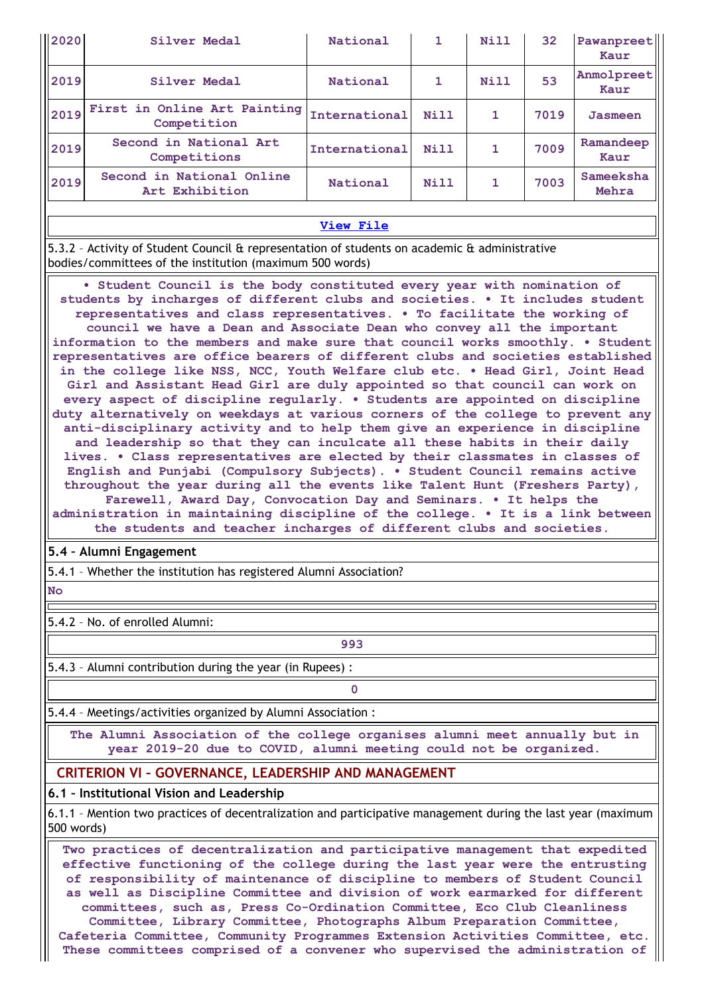| $\parallel$ 2020 | Silver Medal                                                                                                                                                  | National      | 1    | Nill | 32   | Pawanpreet<br>Kaur |  |  |
|------------------|---------------------------------------------------------------------------------------------------------------------------------------------------------------|---------------|------|------|------|--------------------|--|--|
| 2019             | Silver Medal                                                                                                                                                  | National      | 1.   | Nill | 53   | Anmolpreet<br>Kaur |  |  |
| 2019             | First in Online Art Painting<br>Competition                                                                                                                   | International | Nill | 1    | 7019 | Jasmeen            |  |  |
| 2019             | Second in National Art<br>Competitions                                                                                                                        | International | Nill | 1    | 7009 | Ramandeep<br>Kaur  |  |  |
| 2019             | Second in National Online<br>Art Exhibition                                                                                                                   | National      | Nill | 1    | 7003 | Sameeksha<br>Mehra |  |  |
|                  |                                                                                                                                                               |               |      |      |      |                    |  |  |
|                  | View File                                                                                                                                                     |               |      |      |      |                    |  |  |
|                  | $ 5.3.2$ - Activity of Student Council & representation of students on academic & administrative<br>(bodies/committees of the institution (maximum 500 words) |               |      |      |      |                    |  |  |

**• Student Council is the body constituted every year with nomination of students by incharges of different clubs and societies. • It includes student representatives and class representatives. • To facilitate the working of council we have a Dean and Associate Dean who convey all the important information to the members and make sure that council works smoothly. • Student representatives are office bearers of different clubs and societies established in the college like NSS, NCC, Youth Welfare club etc. • Head Girl, Joint Head Girl and Assistant Head Girl are duly appointed so that council can work on every aspect of discipline regularly. • Students are appointed on discipline duty alternatively on weekdays at various corners of the college to prevent any anti-disciplinary activity and to help them give an experience in discipline and leadership so that they can inculcate all these habits in their daily lives. • Class representatives are elected by their classmates in classes of English and Punjabi (Compulsory Subjects). • Student Council remains active throughout the year during all the events like Talent Hunt (Freshers Party), Farewell, Award Day, Convocation Day and Seminars. • It helps the administration in maintaining discipline of the college. • It is a link between the students and teacher incharges of different clubs and societies.**

## **5.4 – Alumni Engagement**

5.4.1 – Whether the institution has registered Alumni Association?

**No**

5.4.2 – No. of enrolled Alumni:

**993**

5.4.3 – Alumni contribution during the year (in Rupees) :

**0**

5.4.4 – Meetings/activities organized by Alumni Association :

**The Alumni Association of the college organises alumni meet annually but in year 2019-20 due to COVID, alumni meeting could not be organized.**

# **CRITERION VI – GOVERNANCE, LEADERSHIP AND MANAGEMENT**

## **6.1 – Institutional Vision and Leadership**

6.1.1 – Mention two practices of decentralization and participative management during the last year (maximum 500 words)

**Two practices of decentralization and participative management that expedited effective functioning of the college during the last year were the entrusting of responsibility of maintenance of discipline to members of Student Council as well as Discipline Committee and division of work earmarked for different committees, such as, Press Co-Ordination Committee, Eco Club Cleanliness Committee, Library Committee, Photographs Album Preparation Committee, Cafeteria Committee, Community Programmes Extension Activities Committee, etc. These committees comprised of a convener who supervised the administration of**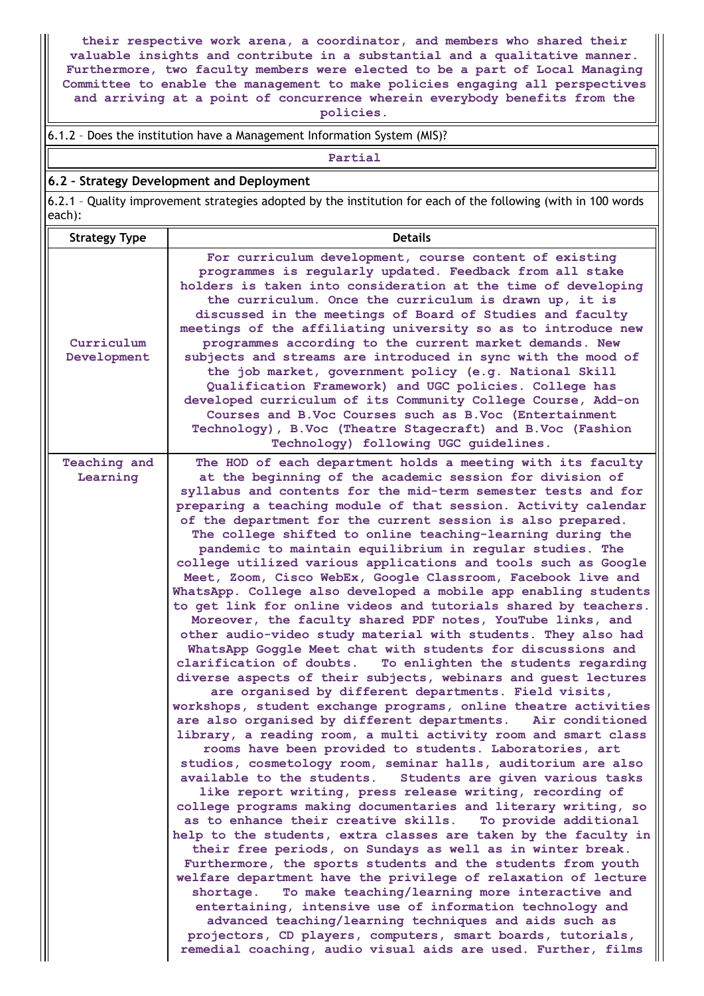**their respective work arena, a coordinator, and members who shared their valuable insights and contribute in a substantial and a qualitative manner. Furthermore, two faculty members were elected to be a part of Local Managing Committee to enable the management to make policies engaging all perspectives and arriving at a point of concurrence wherein everybody benefits from the**

**policies.**

### 6.1.2 – Does the institution have a Management Information System (MIS)?

**Partial**

#### **6.2 – Strategy Development and Deployment**

6.2.1 – Quality improvement strategies adopted by the institution for each of the following (with in 100 words each):

| <b>Strategy Type</b>      | <b>Details</b>                                                                                                                                                                                                                                                                                                                                                                                                                                                                                                                                                                                                                                                                                                                                                                                                                                                                                                                                                                                                                                                                                                                                                                                                                                                                                                                                                                                                                                                                                                                                                                                                                                                                                                                                                                                                                                                                                                                                                                                                                                                                                                                                                                                                                                                                                                     |
|---------------------------|--------------------------------------------------------------------------------------------------------------------------------------------------------------------------------------------------------------------------------------------------------------------------------------------------------------------------------------------------------------------------------------------------------------------------------------------------------------------------------------------------------------------------------------------------------------------------------------------------------------------------------------------------------------------------------------------------------------------------------------------------------------------------------------------------------------------------------------------------------------------------------------------------------------------------------------------------------------------------------------------------------------------------------------------------------------------------------------------------------------------------------------------------------------------------------------------------------------------------------------------------------------------------------------------------------------------------------------------------------------------------------------------------------------------------------------------------------------------------------------------------------------------------------------------------------------------------------------------------------------------------------------------------------------------------------------------------------------------------------------------------------------------------------------------------------------------------------------------------------------------------------------------------------------------------------------------------------------------------------------------------------------------------------------------------------------------------------------------------------------------------------------------------------------------------------------------------------------------------------------------------------------------------------------------------------------------|
| Curriculum<br>Development | For curriculum development, course content of existing<br>programmes is regularly updated. Feedback from all stake<br>holders is taken into consideration at the time of developing<br>the curriculum. Once the curriculum is drawn up, it is<br>discussed in the meetings of Board of Studies and faculty<br>meetings of the affiliating university so as to introduce new<br>programmes according to the current market demands. New<br>subjects and streams are introduced in sync with the mood of<br>the job market, government policy (e.g. National Skill<br>Qualification Framework) and UGC policies. College has<br>developed curriculum of its Community College Course, Add-on<br>Courses and B.Voc Courses such as B.Voc (Entertainment<br>Technology), B.Voc (Theatre Stagecraft) and B.Voc (Fashion<br>Technology) following UGC guidelines.                                                                                                                                                                                                                                                                                                                                                                                                                                                                                                                                                                                                                                                                                                                                                                                                                                                                                                                                                                                                                                                                                                                                                                                                                                                                                                                                                                                                                                                        |
| Teaching and<br>Learning  | The HOD of each department holds a meeting with its faculty<br>at the beginning of the academic session for division of<br>syllabus and contents for the mid-term semester tests and for<br>preparing a teaching module of that session. Activity calendar<br>of the department for the current session is also prepared.<br>The college shifted to online teaching-learning during the<br>pandemic to maintain equilibrium in regular studies. The<br>college utilized various applications and tools such as Google<br>Meet, Zoom, Cisco WebEx, Google Classroom, Facebook live and<br>WhatsApp. College also developed a mobile app enabling students<br>to get link for online videos and tutorials shared by teachers.<br>Moreover, the faculty shared PDF notes, YouTube links, and<br>other audio-video study material with students. They also had<br>WhatsApp Goggle Meet chat with students for discussions and<br>clarification of doubts.<br>To enlighten the students regarding<br>diverse aspects of their subjects, webinars and guest lectures<br>are organised by different departments. Field visits,<br>workshops, student exchange programs, online theatre activities<br>are also organised by different departments.<br>Air conditioned<br>library, a reading room, a multi activity room and smart class<br>rooms have been provided to students. Laboratories, art<br>studios, cosmetology room, seminar halls, auditorium are also<br>available to the students.<br>Students are given various tasks<br>like report writing, press release writing, recording of<br>college programs making documentaries and literary writing, so<br>as to enhance their creative skills. To provide additional<br>help to the students, extra classes are taken by the faculty in<br>their free periods, on Sundays as well as in winter break.<br>Furthermore, the sports students and the students from youth<br>welfare department have the privilege of relaxation of lecture<br>To make teaching/learning more interactive and<br>shortage.<br>entertaining, intensive use of information technology and<br>advanced teaching/learning techniques and aids such as<br>projectors, CD players, computers, smart boards, tutorials,<br>remedial coaching, audio visual aids are used. Further, films |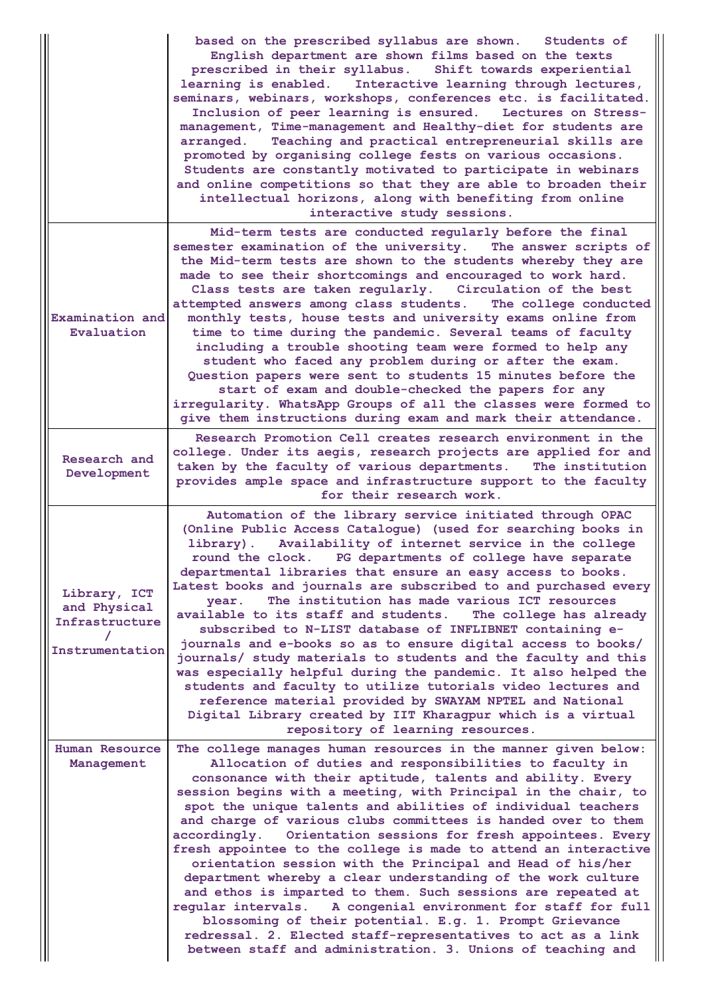|                                                                   | based on the prescribed syllabus are shown. Students of<br>English department are shown films based on the texts<br>prescribed in their syllabus. Shift towards experiential<br>learning is enabled. Interactive learning through lectures,<br>seminars, webinars, workshops, conferences etc. is facilitated.<br>Inclusion of peer learning is ensured. Lectures on Stress-<br>management, Time-management and Healthy-diet for students are<br>Teaching and practical entrepreneurial skills are<br>arranged.<br>promoted by organising college fests on various occasions.<br>Students are constantly motivated to participate in webinars<br>and online competitions so that they are able to broaden their<br>intellectual horizons, along with benefiting from online<br>interactive study sessions.                                                                                                                                                                                                          |
|-------------------------------------------------------------------|---------------------------------------------------------------------------------------------------------------------------------------------------------------------------------------------------------------------------------------------------------------------------------------------------------------------------------------------------------------------------------------------------------------------------------------------------------------------------------------------------------------------------------------------------------------------------------------------------------------------------------------------------------------------------------------------------------------------------------------------------------------------------------------------------------------------------------------------------------------------------------------------------------------------------------------------------------------------------------------------------------------------|
| Examination and<br>Evaluation                                     | Mid-term tests are conducted regularly before the final<br>semester examination of the university. The answer scripts of<br>the Mid-term tests are shown to the students whereby they are<br>made to see their shortcomings and encouraged to work hard.<br>Class tests are taken regularly. Circulation of the best<br>attempted answers among class students.<br>The college conducted<br>monthly tests, house tests and university exams online from<br>time to time during the pandemic. Several teams of faculty<br>including a trouble shooting team were formed to help any<br>student who faced any problem during or after the exam.<br>Question papers were sent to students 15 minutes before the<br>start of exam and double-checked the papers for any<br>irregularity. WhatsApp Groups of all the classes were formed to<br>give them instructions during exam and mark their attendance.                                                                                                             |
| Research and<br>Development                                       | Research Promotion Cell creates research environment in the<br>college. Under its aegis, research projects are applied for and<br>taken by the faculty of various departments. The institution<br>provides ample space and infrastructure support to the faculty<br>for their research work.                                                                                                                                                                                                                                                                                                                                                                                                                                                                                                                                                                                                                                                                                                                        |
| Library, ICT<br>and Physical<br>Infrastructure<br>Instrumentation | Automation of the library service initiated through OPAC<br>(Online Public Access Catalogue) (used for searching books in<br>library). Availability of internet service in the college<br>round the clock. PG departments of college have separate<br>departmental libraries that ensure an easy access to books.<br>Latest books and journals are subscribed to and purchased every<br>The institution has made various ICT resources<br>year.<br>available to its staff and students.<br>The college has already<br>subscribed to N-LIST database of INFLIBNET containing e-<br>journals and e-books so as to ensure digital access to books/<br>journals/ study materials to students and the faculty and this<br>was especially helpful during the pandemic. It also helped the<br>students and faculty to utilize tutorials video lectures and<br>reference material provided by SWAYAM NPTEL and National<br>Digital Library created by IIT Kharagpur which is a virtual<br>repository of learning resources. |
| Human Resource<br>Management                                      | The college manages human resources in the manner given below:<br>Allocation of duties and responsibilities to faculty in<br>consonance with their aptitude, talents and ability. Every<br>session begins with a meeting, with Principal in the chair, to<br>spot the unique talents and abilities of individual teachers<br>and charge of various clubs committees is handed over to them<br>Orientation sessions for fresh appointees. Every<br>accordingly.<br>fresh appointee to the college is made to attend an interactive<br>orientation session with the Principal and Head of his/her<br>department whereby a clear understanding of the work culture<br>and ethos is imparted to them. Such sessions are repeated at<br>regular intervals.<br>A congenial environment for staff for full<br>blossoming of their potential. E.g. 1. Prompt Grievance<br>redressal. 2. Elected staff-representatives to act as a link<br>between staff and administration. 3. Unions of teaching and                       |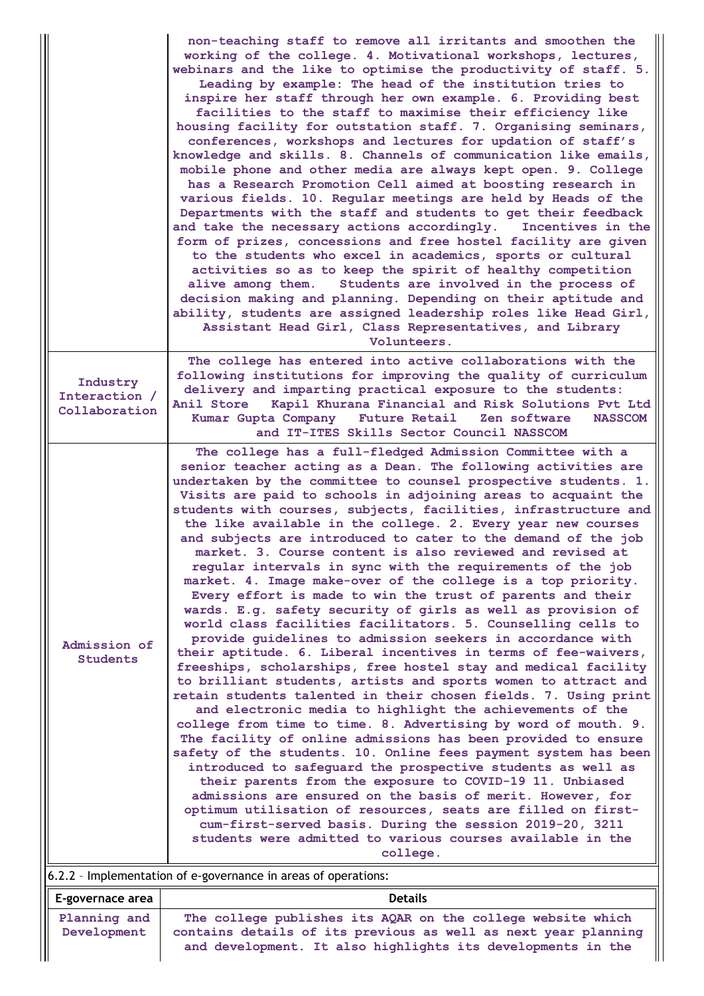|                                            | non-teaching staff to remove all irritants and smoothen the<br>working of the college. 4. Motivational workshops, lectures,<br>webinars and the like to optimise the productivity of staff. 5.<br>Leading by example: The head of the institution tries to<br>inspire her staff through her own example. 6. Providing best<br>facilities to the staff to maximise their efficiency like<br>housing facility for outstation staff. 7. Organising seminars,<br>conferences, workshops and lectures for updation of staff's<br>knowledge and skills. 8. Channels of communication like emails,<br>mobile phone and other media are always kept open. 9. College<br>has a Research Promotion Cell aimed at boosting research in<br>various fields. 10. Regular meetings are held by Heads of the<br>Departments with the staff and students to get their feedback<br>and take the necessary actions accordingly.<br>Incentives in the<br>form of prizes, concessions and free hostel facility are given<br>to the students who excel in academics, sports or cultural<br>activities so as to keep the spirit of healthy competition<br>Students are involved in the process of<br>alive among them.<br>decision making and planning. Depending on their aptitude and<br>ability, students are assigned leadership roles like Head Girl,<br>Assistant Head Girl, Class Representatives, and Library<br>Volunteers.                                                                                                                                                                                                                                                                                                                                                                                                                                                        |
|--------------------------------------------|----------------------------------------------------------------------------------------------------------------------------------------------------------------------------------------------------------------------------------------------------------------------------------------------------------------------------------------------------------------------------------------------------------------------------------------------------------------------------------------------------------------------------------------------------------------------------------------------------------------------------------------------------------------------------------------------------------------------------------------------------------------------------------------------------------------------------------------------------------------------------------------------------------------------------------------------------------------------------------------------------------------------------------------------------------------------------------------------------------------------------------------------------------------------------------------------------------------------------------------------------------------------------------------------------------------------------------------------------------------------------------------------------------------------------------------------------------------------------------------------------------------------------------------------------------------------------------------------------------------------------------------------------------------------------------------------------------------------------------------------------------------------------------------------------------------------------------------------------------------------|
| Industry<br>Interaction /<br>Collaboration | The college has entered into active collaborations with the<br>following institutions for improving the quality of curriculum<br>delivery and imparting practical exposure to the students:<br>Anil Store<br>Kapil Khurana Financial and Risk Solutions Pvt Ltd<br>Kumar Gupta Company<br>Future Retail<br>Zen software<br><b>NASSCOM</b><br>and IT-ITES Skills Sector Council NASSCOM                                                                                                                                                                                                                                                                                                                                                                                                                                                                                                                                                                                                                                                                                                                                                                                                                                                                                                                                                                                                                                                                                                                                                                                                                                                                                                                                                                                                                                                                               |
| Admission of<br><b>Students</b>            | The college has a full-fledged Admission Committee with a<br>senior teacher acting as a Dean. The following activities are<br>undertaken by the committee to counsel prospective students. 1.<br>Visits are paid to schools in adjoining areas to acquaint the<br>students with courses, subjects, facilities, infrastructure and<br>the like available in the college. 2. Every year new courses<br>and subjects are introduced to cater to the demand of the job<br>market. 3. Course content is also reviewed and revised at<br>regular intervals in sync with the requirements of the job<br>market. 4. Image make-over of the college is a top priority.<br>Every effort is made to win the trust of parents and their<br>wards. E.g. safety security of girls as well as provision of<br>world class facilities facilitators. 5. Counselling cells to<br>provide guidelines to admission seekers in accordance with<br>their aptitude. 6. Liberal incentives in terms of fee-waivers,<br>freeships, scholarships, free hostel stay and medical facility<br>to brilliant students, artists and sports women to attract and<br>retain students talented in their chosen fields. 7. Using print<br>and electronic media to highlight the achievements of the<br>college from time to time. 8. Advertising by word of mouth. 9.<br>The facility of online admissions has been provided to ensure<br>safety of the students. 10. Online fees payment system has been<br>introduced to safeguard the prospective students as well as<br>their parents from the exposure to COVID-19 11. Unbiased<br>admissions are ensured on the basis of merit. However, for<br>optimum utilisation of resources, seats are filled on first-<br>cum-first-served basis. During the session 2019-20, 3211<br>students were admitted to various courses available in the<br>college. |
| E-governace area                           | 6.2.2 - Implementation of e-governance in areas of operations:<br><b>Details</b>                                                                                                                                                                                                                                                                                                                                                                                                                                                                                                                                                                                                                                                                                                                                                                                                                                                                                                                                                                                                                                                                                                                                                                                                                                                                                                                                                                                                                                                                                                                                                                                                                                                                                                                                                                                     |
| Planning and                               | The college publishes its AQAR on the college website which                                                                                                                                                                                                                                                                                                                                                                                                                                                                                                                                                                                                                                                                                                                                                                                                                                                                                                                                                                                                                                                                                                                                                                                                                                                                                                                                                                                                                                                                                                                                                                                                                                                                                                                                                                                                          |
| Development                                | contains details of its previous as well as next year planning<br>and development. It also highlights its developments in the                                                                                                                                                                                                                                                                                                                                                                                                                                                                                                                                                                                                                                                                                                                                                                                                                                                                                                                                                                                                                                                                                                                                                                                                                                                                                                                                                                                                                                                                                                                                                                                                                                                                                                                                        |

 $\parallel$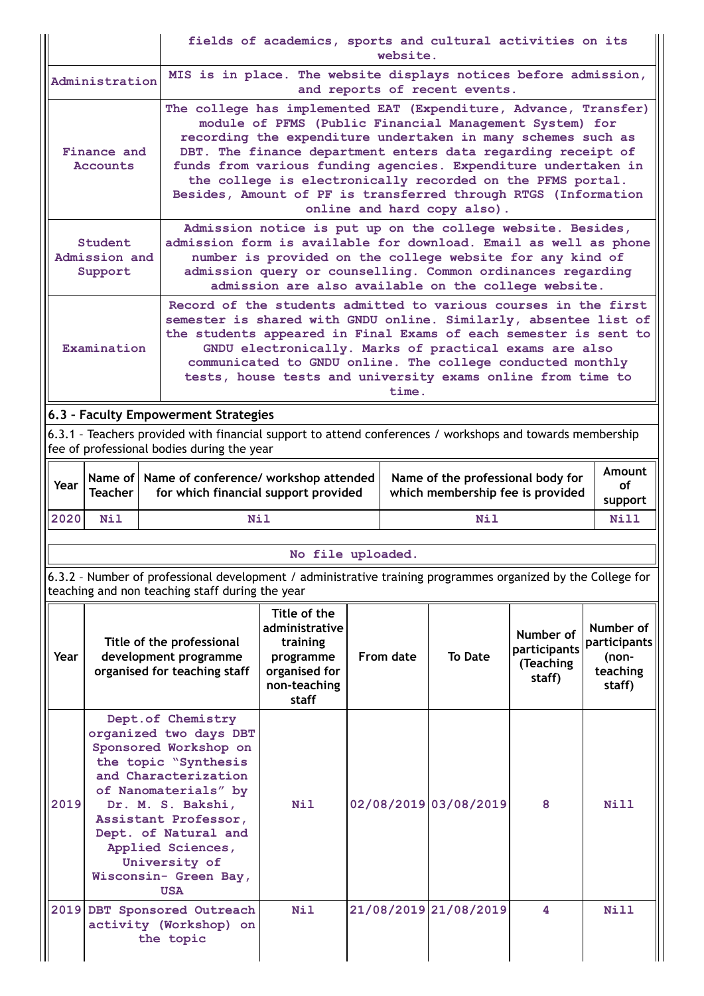|      |                                                                                                                                                                                                                                                                                                                                                                                                                        |                                                                                                                                                                 | fields of academics, sports and cultural activities on its<br>website.                                                                                                                                                                                                                                                                                                                                                                                                                       |  |           |                       |                                                  |                                                          |  |  |
|------|------------------------------------------------------------------------------------------------------------------------------------------------------------------------------------------------------------------------------------------------------------------------------------------------------------------------------------------------------------------------------------------------------------------------|-----------------------------------------------------------------------------------------------------------------------------------------------------------------|----------------------------------------------------------------------------------------------------------------------------------------------------------------------------------------------------------------------------------------------------------------------------------------------------------------------------------------------------------------------------------------------------------------------------------------------------------------------------------------------|--|-----------|-----------------------|--------------------------------------------------|----------------------------------------------------------|--|--|
|      | Administration                                                                                                                                                                                                                                                                                                                                                                                                         |                                                                                                                                                                 | MIS is in place. The website displays notices before admission,<br>and reports of recent events.                                                                                                                                                                                                                                                                                                                                                                                             |  |           |                       |                                                  |                                                          |  |  |
|      | Finance and<br><b>Accounts</b>                                                                                                                                                                                                                                                                                                                                                                                         |                                                                                                                                                                 | The college has implemented EAT (Expenditure, Advance, Transfer)<br>module of PFMS (Public Financial Management System) for<br>recording the expenditure undertaken in many schemes such as<br>DBT. The finance department enters data regarding receipt of<br>funds from various funding agencies. Expenditure undertaken in<br>the college is electronically recorded on the PFMS portal.<br>Besides, Amount of PF is transferred through RTGS (Information<br>online and hard copy also). |  |           |                       |                                                  |                                                          |  |  |
|      | Student<br>Admission and<br>Support                                                                                                                                                                                                                                                                                                                                                                                    | admission form is available for download. Email as well as phone                                                                                                | Admission notice is put up on the college website. Besides,<br>number is provided on the college website for any kind of<br>admission query or counselling. Common ordinances regarding<br>admission are also available on the college website.                                                                                                                                                                                                                                              |  |           |                       |                                                  |                                                          |  |  |
|      | Record of the students admitted to various courses in the first<br>semester is shared with GNDU online. Similarly, absentee list of<br>the students appeared in Final Exams of each semester is sent to<br>Examination<br>GNDU electronically. Marks of practical exams are also<br>communicated to GNDU online. The college conducted monthly<br>tests, house tests and university exams online from time to<br>time. |                                                                                                                                                                 |                                                                                                                                                                                                                                                                                                                                                                                                                                                                                              |  |           |                       |                                                  |                                                          |  |  |
|      |                                                                                                                                                                                                                                                                                                                                                                                                                        | 6.3 - Faculty Empowerment Strategies                                                                                                                            |                                                                                                                                                                                                                                                                                                                                                                                                                                                                                              |  |           |                       |                                                  |                                                          |  |  |
|      |                                                                                                                                                                                                                                                                                                                                                                                                                        | 6.3.1 - Teachers provided with financial support to attend conferences / workshops and towards membership<br>fee of professional bodies during the year         |                                                                                                                                                                                                                                                                                                                                                                                                                                                                                              |  |           |                       |                                                  |                                                          |  |  |
| Year | Name of I<br><b>Teacher</b>                                                                                                                                                                                                                                                                                                                                                                                            |                                                                                                                                                                 | <b>Amount</b><br>Name of conference/ workshop attended<br>Name of the professional body for<br>οf<br>for which financial support provided<br>which membership fee is provided<br>support                                                                                                                                                                                                                                                                                                     |  |           |                       |                                                  |                                                          |  |  |
| 2020 | <b>Nil</b>                                                                                                                                                                                                                                                                                                                                                                                                             | <b>Nil</b>                                                                                                                                                      |                                                                                                                                                                                                                                                                                                                                                                                                                                                                                              |  |           | <b>Nil</b>            |                                                  | Nill                                                     |  |  |
|      |                                                                                                                                                                                                                                                                                                                                                                                                                        |                                                                                                                                                                 |                                                                                                                                                                                                                                                                                                                                                                                                                                                                                              |  |           |                       |                                                  |                                                          |  |  |
|      |                                                                                                                                                                                                                                                                                                                                                                                                                        | 6.3.2 - Number of professional development / administrative training programmes organized by the College for<br>teaching and non teaching staff during the year | No file uploaded.                                                                                                                                                                                                                                                                                                                                                                                                                                                                            |  |           |                       |                                                  |                                                          |  |  |
| Year |                                                                                                                                                                                                                                                                                                                                                                                                                        | Title of the professional<br>development programme<br>organised for teaching staff                                                                              | Title of the<br>administrative<br>training<br>programme<br>organised for<br>non-teaching<br><b>staff</b>                                                                                                                                                                                                                                                                                                                                                                                     |  | From date | <b>To Date</b>        | Number of<br>participants<br>(Teaching<br>staff) | Number of<br>participants<br>(non-<br>teaching<br>staff) |  |  |
| 2019 | Dept.of Chemistry<br>organized two days DBT<br>Sponsored Workshop on<br>the topic "Synthesis<br>and Characterization<br>of Nanomaterials" by<br>Dr. M. S. Bakshi,<br>Assistant Professor,<br>Dept. of Natural and<br>Applied Sciences,<br>University of<br>Wisconsin- Green Bay,<br><b>USA</b>                                                                                                                         |                                                                                                                                                                 | Nil                                                                                                                                                                                                                                                                                                                                                                                                                                                                                          |  |           | 02/08/2019 03/08/2019 | 8                                                | Nill                                                     |  |  |
|      |                                                                                                                                                                                                                                                                                                                                                                                                                        |                                                                                                                                                                 |                                                                                                                                                                                                                                                                                                                                                                                                                                                                                              |  |           |                       |                                                  |                                                          |  |  |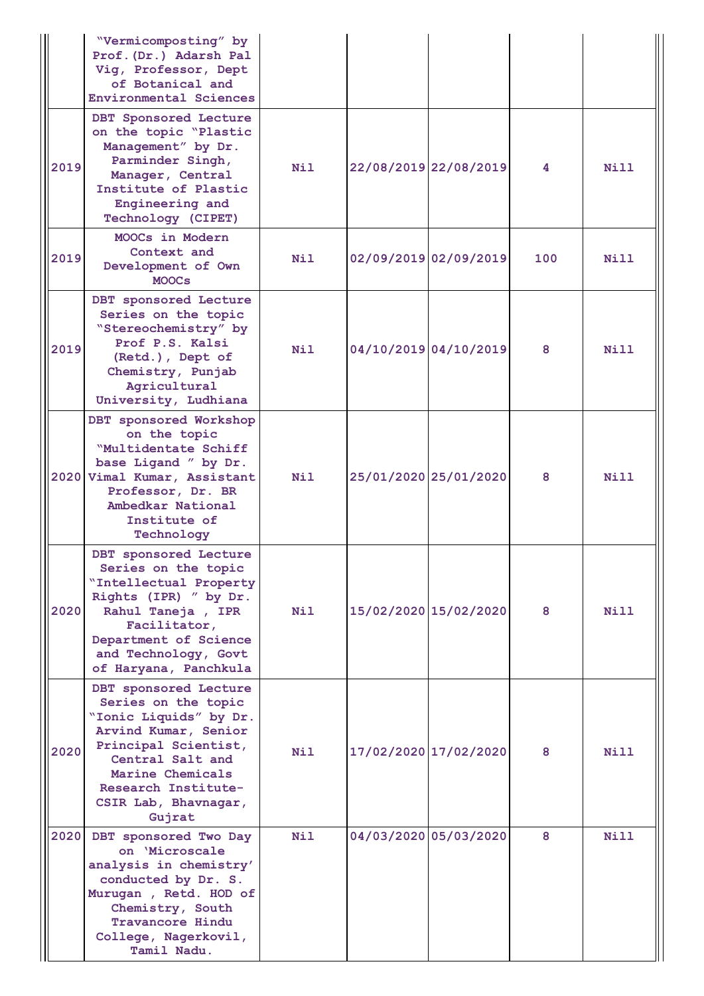|      | "Vermicomposting" by<br>Prof. (Dr.) Adarsh Pal<br>Vig, Professor, Dept<br>of Botanical and<br><b>Environmental Sciences</b>                                                                                             |                  |                       |     |             |
|------|-------------------------------------------------------------------------------------------------------------------------------------------------------------------------------------------------------------------------|------------------|-----------------------|-----|-------------|
| 2019 | DBT Sponsored Lecture<br>on the topic "Plastic<br>Management" by Dr.<br>Parminder Singh,<br>Manager, Central<br>Institute of Plastic<br>Engineering and<br>Technology (CIPET)                                           | Nil              | 22/08/2019 22/08/2019 | 4   | Nill        |
| 2019 | MOOCs in Modern<br>Context and<br>Development of Own<br><b>MOOCs</b>                                                                                                                                                    | Nil              | 02/09/2019 02/09/2019 | 100 | Nill        |
| 2019 | DBT sponsored Lecture<br>Series on the topic<br>"Stereochemistry" by<br>Prof P.S. Kalsi<br>(Retd.), Dept of<br>Chemistry, Punjab<br>Agricultural<br>University, Ludhiana                                                | Nil              | 04/10/2019 04/10/2019 | 8   | Nill        |
|      | DBT sponsored Workshop<br>on the topic<br>"Multidentate Schiff<br>base Ligand " by Dr.<br>2020 Vimal Kumar, Assistant<br>Professor, Dr. BR<br>Ambedkar National<br>Institute of<br>Technology                           | Nil              | 25/01/2020 25/01/2020 | 8   | Nill        |
| 2020 | DBT sponsored Lecture<br>Series on the topic<br>"Intellectual Property<br>Rights (IPR) " by Dr.<br>Rahul Taneja, IPR<br>Facilitator,<br>Department of Science<br>and Technology, Govt<br>of Haryana, Panchkula          | <b>Nil</b>       | 15/02/2020 15/02/2020 | 8   | Nill        |
| 2020 | DBT sponsored Lecture<br>Series on the topic<br>"Ionic Liquids" by Dr.<br>Arvind Kumar, Senior<br>Principal Scientist,<br>Central Salt and<br>Marine Chemicals<br>Research Institute-<br>CSIR Lab, Bhavnagar,<br>Gujrat | Nil              | 17/02/2020 17/02/2020 | 8   | <b>Nill</b> |
| 2020 | DBT sponsored Two Day<br>on 'Microscale<br>analysis in chemistry'<br>conducted by Dr. S.<br>Murugan, Retd. HOD of<br>Chemistry, South<br><b>Travancore Hindu</b><br>College, Nagerkovil,<br>Tamil Nadu.                 | N <sub>i</sub> 1 | 04/03/2020 05/03/2020 | 8   | Nill        |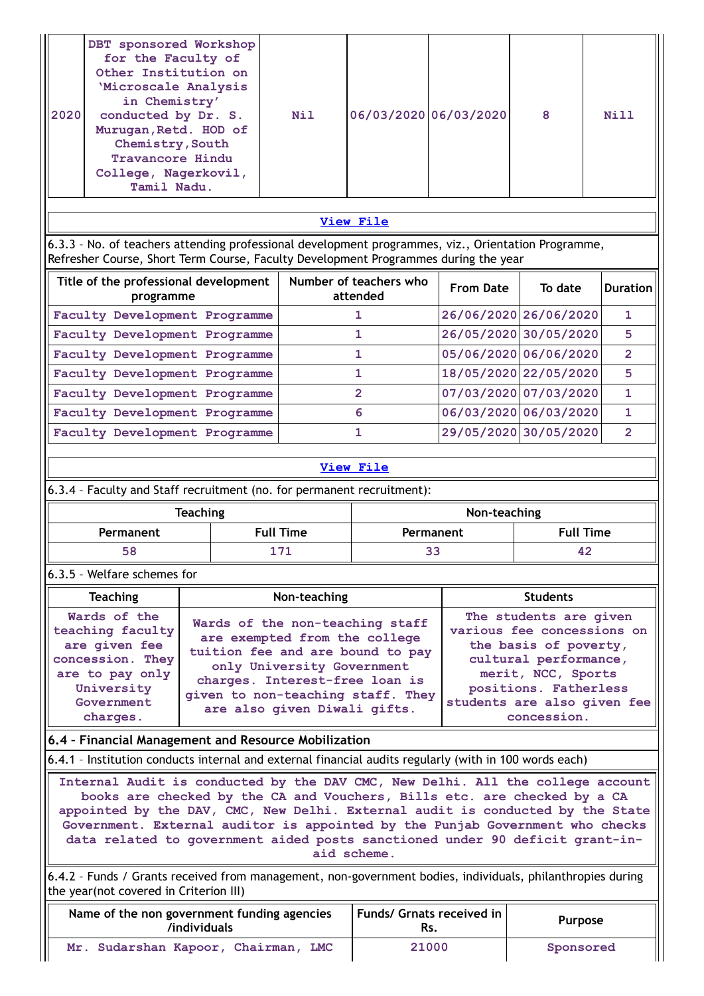| 2020 | DBT sponsored Workshop<br>for the Faculty of<br>Other Institution on<br>'Microscale Analysis<br>in Chemistry'<br>conducted by Dr. S.<br>Murugan, Retd. HOD of<br>Chemistry, South<br>Travancore Hindu<br>College, Nagerkovil,<br>Tamil Nadu. | Nil |                                    | 06/03/2020 06/03/2020 | 8                     | Nill            |
|------|----------------------------------------------------------------------------------------------------------------------------------------------------------------------------------------------------------------------------------------------|-----|------------------------------------|-----------------------|-----------------------|-----------------|
|      |                                                                                                                                                                                                                                              |     |                                    |                       |                       |                 |
|      |                                                                                                                                                                                                                                              |     | View File                          |                       |                       |                 |
|      | 6.3.3 - No. of teachers attending professional development programmes, viz., Orientation Programme,<br>Refresher Course, Short Term Course, Faculty Development Programmes during the year                                                   |     |                                    |                       |                       |                 |
|      | Title of the professional development<br>programme                                                                                                                                                                                           |     | Number of teachers who<br>attended | <b>From Date</b>      | To date               | <b>Duration</b> |
|      | Faculty Development Programme                                                                                                                                                                                                                |     | $\mathbf{1}$                       |                       | 26/06/2020 26/06/2020 | $\mathbf{1}$    |
|      | Faculty Development Programme                                                                                                                                                                                                                |     | 1                                  |                       | 26/05/2020 30/05/2020 | 5               |
|      | Faculty Development Programme                                                                                                                                                                                                                |     | 1                                  |                       | 05/06/2020 06/06/2020 | $\overline{2}$  |
|      | Faculty Development Programme                                                                                                                                                                                                                |     | 1                                  |                       | 18/05/2020 22/05/2020 | 5               |
|      | Faculty Development Programme                                                                                                                                                                                                                |     | $\overline{2}$                     |                       | 07/03/2020 07/03/2020 | $\mathbf{1}$    |
|      | Faculty Development Programme                                                                                                                                                                                                                |     | 6                                  |                       | 06/03/2020 06/03/2020 | $\mathbf{1}$    |
|      | Faculty Development Programme                                                                                                                                                                                                                |     | 1                                  |                       | 29/05/2020 30/05/2020 | $\overline{2}$  |

6.3.4 – Faculty and Staff recruitment (no. for permanent recruitment):

| <b>Teaching</b> |                  | Non-teaching |                  |
|-----------------|------------------|--------------|------------------|
| Permanent       | <b>Full Time</b> | Permanent    | <b>Full Time</b> |
| 58              | 171              |              | 42               |

### 6.3.5 – Welfare schemes for

| <b>Teaching</b>                                                                                                                  | Non-teaching                                                                                                                                                                                                                              | <b>Students</b>                                                                                                                                                                                     |
|----------------------------------------------------------------------------------------------------------------------------------|-------------------------------------------------------------------------------------------------------------------------------------------------------------------------------------------------------------------------------------------|-----------------------------------------------------------------------------------------------------------------------------------------------------------------------------------------------------|
| Wards of the<br>teaching faculty<br>are given fee<br>concession. They<br>are to pay only<br>University<br>Government<br>charges. | Wards of the non-teaching staff<br>are exempted from the college<br>tuition fee and are bound to pay<br>only University Government<br>charges. Interest-free loan is<br>given to non-teaching staff. They<br>are also given Diwali gifts. | The students are given<br>various fee concessions on<br>the basis of poverty,<br>cultural performance,<br>merit, NCC, Sports<br>positions. Fatherless<br>students are also given fee<br>concession. |

#### **6.4 – Financial Management and Resource Mobilization**

6.4.1 – Institution conducts internal and external financial audits regularly (with in 100 words each)

**Internal Audit is conducted by the DAV CMC, New Delhi. All the college account books are checked by the CA and Vouchers, Bills etc. are checked by a CA appointed by the DAV, CMC, New Delhi. External audit is conducted by the State Government. External auditor is appointed by the Punjab Government who checks data related to government aided posts sanctioned under 90 deficit grant-inaid scheme.**

6.4.2 – Funds / Grants received from management, non-government bodies, individuals, philanthropies during the year(not covered in Criterion III)

| Name of the non government funding agencies<br>/individuals | Funds/ Grnats received in  <br>Rs. | <b>Purpose</b> |
|-------------------------------------------------------------|------------------------------------|----------------|
| Mr. Sudarshan Kapoor, Chairman, LMC                         | 21000                              | Sponsored      |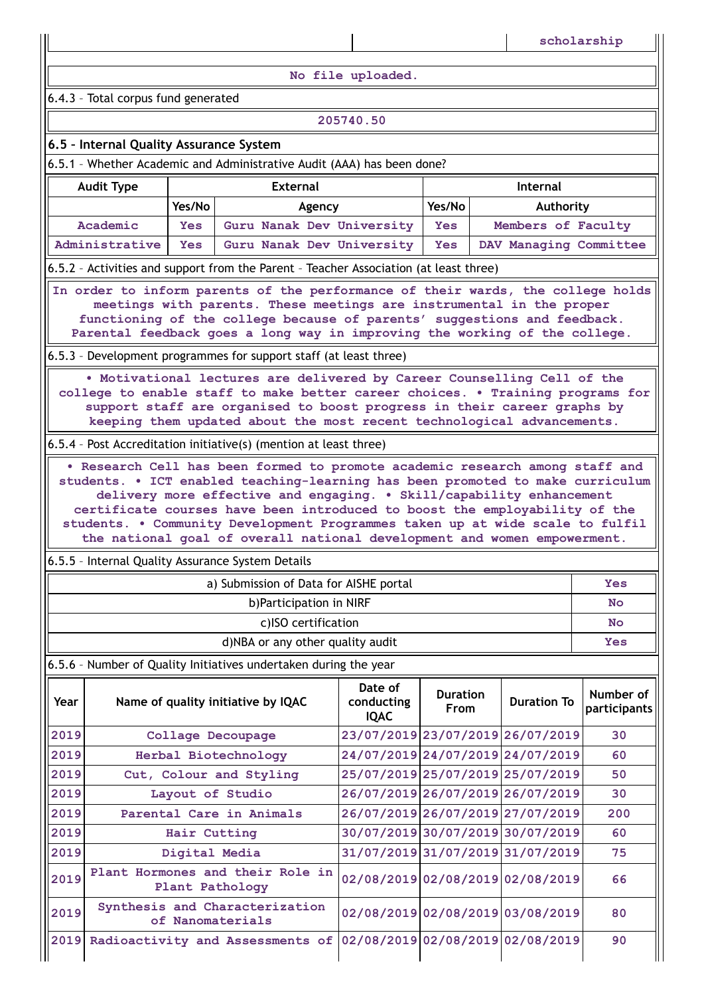**No file uploaded.**

6.4.3 – Total corpus fund generated

#### **205740.50**

### **6.5 – Internal Quality Assurance System**

6.5.1 – Whether Academic and Administrative Audit (AAA) has been done?

| <b>Audit Type</b> | <b>External</b><br>Internal                                                           |                           |        |                    |  |  |
|-------------------|---------------------------------------------------------------------------------------|---------------------------|--------|--------------------|--|--|
|                   | Yes/No                                                                                | Agency                    | Yes/No | Authority          |  |  |
| Academic          | <b>Yes</b>                                                                            | Guru Nanak Dev University | Yes    | Members of Faculty |  |  |
| Administrative    | Yes Guru Nanak Dev University<br>DAV Managing Committee<br>Yes                        |                           |        |                    |  |  |
|                   | 6.5.2 - Activities and support from the Parent - Teacher Association (at least three) |                           |        |                    |  |  |

**In order to inform parents of the performance of their wards, the college holds meetings with parents. These meetings are instrumental in the proper functioning of the college because of parents' suggestions and feedback. Parental feedback goes a long way in improving the working of the college.**

6.5.3 – Development programmes for support staff (at least three)

**• Motivational lectures are delivered by Career Counselling Cell of the college to enable staff to make better career choices. • Training programs for support staff are organised to boost progress in their career graphs by keeping them updated about the most recent technological advancements.**

6.5.4 – Post Accreditation initiative(s) (mention at least three)

**• Research Cell has been formed to promote academic research among staff and students. • ICT enabled teaching-learning has been promoted to make curriculum delivery more effective and engaging. • Skill/capability enhancement certificate courses have been introduced to boost the employability of the students. • Community Development Programmes taken up at wide scale to fulfil the national goal of overall national development and women empowerment.**

6.5.5 – Internal Quality Assurance System Details

| a) Submission of Data for AISHE portal | Yes |
|----------------------------------------|-----|
| b) Participation in NIRF               | No  |
| c)ISO certification                    | No  |
| d)NBA or any other quality audit       | Yes |

6.5.6 – Number of Quality Initiatives undertaken during the year

| Year | Name of quality initiative by IQAC                  | Date of<br>conducting<br><b>IQAC</b> | <b>Duration</b><br><b>From</b>   | <b>Duration To</b>               | Number of<br>participants |
|------|-----------------------------------------------------|--------------------------------------|----------------------------------|----------------------------------|---------------------------|
| 2019 | Collage Decoupage                                   |                                      |                                  | 23/07/2019 23/07/2019 26/07/2019 | 30                        |
| 2019 | Herbal Biotechnology                                |                                      | 24/07/2019 24/07/2019 24/07/2019 |                                  | 60                        |
| 2019 | Cut, Colour and Styling                             |                                      |                                  | 25/07/2019 25/07/2019 25/07/2019 | 50                        |
| 2019 | Layout of Studio                                    |                                      | 26/07/2019 26/07/2019 26/07/2019 |                                  | 30                        |
| 2019 | Parental Care in Animals                            |                                      |                                  | 26/07/2019 26/07/2019 27/07/2019 | 200                       |
| 2019 | Hair Cutting                                        |                                      |                                  | 30/07/2019 30/07/2019 30/07/2019 | 60                        |
| 2019 | Digital Media                                       |                                      |                                  | 31/07/2019 31/07/2019 31/07/2019 | 75                        |
| 2019 | Plant Hormones and their Role in<br>Plant Pathology |                                      |                                  | 02/08/2019 02/08/2019 02/08/2019 | 66                        |
| 2019 | Synthesis and Characterization<br>of Nanomaterials  |                                      |                                  | 02/08/2019 02/08/2019 03/08/2019 | 80                        |
| 2019 | Radioactivity and Assessments of                    |                                      |                                  | 02/08/2019 02/08/2019 02/08/2019 | 90                        |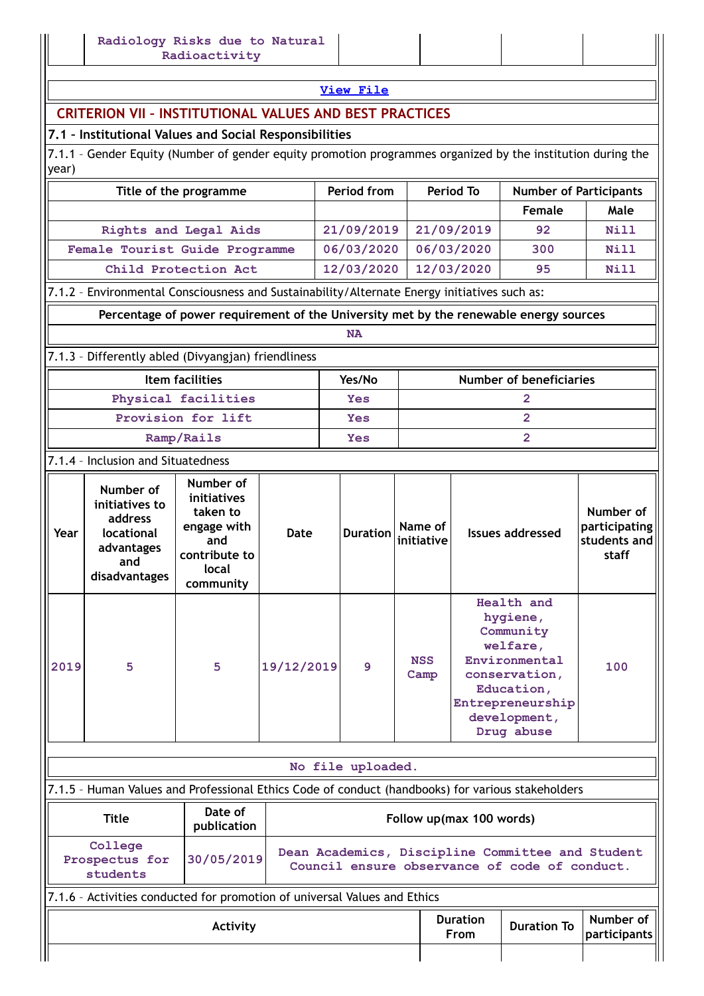# **CRITERION VII – INSTITUTIONAL VALUES AND BEST PRACTICES**

## **7.1 – Institutional Values and Social Responsibilities**

7.1.1 - Gender Equity (Number of gender equity promotion programmes organized by the institution during the year)

| Title of the programme                                                                            |                                                                                                   |                                                                                                   | Period from |                          | <b>Period To</b>               | <b>Number of Participants</b> |                                                                                                                                                   |                         |                                                     |  |
|---------------------------------------------------------------------------------------------------|---------------------------------------------------------------------------------------------------|---------------------------------------------------------------------------------------------------|-------------|--------------------------|--------------------------------|-------------------------------|---------------------------------------------------------------------------------------------------------------------------------------------------|-------------------------|-----------------------------------------------------|--|
|                                                                                                   |                                                                                                   |                                                                                                   |             |                          |                                |                               | Female                                                                                                                                            | Male                    |                                                     |  |
| Rights and Legal Aids                                                                             |                                                                                                   |                                                                                                   |             |                          | 21/09/2019                     |                               | 21/09/2019                                                                                                                                        | 92                      | Nill                                                |  |
|                                                                                                   | Female Tourist Guide Programme                                                                    |                                                                                                   |             |                          | 06/03/2020                     |                               | 06/03/2020                                                                                                                                        | 300                     | Nill                                                |  |
| Child Protection Act                                                                              |                                                                                                   |                                                                                                   |             |                          | 12/03/2020                     |                               | 12/03/2020                                                                                                                                        | 95                      | Nill                                                |  |
|                                                                                                   | 7.1.2 - Environmental Consciousness and Sustainability/Alternate Energy initiatives such as:      |                                                                                                   |             |                          |                                |                               |                                                                                                                                                   |                         |                                                     |  |
| Percentage of power requirement of the University met by the renewable energy sources             |                                                                                                   |                                                                                                   |             |                          |                                |                               |                                                                                                                                                   |                         |                                                     |  |
|                                                                                                   | <b>NA</b>                                                                                         |                                                                                                   |             |                          |                                |                               |                                                                                                                                                   |                         |                                                     |  |
| 7.1.3 - Differently abled (Divyangjan) friendliness                                               |                                                                                                   |                                                                                                   |             |                          |                                |                               |                                                                                                                                                   |                         |                                                     |  |
| Item facilities                                                                                   |                                                                                                   |                                                                                                   |             | Yes/No                   | <b>Number of beneficiaries</b> |                               |                                                                                                                                                   |                         |                                                     |  |
|                                                                                                   |                                                                                                   | Physical facilities                                                                               |             |                          | Yes                            | 2                             |                                                                                                                                                   |                         |                                                     |  |
|                                                                                                   |                                                                                                   | Provision for lift                                                                                |             |                          | Yes                            | $\overline{2}$                |                                                                                                                                                   |                         |                                                     |  |
| Ramp/Rails                                                                                        |                                                                                                   |                                                                                                   |             |                          | Yes                            | $\overline{2}$                |                                                                                                                                                   |                         |                                                     |  |
|                                                                                                   | 7.1.4 - Inclusion and Situatedness                                                                |                                                                                                   |             |                          |                                |                               |                                                                                                                                                   |                         |                                                     |  |
| Year                                                                                              | Number of<br>initiatives to<br>address<br><b>locational</b><br>advantages<br>and<br>disadvantages | Number of<br>initiatives<br>taken to<br>engage with<br>and<br>contribute to<br>local<br>community | Date        |                          | <b>Duration</b>                | Name of<br>initiative         |                                                                                                                                                   | <b>Issues addressed</b> | Number of<br>participating<br>students and<br>staff |  |
| 2019                                                                                              | 5                                                                                                 | 5                                                                                                 | 19/12/2019  |                          | 9                              | <b>NSS</b><br>Camp            | Health and<br>hygiene,<br>Community<br>welfare,<br>Environmental<br>conservation,<br>Education,<br>Entrepreneurship<br>development,<br>Drug abuse |                         | 100                                                 |  |
|                                                                                                   |                                                                                                   |                                                                                                   |             |                          |                                |                               |                                                                                                                                                   |                         |                                                     |  |
| No file uploaded.                                                                                 |                                                                                                   |                                                                                                   |             |                          |                                |                               |                                                                                                                                                   |                         |                                                     |  |
| 7.1.5 - Human Values and Professional Ethics Code of conduct (handbooks) for various stakeholders |                                                                                                   |                                                                                                   |             |                          |                                |                               |                                                                                                                                                   |                         |                                                     |  |
| Date of<br><b>Title</b><br>publication                                                            |                                                                                                   |                                                                                                   |             | Follow up(max 100 words) |                                |                               |                                                                                                                                                   |                         |                                                     |  |

| .                                     | $1.911911$ applitude to $9.91$ as $1.91$ |                                                                                                   |                         |                    |                           |  |  |
|---------------------------------------|------------------------------------------|---------------------------------------------------------------------------------------------------|-------------------------|--------------------|---------------------------|--|--|
| College<br>Prospectus for<br>students | 30/05/2019                               | Dean Academics, Discipline Committee and Student<br>Council ensure observance of code of conduct. |                         |                    |                           |  |  |
|                                       |                                          | 7.1.6 - Activities conducted for promotion of universal Values and Ethics                         |                         |                    |                           |  |  |
|                                       | Activity                                 |                                                                                                   | <b>Duration</b><br>From | <b>Duration To</b> | Number of<br>participants |  |  |
|                                       |                                          |                                                                                                   |                         |                    |                           |  |  |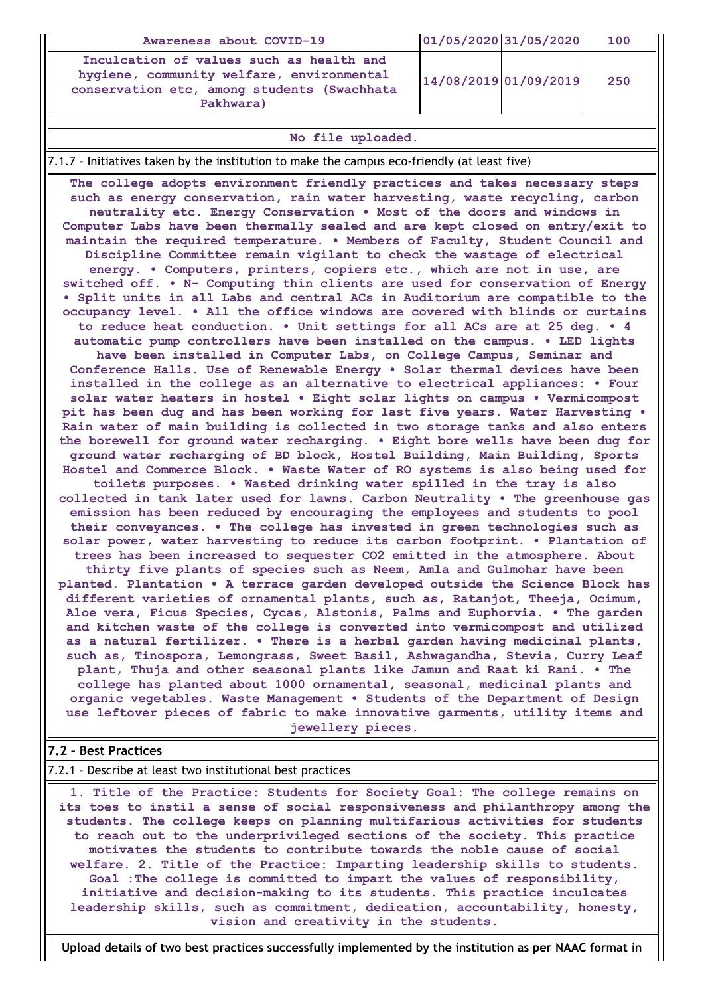| Awareness about COVID-19                                                                                                                          | 01/05/2020 31/05/2020 | 100 |
|---------------------------------------------------------------------------------------------------------------------------------------------------|-----------------------|-----|
| Inculcation of values such as health and<br>hygiene, community welfare, environmental<br>conservation etc, among students (Swachhata<br>Pakhwara) | 14/08/2019 01/09/2019 | 250 |

#### **No file uploaded.**

### 7.1.7 – Initiatives taken by the institution to make the campus eco-friendly (at least five)

**The college adopts environment friendly practices and takes necessary steps such as energy conservation, rain water harvesting, waste recycling, carbon neutrality etc. Energy Conservation • Most of the doors and windows in Computer Labs have been thermally sealed and are kept closed on entry/exit to maintain the required temperature. • Members of Faculty, Student Council and Discipline Committee remain vigilant to check the wastage of electrical energy. • Computers, printers, copiers etc., which are not in use, are switched off. • N- Computing thin clients are used for conservation of Energy • Split units in all Labs and central ACs in Auditorium are compatible to the occupancy level. • All the office windows are covered with blinds or curtains to reduce heat conduction. • Unit settings for all ACs are at 25 deg. • 4 automatic pump controllers have been installed on the campus. • LED lights have been installed in Computer Labs, on College Campus, Seminar and Conference Halls. Use of Renewable Energy • Solar thermal devices have been installed in the college as an alternative to electrical appliances: • Four solar water heaters in hostel • Eight solar lights on campus • Vermicompost pit has been dug and has been working for last five years. Water Harvesting • Rain water of main building is collected in two storage tanks and also enters the borewell for ground water recharging. • Eight bore wells have been dug for ground water recharging of BD block, Hostel Building, Main Building, Sports Hostel and Commerce Block. • Waste Water of RO systems is also being used for toilets purposes. • Wasted drinking water spilled in the tray is also collected in tank later used for lawns. Carbon Neutrality • The greenhouse gas emission has been reduced by encouraging the employees and students to pool their conveyances. • The college has invested in green technologies such as solar power, water harvesting to reduce its carbon footprint. • Plantation of trees has been increased to sequester CO2 emitted in the atmosphere. About thirty five plants of species such as Neem, Amla and Gulmohar have been planted. Plantation • A terrace garden developed outside the Science Block has different varieties of ornamental plants, such as, Ratanjot, Theeja, Ocimum, Aloe vera, Ficus Species, Cycas, Alstonis, Palms and Euphorvia. • The garden and kitchen waste of the college is converted into vermicompost and utilized as a natural fertilizer. • There is a herbal garden having medicinal plants, such as, Tinospora, Lemongrass, Sweet Basil, Ashwagandha, Stevia, Curry Leaf plant, Thuja and other seasonal plants like Jamun and Raat ki Rani. • The college has planted about 1000 ornamental, seasonal, medicinal plants and organic vegetables. Waste Management • Students of the Department of Design use leftover pieces of fabric to make innovative garments, utility items and jewellery pieces.**

### **7.2 – Best Practices**

7.2.1 – Describe at least two institutional best practices

**1. Title of the Practice: Students for Society Goal: The college remains on its toes to instil a sense of social responsiveness and philanthropy among the students. The college keeps on planning multifarious activities for students to reach out to the underprivileged sections of the society. This practice motivates the students to contribute towards the noble cause of social welfare. 2. Title of the Practice: Imparting leadership skills to students. Goal :The college is committed to impart the values of responsibility, initiative and decision-making to its students. This practice inculcates leadership skills, such as commitment, dedication, accountability, honesty, vision and creativity in the students.**

**Upload details of two best practices successfully implemented by the institution as per NAAC format in**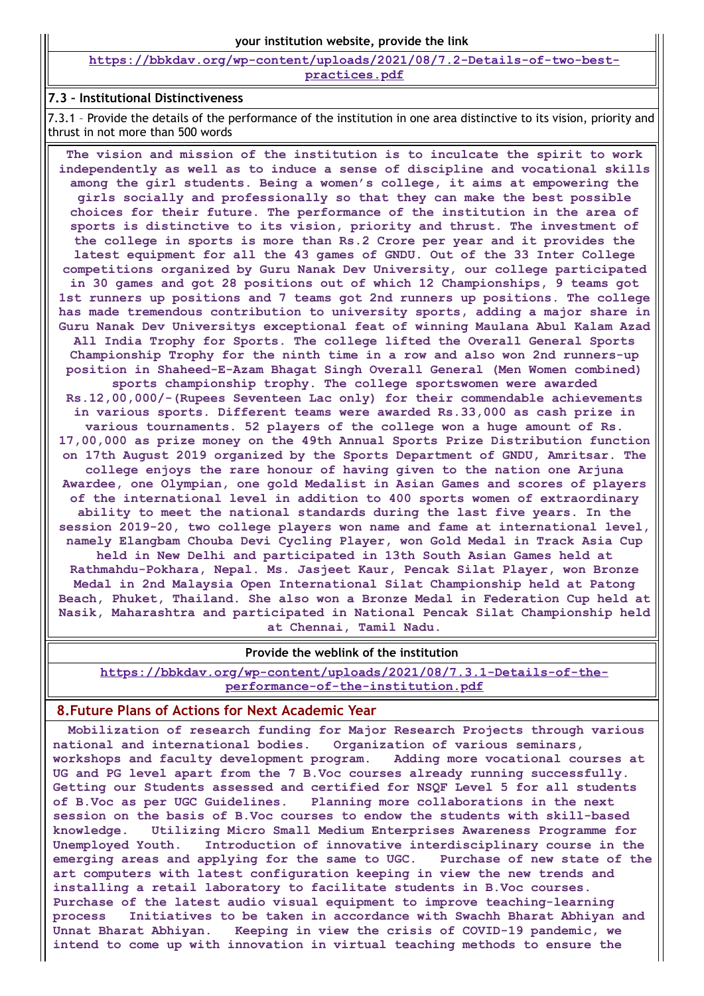**[https://bbkdav.org/wp-content/uploads/2021/08/7.2-Details-of-two-best](https://bbkdav.org/wp-content/uploads/2021/08/7.2-Details-of-two-best-practices.pdf)practices.pdf**

### **7.3 – Institutional Distinctiveness**

7.3.1 – Provide the details of the performance of the institution in one area distinctive to its vision, priority and thrust in not more than 500 words

**The vision and mission of the institution is to inculcate the spirit to work independently as well as to induce a sense of discipline and vocational skills among the girl students. Being a women's college, it aims at empowering the girls socially and professionally so that they can make the best possible choices for their future. The performance of the institution in the area of sports is distinctive to its vision, priority and thrust. The investment of the college in sports is more than Rs.2 Crore per year and it provides the latest equipment for all the 43 games of GNDU. Out of the 33 Inter College competitions organized by Guru Nanak Dev University, our college participated in 30 games and got 28 positions out of which 12 Championships, 9 teams got 1st runners up positions and 7 teams got 2nd runners up positions. The college has made tremendous contribution to university sports, adding a major share in Guru Nanak Dev Universitys exceptional feat of winning Maulana Abul Kalam Azad All India Trophy for Sports. The college lifted the Overall General Sports Championship Trophy for the ninth time in a row and also won 2nd runners-up position in Shaheed-E-Azam Bhagat Singh Overall General (Men Women combined) sports championship trophy. The college sportswomen were awarded Rs.12,00,000/-(Rupees Seventeen Lac only) for their commendable achievements in various sports. Different teams were awarded Rs.33,000 as cash prize in various tournaments. 52 players of the college won a huge amount of Rs. 17,00,000 as prize money on the 49th Annual Sports Prize Distribution function on 17th August 2019 organized by the Sports Department of GNDU, Amritsar. The college enjoys the rare honour of having given to the nation one Arjuna Awardee, one Olympian, one gold Medalist in Asian Games and scores of players of the international level in addition to 400 sports women of extraordinary ability to meet the national standards during the last five years. In the session 2019-20, two college players won name and fame at international level, namely Elangbam Chouba Devi Cycling Player, won Gold Medal in Track Asia Cup held in New Delhi and participated in 13th South Asian Games held at Rathmahdu-Pokhara, Nepal. Ms. Jasjeet Kaur, Pencak Silat Player, won Bronze Medal in 2nd Malaysia Open International Silat Championship held at Patong Beach, Phuket, Thailand. She also won a Bronze Medal in Federation Cup held at Nasik, Maharashtra and participated in National Pencak Silat Championship held at Chennai, Tamil Nadu.**

#### **Provide the weblink of the institution**

**[https://bbkdav.org/wp-content/uploads/2021/08/7.3.1-Details-of-the](https://bbkdav.org/wp-content/uploads/2021/08/7.3.1-Details-of-the-performance-of-the-institution.pdf)performance-of-the-institution.pdf**

### **8.Future Plans of Actions for Next Academic Year**

**Mobilization of research funding for Major Research Projects through various national and international bodies. Organization of various seminars, workshops and faculty development program. Adding more vocational courses at UG and PG level apart from the 7 B.Voc courses already running successfully. Getting our Students assessed and certified for NSQF Level 5 for all students of B.Voc as per UGC Guidelines. Planning more collaborations in the next session on the basis of B.Voc courses to endow the students with skill-based knowledge. Utilizing Micro Small Medium Enterprises Awareness Programme for Unemployed Youth. Introduction of innovative interdisciplinary course in the emerging areas and applying for the same to UGC. Purchase of new state of the art computers with latest configuration keeping in view the new trends and installing a retail laboratory to facilitate students in B.Voc courses. Purchase of the latest audio visual equipment to improve teaching-learning process Initiatives to be taken in accordance with Swachh Bharat Abhiyan and Unnat Bharat Abhiyan. Keeping in view the crisis of COVID-19 pandemic, we intend to come up with innovation in virtual teaching methods to ensure the**